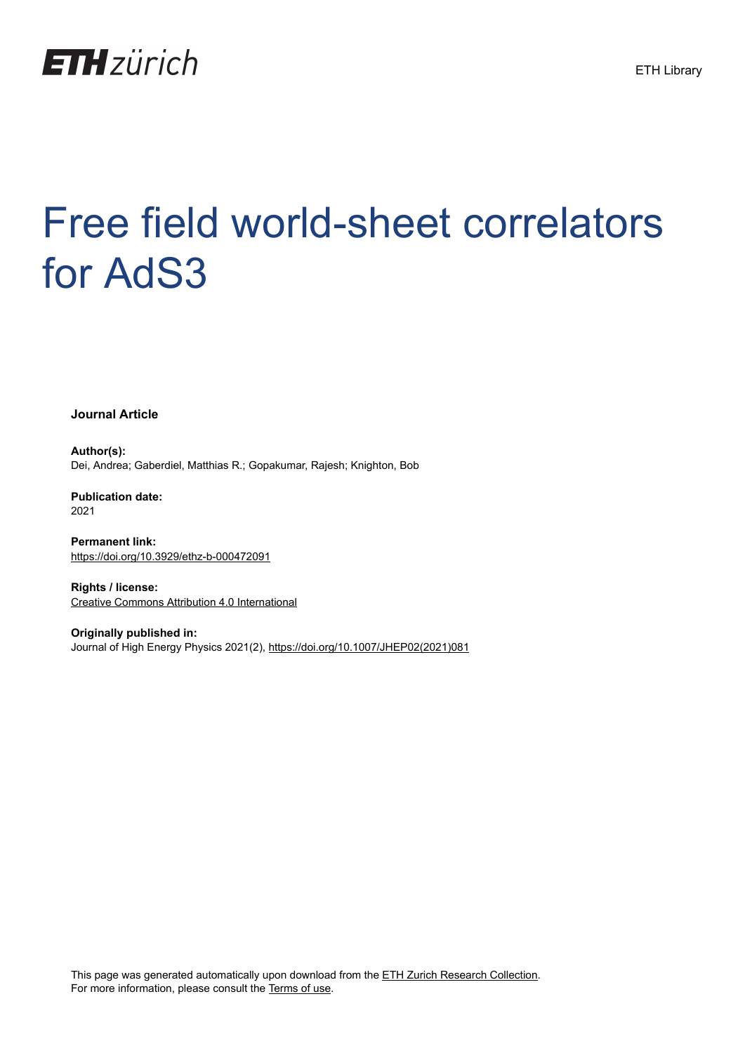

# Free field world-sheet correlators for AdS3

**Journal Article**

**Author(s):** Dei, Andrea; Gaberdiel, Matthias R.; Gopakumar, Rajesh; Knighton, Bob

**Publication date:** 2021

**Permanent link:** <https://doi.org/10.3929/ethz-b-000472091>

**Rights / license:** [Creative Commons Attribution 4.0 International](http://creativecommons.org/licenses/by/4.0/)

**Originally published in:** Journal of High Energy Physics 2021(2), [https://doi.org/10.1007/JHEP02\(2021\)081](https://doi.org/10.1007/JHEP02(2021)081)

This page was generated automatically upon download from the [ETH Zurich Research Collection.](https://www.research-collection.ethz.ch) For more information, please consult the [Terms of use](https://www.research-collection.ethz.ch/terms-of-use).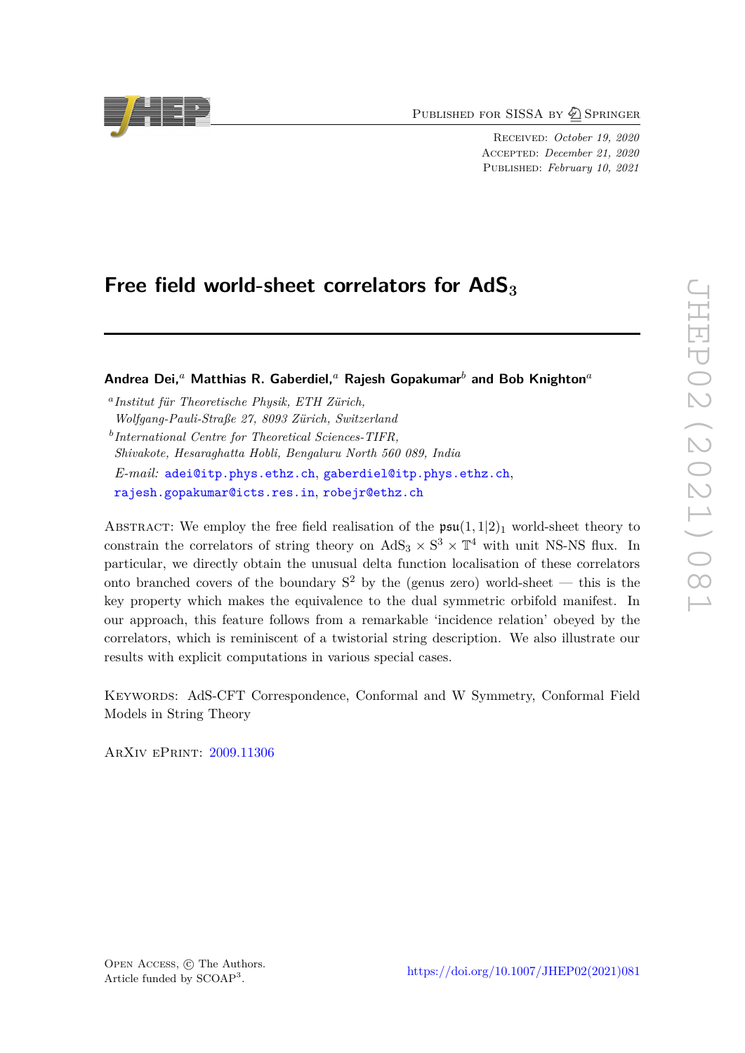PUBLISHED FOR SISSA BY 2 SPRINGER

Received: *October 19, 2020* Accepted: *December 21, 2020* Published: *February 10, 2021*

# Free field world-sheet correlators for AdS<sub>3</sub>

**Andrea Dei,***<sup>a</sup>* **Matthias R. Gaberdiel,***<sup>a</sup>* **Rajesh Gopakumar***<sup>b</sup>* **and Bob Knighton***<sup>a</sup>*

*a Institut für Theoretische Physik, ETH Zürich, Wolfgang-Pauli-Straße 27, 8093 Zürich, Switzerland b International Centre for Theoretical Sciences-TIFR, Shivakote, Hesaraghatta Hobli, Bengaluru North 560 089, India E-mail:* [adei@itp.phys.ethz.ch](mailto:adei@itp.phys.ethz.ch), [gaberdiel@itp.phys.ethz.ch](mailto:gaberdiel@itp.phys.ethz.ch), [rajesh.gopakumar@icts.res.in](mailto:rajesh.gopakumar@icts.res.in), [robejr@ethz.ch](mailto:robejr@ethz.ch)

ABSTRACT: We employ the free field realisation of the  $\mathfrak{psu}(1,1|2)_1$  world-sheet theory to constrain the correlators of string theory on  $AdS_3 \times S^3 \times T^4$  with unit NS-NS flux. In particular, we directly obtain the unusual delta function localisation of these correlators onto branched covers of the boundary  $S^2$  by the (genus zero) world-sheet — this is the key property which makes the equivalence to the dual symmetric orbifold manifest. In our approach, this feature follows from a remarkable 'incidence relation' obeyed by the correlators, which is reminiscent of a twistorial string description. We also illustrate our results with explicit computations in various special cases.

KEYWORDS: AdS-CFT Correspondence, Conformal and W Symmetry, Conformal Field Models in String Theory

ArXiv ePrint: [2009.11306](https://arxiv.org/abs/2009.11306)

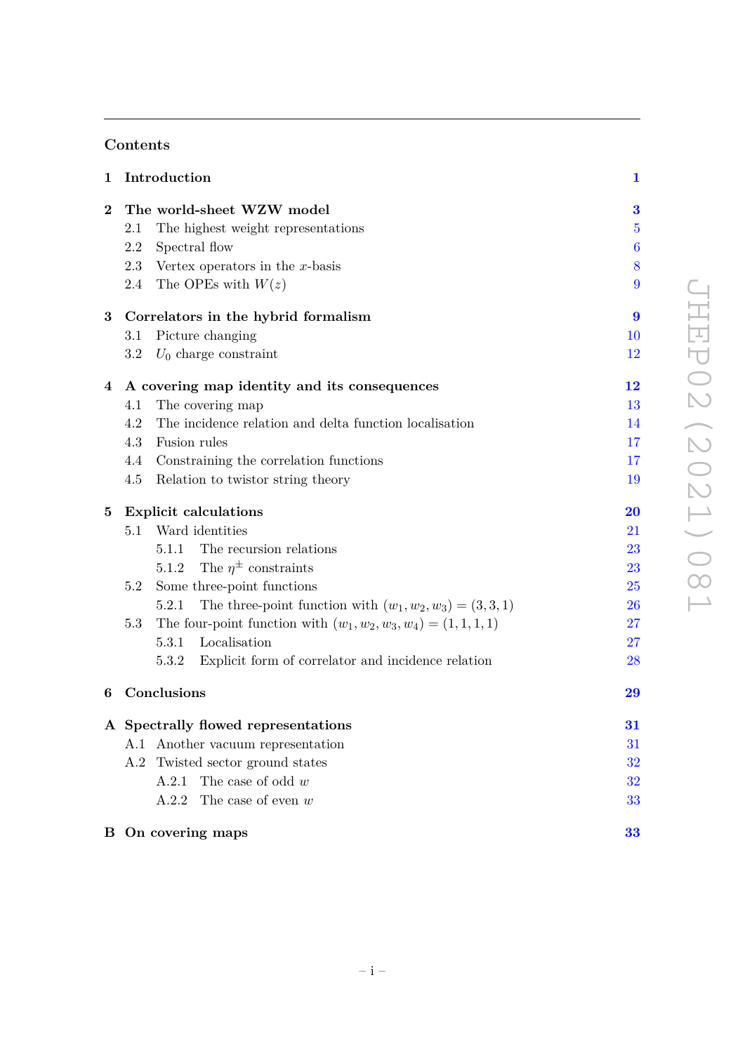# **Contents**

| 1                |                                     | Introduction                                                         | $\mathbf{1}$     |
|------------------|-------------------------------------|----------------------------------------------------------------------|------------------|
| $\boldsymbol{2}$ |                                     | The world-sheet WZW model                                            | 3                |
|                  | 2.1                                 | The highest weight representations                                   | $\overline{5}$   |
|                  | 2.2                                 | Spectral flow                                                        | $\boldsymbol{6}$ |
|                  | 2.3                                 | Vertex operators in the $x$ -basis                                   | 8                |
|                  | 2.4                                 | The OPEs with $W(z)$                                                 | 9                |
| 3                | Correlators in the hybrid formalism |                                                                      |                  |
|                  | 3.1                                 | Picture changing                                                     | 10               |
|                  | 3.2                                 | $U_0$ charge constraint                                              | 12               |
| 4                |                                     | A covering map identity and its consequences                         | $\bf{12}$        |
|                  | 4.1                                 | The covering map                                                     | 13               |
|                  | 4.2                                 | The incidence relation and delta function localization               | 14               |
|                  | 4.3                                 | Fusion rules                                                         | 17               |
|                  | 4.4                                 | Constraining the correlation functions                               | 17               |
|                  | 4.5                                 | Relation to twistor string theory                                    | 19               |
| 5                | <b>Explicit calculations</b>        |                                                                      | $\bf{20}$        |
|                  | 5.1                                 | Ward identities                                                      | 21               |
|                  |                                     | The recursion relations<br>5.1.1                                     | 23               |
|                  |                                     | The $\eta^{\pm}$ constraints<br>5.1.2                                | 23               |
|                  | 5.2                                 | Some three-point functions                                           | 25               |
|                  |                                     | The three-point function with $(w_1, w_2, w_3) = (3, 3, 1)$<br>5.2.1 | 26               |
|                  | 5.3                                 | The four-point function with $(w_1, w_2, w_3, w_4) = (1, 1, 1, 1)$   | 27               |
|                  |                                     | 5.3.1<br>Localisation                                                | 27               |
|                  |                                     | 5.3.2<br>Explicit form of correlator and incidence relation          | 28               |
| 6                |                                     | Conclusions                                                          | 29               |
|                  |                                     | A Spectrally flowed representations                                  | 31               |
|                  |                                     | A.1 Another vacuum representation                                    | 31               |
|                  |                                     | A.2 Twisted sector ground states                                     | 32               |
|                  |                                     | The case of odd $w$<br>A.2.1                                         | 32               |
|                  |                                     | The case of even $w$<br>A.2.2                                        | 33               |
|                  |                                     | <b>B</b> On covering maps                                            | 33               |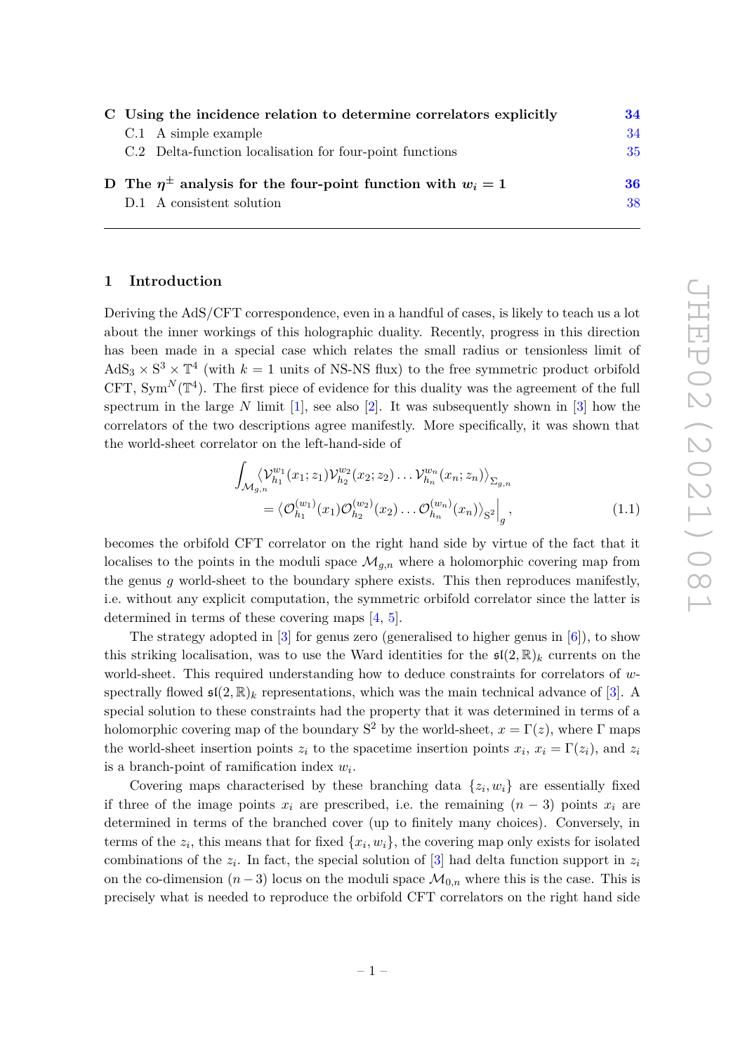| C Using the incidence relation to determine correlators explicitly     |    |
|------------------------------------------------------------------------|----|
| $C.1$ A simple example                                                 | 34 |
| C.2 Delta-function localisation for four-point functions               | 35 |
| D The $\eta^{\pm}$ analysis for the four-point function with $w_i = 1$ |    |
| D.1 A consistent solution                                              | 38 |

# <span id="page-3-0"></span>**1 Introduction**

Deriving the AdS*/*CFT correspondence, even in a handful of cases, is likely to teach us a lot about the inner workings of this holographic duality. Recently, progress in this direction has been made in a special case which relates the small radius or tensionless limit of  $AdS_3 \times S^3 \times T^4$  (with  $k = 1$  units of NS-NS flux) to the free symmetric product orbifold CFT,  $\text{Sym}^N(\mathbb{T}^4)$ . The first piece of evidence for this duality was the agreement of the full spectrum in the large  $N$  limit [\[1\]](#page-42-0), see also [\[2\]](#page-42-1). It was subsequently shown in [\[3\]](#page-42-2) how the correlators of the two descriptions agree manifestly. More specifically, it was shown that the world-sheet correlator on the left-hand-side of

<span id="page-3-1"></span>
$$
\int_{\mathcal{M}_{g,n}} \langle \mathcal{V}_{h_1}^{w_1}(x_1; z_1) \mathcal{V}_{h_2}^{w_2}(x_2; z_2) \dots \mathcal{V}_{h_n}^{w_n}(x_n; z_n) \rangle_{\Sigma_{g,n}}\n= \langle \mathcal{O}_{h_1}^{(w_1)}(x_1) \mathcal{O}_{h_2}^{(w_2)}(x_2) \dots \mathcal{O}_{h_n}^{(w_n)}(x_n) \rangle_{S^2}\Big|_g,
$$
\n(1.1)

becomes the orbifold CFT correlator on the right hand side by virtue of the fact that it localises to the points in the moduli space  $\mathcal{M}_{g,n}$  where a holomorphic covering map from the genus *g* world-sheet to the boundary sphere exists. This then reproduces manifestly, i.e. without any explicit computation, the symmetric orbifold correlator since the latter is determined in terms of these covering maps [\[4,](#page-42-3) [5\]](#page-43-0).

The strategy adopted in [\[3\]](#page-42-2) for genus zero (generalised to higher genus in [\[6\]](#page-43-1)), to show this striking localisation, was to use the Ward identities for the  $\mathfrak{sl}(2,\mathbb{R})_k$  currents on the world-sheet. This required understanding how to deduce constraints for correlators of *w*spectrally flowed  $\mathfrak{sl}(2,\mathbb{R})_k$  representations, which was the main technical advance of [\[3\]](#page-42-2). A special solution to these constraints had the property that it was determined in terms of a holomorphic covering map of the boundary  $S^2$  by the world-sheet,  $x = \Gamma(z)$ , where  $\Gamma$  maps the world-sheet insertion points  $z_i$  to the spacetime insertion points  $x_i$ ,  $x_i = \Gamma(z_i)$ , and  $z_i$ is a branch-point of ramification index *w<sup>i</sup>* .

Covering maps characterised by these branching data  $\{z_i, w_i\}$  are essentially fixed if three of the image points  $x_i$  are prescribed, i.e. the remaining  $(n-3)$  points  $x_i$  are determined in terms of the branched cover (up to finitely many choices). Conversely, in terms of the  $z_i$ , this means that for fixed  $\{x_i, w_i\}$ , the covering map only exists for isolated combinations of the *z<sup>i</sup>* . In fact, the special solution of [\[3\]](#page-42-2) had delta function support in *z<sup>i</sup>* on the co-dimension  $(n-3)$  locus on the moduli space  $\mathcal{M}_{0,n}$  where this is the case. This is precisely what is needed to reproduce the orbifold CFT correlators on the right hand side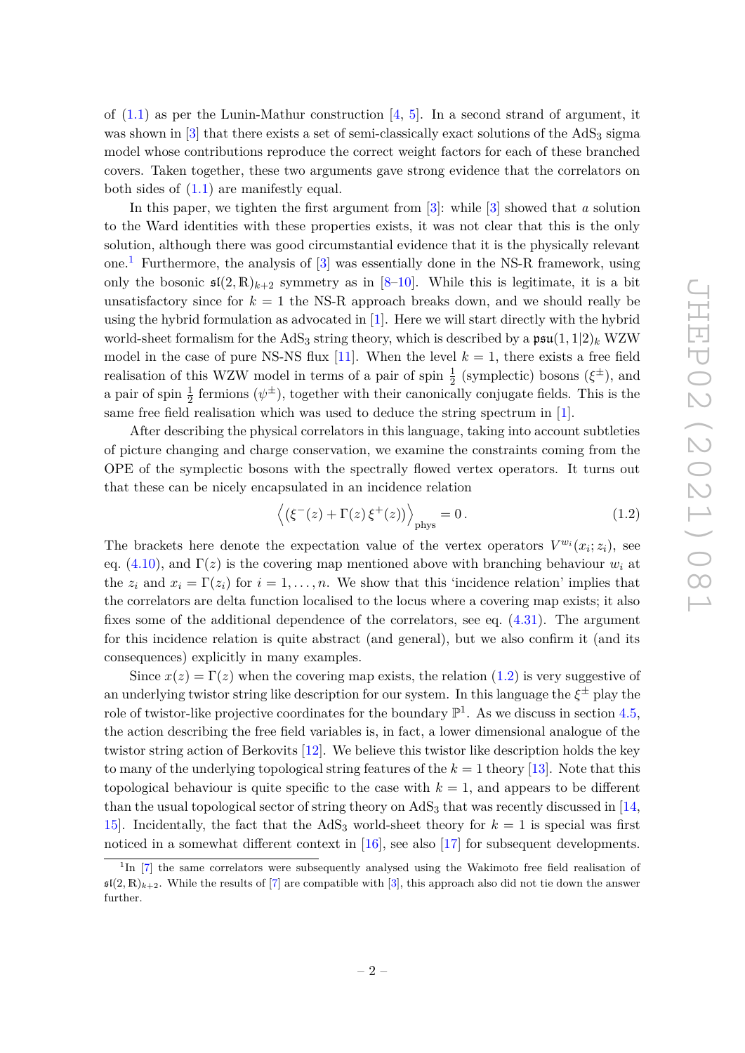of  $(1.1)$  as per the Lunin-Mathur construction  $[4, 5]$  $[4, 5]$  $[4, 5]$ . In a second strand of argument, it was shown in  $[3]$  that there exists a set of semi-classically exact solutions of the  $AdS_3$  sigma model whose contributions reproduce the correct weight factors for each of these branched covers. Taken together, these two arguments gave strong evidence that the correlators on both sides of  $(1.1)$  are manifestly equal.

In this paper, we tighten the first argument from [\[3\]](#page-42-2): while [\[3\]](#page-42-2) showed that *a* solution to the Ward identities with these properties exists, it was not clear that this is the only solution, although there was good circumstantial evidence that it is the physically relevant one.<sup>[1](#page-4-0)</sup> Furthermore, the analysis of  $[3]$  was essentially done in the NS-R framework, using only the bosonic  $\mathfrak{sl}(2,\mathbb{R})_{k+2}$  symmetry as in [\[8](#page-43-2)[–10\]](#page-43-3). While this is legitimate, it is a bit unsatisfactory since for  $k = 1$  the NS-R approach breaks down, and we should really be using the hybrid formulation as advocated in [\[1\]](#page-42-0). Here we will start directly with the hybrid world-sheet formalism for the AdS<sub>3</sub> string theory, which is described by a  $\mathfrak{psu}(1,1|2)_k$  WZW model in the case of pure NS-NS flux [\[11\]](#page-43-4). When the level  $k = 1$ , there exists a free field realisation of this WZW model in terms of a pair of spin  $\frac{1}{2}$  (symplectic) bosons ( $\xi^{\pm}$ ), and a pair of spin  $\frac{1}{2}$  fermions  $(\psi^{\pm})$ , together with their canonically conjugate fields. This is the same free field realisation which was used to deduce the string spectrum in [\[1\]](#page-42-0).

After describing the physical correlators in this language, taking into account subtleties of picture changing and charge conservation, we examine the constraints coming from the OPE of the symplectic bosons with the spectrally flowed vertex operators. It turns out that these can be nicely encapsulated in an incidence relation

<span id="page-4-1"></span>
$$
\left\langle \left( \xi^{-}(z) + \Gamma(z) \, \xi^{+}(z) \right) \right\rangle_{\text{phys}} = 0. \tag{1.2}
$$

The brackets here denote the expectation value of the vertex operators  $V^{w_i}(x_i; z_i)$ , see eq.  $(4.10)$ , and  $\Gamma(z)$  is the covering map mentioned above with branching behaviour  $w_i$  at the  $z_i$  and  $x_i = \Gamma(z_i)$  for  $i = 1, \ldots, n$ . We show that this 'incidence relation' implies that the correlators are delta function localised to the locus where a covering map exists; it also fixes some of the additional dependence of the correlators, see eq. [\(4.31\)](#page-20-0). The argument for this incidence relation is quite abstract (and general), but we also confirm it (and its consequences) explicitly in many examples.

Since  $x(z) = \Gamma(z)$  when the covering map exists, the relation [\(1.2\)](#page-4-1) is very suggestive of an underlying twistor string like description for our system. In this language the  $\xi^\pm$  play the role of twistor-like projective coordinates for the boundary  $\mathbb{P}^1$ . As we discuss in section [4.5,](#page-21-0) the action describing the free field variables is, in fact, a lower dimensional analogue of the twistor string action of Berkovits [\[12\]](#page-43-5). We believe this twistor like description holds the key to many of the underlying topological string features of the  $k = 1$  theory [\[13\]](#page-43-6). Note that this topological behaviour is quite specific to the case with  $k = 1$ , and appears to be different than the usual topological sector of string theory on  $AdS<sub>3</sub>$  that was recently discussed in [\[14,](#page-43-7) 15. Incidentally, the fact that the  $AdS_3$  world-sheet theory for  $k = 1$  is special was first noticed in a somewhat different context in [\[16\]](#page-43-9), see also [\[17\]](#page-43-10) for subsequent developments.

<span id="page-4-0"></span><sup>&</sup>lt;sup>1</sup>In [\[7\]](#page-43-11) the same correlators were subsequently analysed using the Wakimoto free field realisation of  $\mathfrak{sl}(2,\mathbb{R})_{k+2}$ . While the results of [\[7\]](#page-43-11) are compatible with [\[3\]](#page-42-2), this approach also did not tie down the answer further.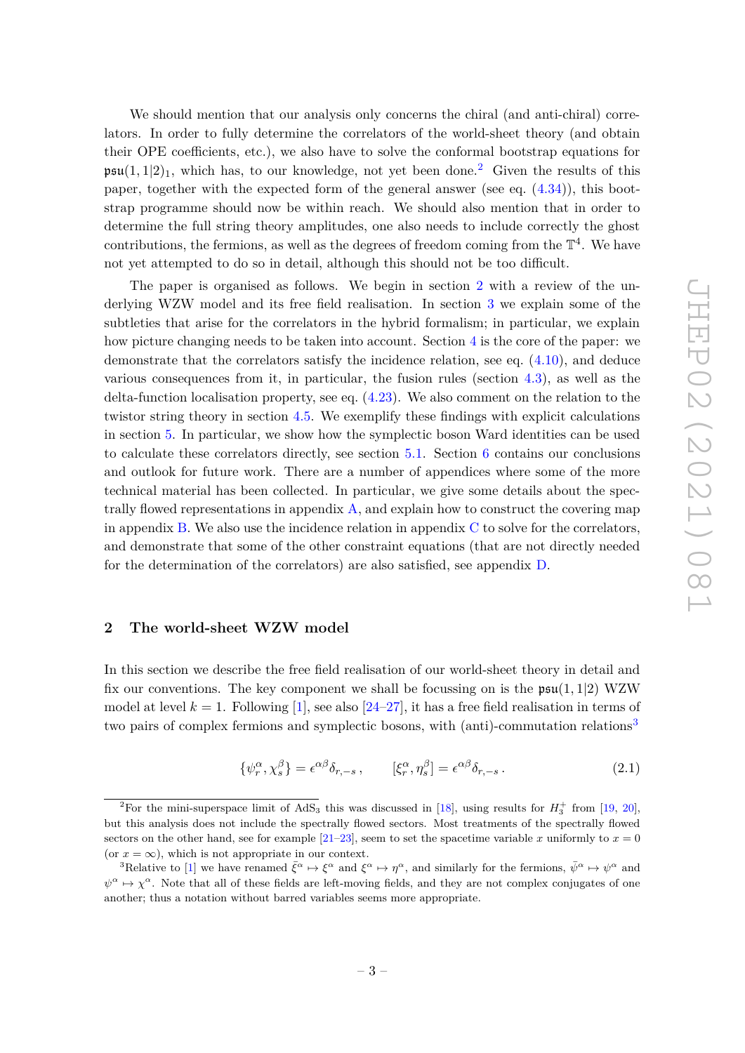We should mention that our analysis only concerns the chiral (and anti-chiral) correlators. In order to fully determine the correlators of the world-sheet theory (and obtain their OPE coefficients, etc.), we also have to solve the conformal bootstrap equations for  $\mathfrak{psu}(1,1|2)_1$  $\mathfrak{psu}(1,1|2)_1$  $\mathfrak{psu}(1,1|2)_1$ , which has, to our knowledge, not yet been done.<sup>2</sup> Given the results of this paper, together with the expected form of the general answer (see eq. [\(4.34\)](#page-21-1)), this bootstrap programme should now be within reach. We should also mention that in order to determine the full string theory amplitudes, one also needs to include correctly the ghost contributions, the fermions, as well as the degrees of freedom coming from the  $\mathbb{T}^4$ . We have not yet attempted to do so in detail, although this should not be too difficult.

The paper is organised as follows. We begin in section [2](#page-5-0) with a review of the underlying WZW model and its free field realisation. In section [3](#page-11-1) we explain some of the subtleties that arise for the correlators in the hybrid formalism; in particular, we explain how picture changing needs to be taken into account. Section [4](#page-14-1) is the core of the paper: we demonstrate that the correlators satisfy the incidence relation, see eq. [\(4.10\)](#page-16-1), and deduce various consequences from it, in particular, the fusion rules (section [4.3\)](#page-19-0), as well as the delta-function localisation property, see eq. [\(4.23\)](#page-19-2). We also comment on the relation to the twistor string theory in section [4.5.](#page-21-0) We exemplify these findings with explicit calculations in section [5.](#page-22-0) In particular, we show how the symplectic boson Ward identities can be used to calculate these correlators directly, see section [5.1.](#page-23-0) Section [6](#page-31-0) contains our conclusions and outlook for future work. There are a number of appendices where some of the more technical material has been collected. In particular, we give some details about the spectrally flowed representations in appendix  $A$ , and explain how to construct the covering map in appendix  $B$ . We also use the incidence relation in appendix  $C$  to solve for the correlators, and demonstrate that some of the other constraint equations (that are not directly needed for the determination of the correlators) are also satisfied, see appendix [D.](#page-38-0)

# <span id="page-5-0"></span>**2 The world-sheet WZW model**

In this section we describe the free field realisation of our world-sheet theory in detail and fix our conventions. The key component we shall be focussing on is the  $\mathfrak{psu}(1,1|2)$  WZW model at level  $k = 1$ . Following [\[1\]](#page-42-0), see also [\[24](#page-43-12)[–27\]](#page-44-0), it has a free field realisation in terms of two pairs of complex fermions and symplectic bosons, with (anti)-commutation relations<sup>[3](#page-5-2)</sup>

$$
\{\psi_r^{\alpha}, \chi_s^{\beta}\} = \epsilon^{\alpha\beta} \delta_{r,-s} , \qquad [\xi_r^{\alpha}, \eta_s^{\beta}] = \epsilon^{\alpha\beta} \delta_{r,-s} . \qquad (2.1)
$$

<span id="page-5-1"></span><sup>&</sup>lt;sup>2</sup>For the mini-superspace limit of AdS<sub>3</sub> this was discussed in [\[18\]](#page-43-13), using results for  $H_3^+$  from [\[19,](#page-43-14) [20\]](#page-43-15), but this analysis does not include the spectrally flowed sectors. Most treatments of the spectrally flowed sectors on the other hand, see for example  $[21-23]$  $[21-23]$ , seem to set the spacetime variable *x* uniformly to  $x = 0$ (or  $x = \infty$ ), which is not appropriate in our context.

<span id="page-5-2"></span><sup>&</sup>lt;sup>3</sup>Relative to [\[1\]](#page-42-0) we have renamed  $\bar{\xi}^{\alpha} \mapsto \xi^{\alpha}$  and  $\xi^{\alpha} \mapsto \eta^{\alpha}$ , and similarly for the fermions,  $\bar{\psi}^{\alpha} \mapsto \psi^{\alpha}$  and  $\psi^{\alpha} \mapsto \chi^{\alpha}$ . Note that all of these fields are left-moving fields, and they are not complex conjugates of one another; thus a notation without barred variables seems more appropriate.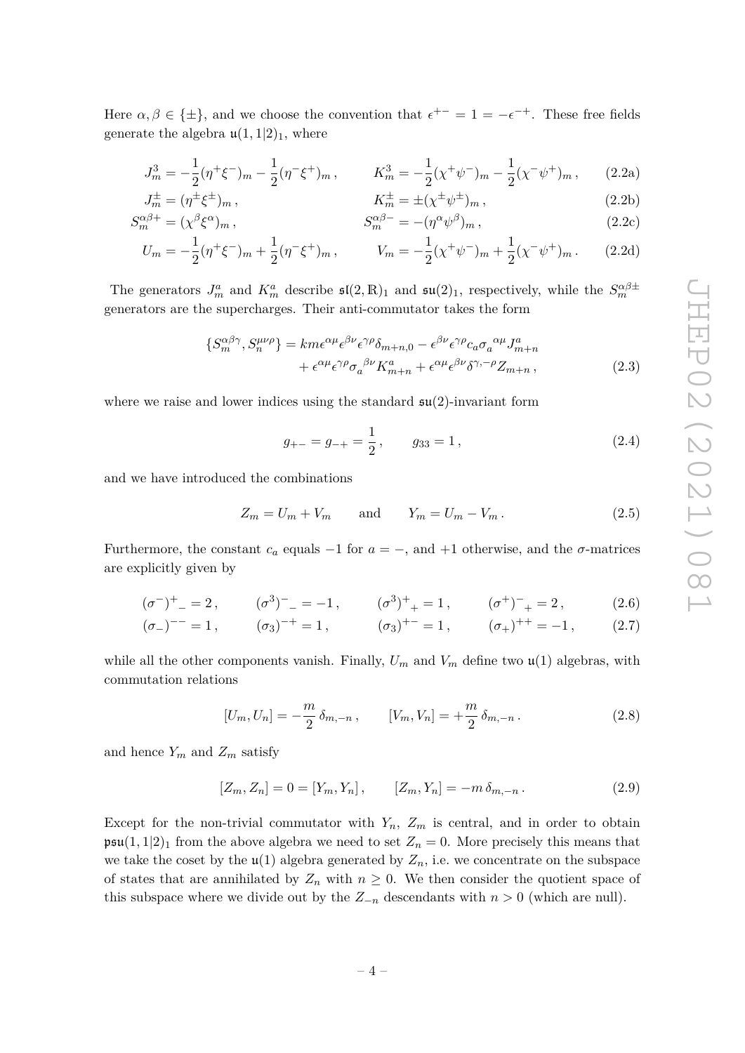Here  $\alpha, \beta \in \{\pm\}$ , and we choose the convention that  $\epsilon^{+-} = 1 = -\epsilon^{-+}$ . These free fields generate the algebra  $\mathfrak{u}(1,1|2)$ <sub>1</sub>, where

$$
J_m^3 = -\frac{1}{2}(\eta^+ \xi^-)_m - \frac{1}{2}(\eta^- \xi^+)_m, \qquad K_m^3 = -\frac{1}{2}(\chi^+ \psi^-)_m - \frac{1}{2}(\chi^- \psi^+)_m, \qquad (2.2a)
$$

$$
J_m^{\pm} = (\eta^{\pm} \xi^{\pm})_m, \qquad K_m^{\pm} = \pm (\chi^{\pm} \psi^{\pm})_m, \qquad (2.2b)
$$
  

$$
\zeta^{\alpha \beta +} = (\chi^{\beta} \xi^{\alpha}) \qquad \zeta^{\alpha \beta -} = (\chi^{\alpha} \psi^{\beta}) \qquad (2.2c)
$$

$$
S_m^{\alpha\beta+} = (\chi^\beta \xi^\alpha)_m , \qquad S_m^{\alpha\beta-} = -(\eta^\alpha \psi^\beta)_m , \qquad (2.2c)
$$
  
\n
$$
U = \frac{1}{(\gamma + \xi - 1)(\gamma + \xi - 1)} \frac{1}{(\gamma - \xi + 1)(\gamma - \xi - 1)} \qquad (2.2d)
$$

$$
U_m = -\frac{1}{2}(\eta^+\xi^-)_m + \frac{1}{2}(\eta^-\xi^+)_m, \qquad V_m = -\frac{1}{2}(\chi^+\psi^-)_m + \frac{1}{2}(\chi^-\psi^+)_m. \tag{2.2d}
$$

The generators  $J_m^a$  and  $K_m^a$  describe  $\mathfrak{sl}(2,\mathbb{R})_1$  and  $\mathfrak{su}(2)_1$ , respectively, while the  $S_m^{\alpha\beta \pm}$ generators are the supercharges. Their anti-commutator takes the form

$$
\{S_m^{\alpha\beta\gamma}, S_n^{\mu\nu\rho}\} = km\epsilon^{\alpha\mu}\epsilon^{\beta\nu}\epsilon^{\gamma\rho}\delta_{m+n,0} - \epsilon^{\beta\nu}\epsilon^{\gamma\rho}c_a\sigma_a^{\ \alpha\mu}J_{m+n}^a
$$

$$
+ \epsilon^{\alpha\mu}\epsilon^{\gamma\rho}\sigma_a^{\ \beta\nu}K_{m+n}^a + \epsilon^{\alpha\mu}\epsilon^{\beta\nu}\delta^{\gamma,-\rho}Z_{m+n} \,, \tag{2.3}
$$

where we raise and lower indices using the standard  $\mathfrak{su}(2)$ -invariant form

<span id="page-6-1"></span>
$$
g_{+-} = g_{-+} = \frac{1}{2}, \qquad g_{33} = 1, \tag{2.4}
$$

and we have introduced the combinations

$$
Z_m = U_m + V_m \qquad \text{and} \qquad Y_m = U_m - V_m. \tag{2.5}
$$

Furthermore, the constant  $c_a$  equals  $-1$  for  $a = -$ , and  $+1$  otherwise, and the  $\sigma$ -matrices are explicitly given by

$$
(\sigma^{-})^{+}{}_{-} = 2, \qquad (\sigma^{3})^{-}{}_{-} = -1, \qquad (\sigma^{3})^{+}{}_{+} = 1, \qquad (\sigma^{+})^{-}{}_{+} = 2, \tag{2.6}
$$

$$
(\sigma_{-})^{--} = 1
$$
,  $(\sigma_{3})^{-+} = 1$ ,  $(\sigma_{3})^{+-} = 1$ ,  $(\sigma_{+})^{++} = -1$ ,  $(2.7)$ 

while all the other components vanish. Finally,  $U_m$  and  $V_m$  define two  $\mathfrak{u}(1)$  algebras, with commutation relations

$$
[U_m, U_n] = -\frac{m}{2} \delta_{m,-n} , \qquad [V_m, V_n] = +\frac{m}{2} \delta_{m,-n} . \qquad (2.8)
$$

and hence  $Y_m$  and  $Z_m$  satisfy

<span id="page-6-0"></span>
$$
[Z_m, Z_n] = 0 = [Y_m, Y_n], \qquad [Z_m, Y_n] = -m \,\delta_{m, -n} \,. \tag{2.9}
$$

Except for the non-trivial commutator with  $Y_n$ ,  $Z_m$  is central, and in order to obtain  $\mathfrak{psu}(1,1|2)_1$  from the above algebra we need to set  $Z_n = 0$ . More precisely this means that we take the coset by the  $\mathfrak{u}(1)$  algebra generated by  $Z_n$ , i.e. we concentrate on the subspace of states that are annihilated by  $Z_n$  with  $n \geq 0$ . We then consider the quotient space of this subspace where we divide out by the  $Z_{-n}$  descendants with  $n > 0$  (which are null).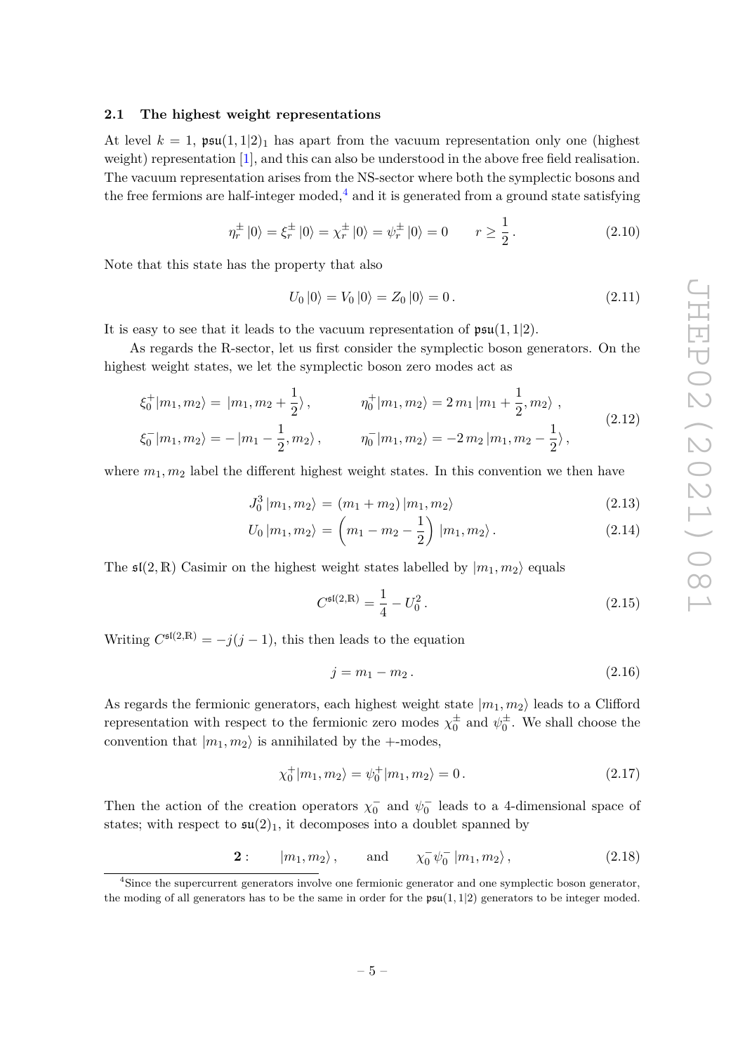# <span id="page-7-0"></span>**2.1 The highest weight representations**

At level  $k = 1$ ,  $\mathfrak{psu}(1,1|2)_1$  has apart from the vacuum representation only one (highest weight) representation [\[1\]](#page-42-0), and this can also be understood in the above free field realisation. The vacuum representation arises from the NS-sector where both the symplectic bosons and the free fermions are half-integer moded,<sup>[4](#page-7-1)</sup> and it is generated from a ground state satisfying

$$
\eta_r^{\pm} \left| 0 \right\rangle = \xi_r^{\pm} \left| 0 \right\rangle = \chi_r^{\pm} \left| 0 \right\rangle = \psi_r^{\pm} \left| 0 \right\rangle = 0 \qquad r \ge \frac{1}{2} \,. \tag{2.10}
$$

Note that this state has the property that also

$$
U_0 |0\rangle = V_0 |0\rangle = Z_0 |0\rangle = 0.
$$
\n(2.11)

It is easy to see that it leads to the vacuum representation of  $\mathfrak{psu}(1,1|2)$ .

As regards the R-sector, let us first consider the symplectic boson generators. On the highest weight states, we let the symplectic boson zero modes act as

<span id="page-7-3"></span>
$$
\xi_0^+|m_1, m_2\rangle = |m_1, m_2 + \frac{1}{2}\rangle, \qquad \eta_0^+|m_1, m_2\rangle = 2 \, m_1 \, |m_1 + \frac{1}{2}, m_2\rangle \,,
$$
\n
$$
\xi_0^-|m_1, m_2\rangle = -|m_1 - \frac{1}{2}, m_2\rangle \,, \qquad \eta_0^-|m_1, m_2\rangle = -2 \, m_2 \, |m_1, m_2 - \frac{1}{2}\rangle \,,
$$
\n(2.12)

where  $m_1, m_2$  label the different highest weight states. In this convention we then have

<span id="page-7-2"></span>
$$
J_0^3 | m_1, m_2 \rangle = (m_1 + m_2) | m_1, m_2 \rangle \tag{2.13}
$$

$$
U_0 | m_1, m_2 \rangle = \left( m_1 - m_2 - \frac{1}{2} \right) | m_1, m_2 \rangle. \tag{2.14}
$$

The  $\mathfrak{sl}(2,\mathbb{R})$  Casimir on the highest weight states labelled by  $|m_1,m_2\rangle$  equals

$$
C^{\mathfrak{sl}(2,\mathbb{R})} = \frac{1}{4} - U_0^2. \tag{2.15}
$$

Writing  $C^{s(2,R)} = -j(j-1)$ , this then leads to the equation

$$
j = m_1 - m_2. \t\t(2.16)
$$

As regards the fermionic generators, each highest weight state  $|m_1, m_2\rangle$  leads to a Clifford representation with respect to the fermionic zero modes  $\chi_0^{\pm}$  and  $\psi_0^{\pm}$ . We shall choose the convention that  $|m_1, m_2\rangle$  is annihilated by the +-modes,

$$
\chi_0^+|m_1, m_2\rangle = \psi_0^+|m_1, m_2\rangle = 0.
$$
\n(2.17)

Then the action of the creation operators  $\chi_0^-$  and  $\psi_0^-$  leads to a 4-dimensional space of states; with respect to  $\mathfrak{su}(2)_1$ , it decomposes into a doublet spanned by

> **2** :  $|m_1, m_2\rangle$ , and  $\frac{1}{0}\psi_0^{-} |m_1, m_2\rangle,$  (2.18)

<span id="page-7-1"></span><sup>4</sup>Since the supercurrent generators involve one fermionic generator and one symplectic boson generator, the moding of all generators has to be the same in order for the  $\mathfrak{psu}(1,1|2)$  generators to be integer moded.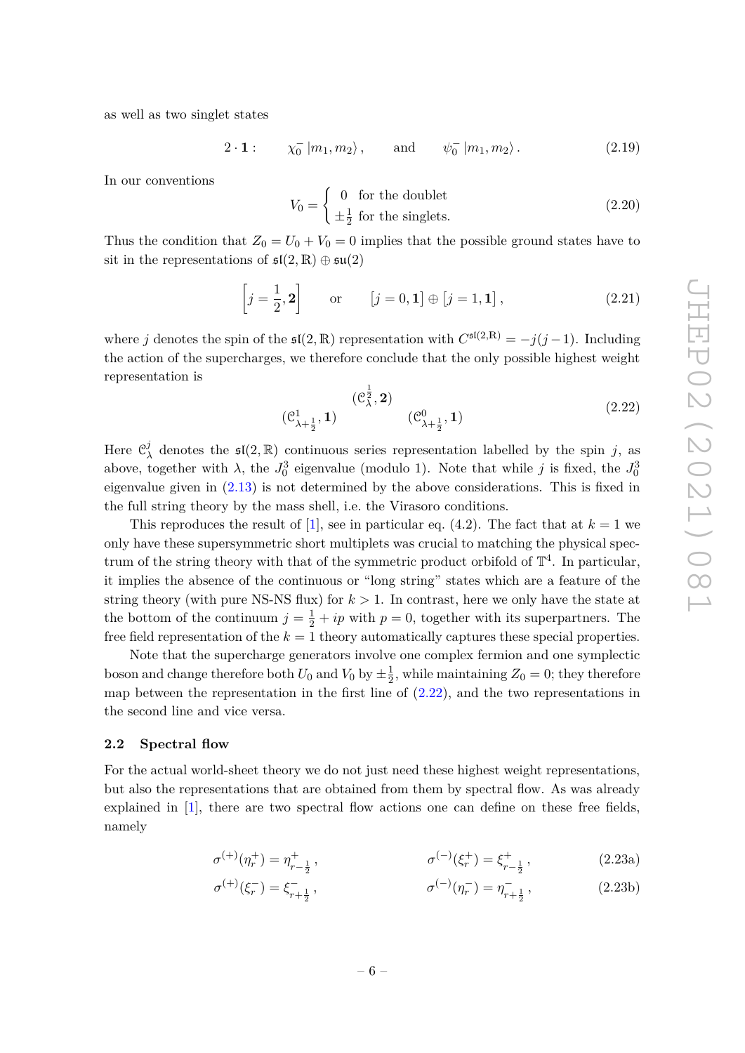as well as two singlet states

$$
2 \cdot \mathbf{1}: \qquad \chi_0^- \left| m_1, m_2 \right\rangle, \qquad \text{and} \qquad \psi_0^- \left| m_1, m_2 \right\rangle. \tag{2.19}
$$

In our conventions

$$
V_0 = \begin{cases} 0 & \text{for the doublet} \\ \pm \frac{1}{2} & \text{for the singlets.} \end{cases}
$$
 (2.20)

Thus the condition that  $Z_0 = U_0 + V_0 = 0$  implies that the possible ground states have to sit in the representations of  $\mathfrak{sl}(2,\mathbb{R})\oplus \mathfrak{su}(2)$ 

$$
\left[j = \frac{1}{2}, 2\right] \qquad \text{or} \qquad \left[j = 0, 1\right] \oplus \left[j = 1, 1\right],\tag{2.21}
$$

where *j* denotes the spin of the  $\mathfrak{sl}(2,\mathbb{R})$  representation with  $C^{\mathfrak{sl}(2,\mathbb{R})} = -j(j-1)$ . Including the action of the supercharges, we therefore conclude that the only possible highest weight representation is

<span id="page-8-1"></span>
$$
(\mathcal{C}_{\lambda+\frac{1}{2}}^{1}, 1) \qquad (\mathcal{C}_{\lambda+\frac{1}{2}}^{0}, 1) \qquad (2.22)
$$

Here C *j*  $\lambda$ <sup>*j*</sup> denotes the **s**(2, R) continuous series representation labelled by the spin *j*, as above, together with  $\lambda$ , the  $J_0^3$  eigenvalue (modulo 1). Note that while *j* is fixed, the  $J_0^3$ eigenvalue given in [\(2.13\)](#page-7-2) is not determined by the above considerations. This is fixed in the full string theory by the mass shell, i.e. the Virasoro conditions.

This reproduces the result of [\[1\]](#page-42-0), see in particular eq. (4.2). The fact that at  $k = 1$  we only have these supersymmetric short multiplets was crucial to matching the physical spectrum of the string theory with that of the symmetric product orbifold of  $\mathbb{T}^4$ . In particular, it implies the absence of the continuous or "long string" states which are a feature of the string theory (with pure NS-NS flux) for  $k > 1$ . In contrast, here we only have the state at the bottom of the continuum  $j = \frac{1}{2} + ip$  with  $p = 0$ , together with its superpartners. The free field representation of the *k* = 1 theory automatically captures these special properties.

Note that the supercharge generators involve one complex fermion and one symplectic boson and change therefore both  $U_0$  and  $V_0$  by  $\pm \frac{1}{2}$  $\frac{1}{2}$ , while maintaining  $Z_0 = 0$ ; they therefore map between the representation in the first line of  $(2.22)$ , and the two representations in the second line and vice versa.

#### <span id="page-8-0"></span>**2.2 Spectral flow**

For the actual world-sheet theory we do not just need these highest weight representations, but also the representations that are obtained from them by spectral flow. As was already explained in [\[1\]](#page-42-0), there are two spectral flow actions one can define on these free fields, namely

$$
\sigma^{(+)}(\eta_r^+) = \eta_{r-\frac{1}{2}}^+, \qquad \sigma^{(-)}(\xi_r^+) = \xi_{r-\frac{1}{2}}^+, \qquad (2.23a)
$$

$$
\sigma^{(+)}(\xi_r^-) = \xi_{r+\frac{1}{2}}^-, \qquad \sigma^{(-)}(\eta_r^-) = \eta_{r+\frac{1}{2}}^-, \qquad (2.23b)
$$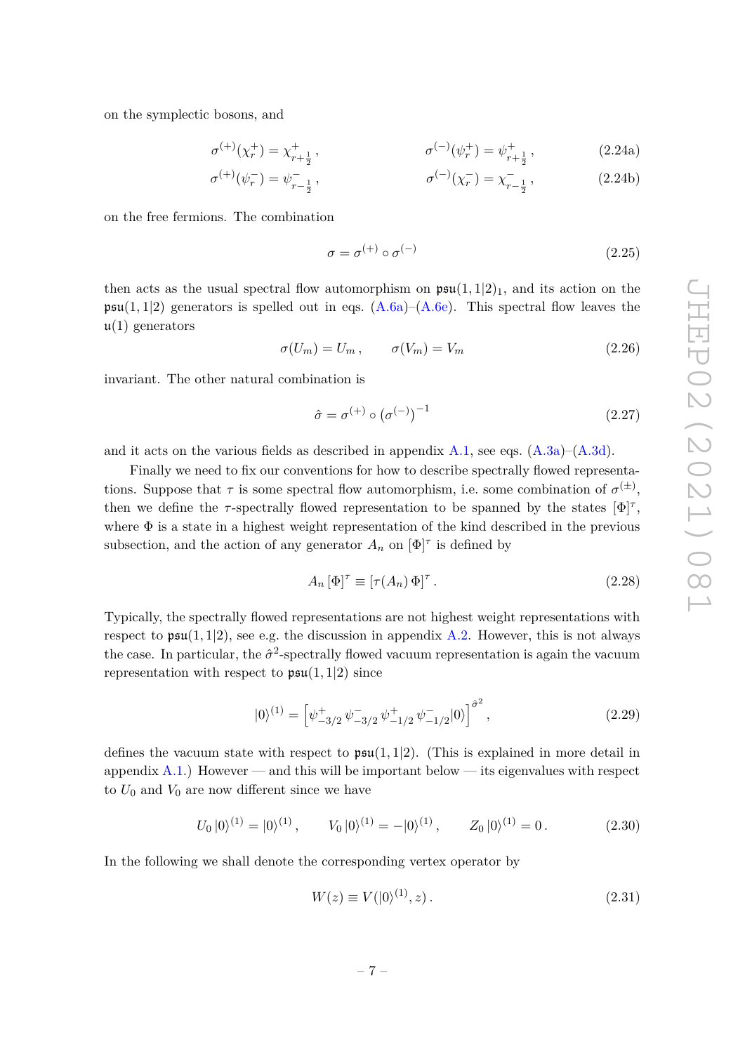on the symplectic bosons, and

$$
\sigma^{(+)}(\chi_r^+) = \chi_{r+\frac{1}{2}}^+, \qquad \sigma^{(-)}(\psi_r^+) = \psi_{r+\frac{1}{2}}^+, \qquad (2.24a)
$$

$$
\sigma^{(+)}(\psi_r^-) = \psi_{r-\frac{1}{2}}^-, \qquad \sigma^{(-)}(\chi_r^-) = \chi_{r-\frac{1}{2}}^-, \qquad (2.24b)
$$

on the free fermions. The combination

$$
\sigma = \sigma^{(+)} \circ \sigma^{(-)} \tag{2.25}
$$

then acts as the usual spectral flow automorphism on  $\mathfrak{psu}(1,1|2)_1$ , and its action on the  $\mathfrak{psu}(1,1|2)$  generators is spelled out in eqs.  $(A.6a)$ – $(A.6e)$ . This spectral flow leaves the  $\mu(1)$  generators

$$
\sigma(U_m) = U_m \,, \qquad \sigma(V_m) = V_m \tag{2.26}
$$

invariant. The other natural combination is

$$
\hat{\sigma} = \sigma^{(+)} \circ (\sigma^{(-)})^{-1} \tag{2.27}
$$

and it acts on the various fields as described in appendix  $A.1$ , see eqs.  $(A.3a)$ – $(A.3d)$ .

Finally we need to fix our conventions for how to describe spectrally flowed representations. Suppose that  $\tau$  is some spectral flow automorphism, i.e. some combination of  $\sigma^{(\pm)}$ , then we define the  $\tau$ -spectrally flowed representation to be spanned by the states  $[\Phi]^{\tau}$ , where  $\Phi$  is a state in a highest weight representation of the kind described in the previous subsection, and the action of any generator  $A_n$  on  $[\Phi]^\tau$  is defined by

<span id="page-9-0"></span>
$$
A_n [\Phi]^\tau \equiv [\tau(A_n) \Phi]^\tau. \tag{2.28}
$$

Typically, the spectrally flowed representations are not highest weight representations with respect to  $\mathfrak{psu}(1,1|2)$ , see e.g. the discussion in appendix [A.2.](#page-34-0) However, this is not always the case. In particular, the  $\hat{\sigma}^2$ -spectrally flowed vacuum representation is again the vacuum representation with respect to  $\mathfrak{psu}(1,1|2)$  since

<span id="page-9-2"></span>
$$
|0\rangle^{(1)} = \left[\psi_{-3/2}^{+}\,\psi_{-3/2}^{-}\,\psi_{-1/2}^{+}\,\psi_{-1/2}^{-}|0\rangle\right]^{\hat{\sigma}^{2}},\tag{2.29}
$$

defines the vacuum state with respect to  $\mathfrak{psu}(1,1|2)$ . (This is explained in more detail in appendix  $A.1$ .) However — and this will be important below — its eigenvalues with respect to  $U_0$  and  $V_0$  are now different since we have

<span id="page-9-3"></span>
$$
U_0 |0\rangle^{(1)} = |0\rangle^{(1)}, \qquad V_0 |0\rangle^{(1)} = -|0\rangle^{(1)}, \qquad Z_0 |0\rangle^{(1)} = 0. \tag{2.30}
$$

In the following we shall denote the corresponding vertex operator by

<span id="page-9-1"></span>
$$
W(z) \equiv V(|0\rangle^{(1)}, z). \tag{2.31}
$$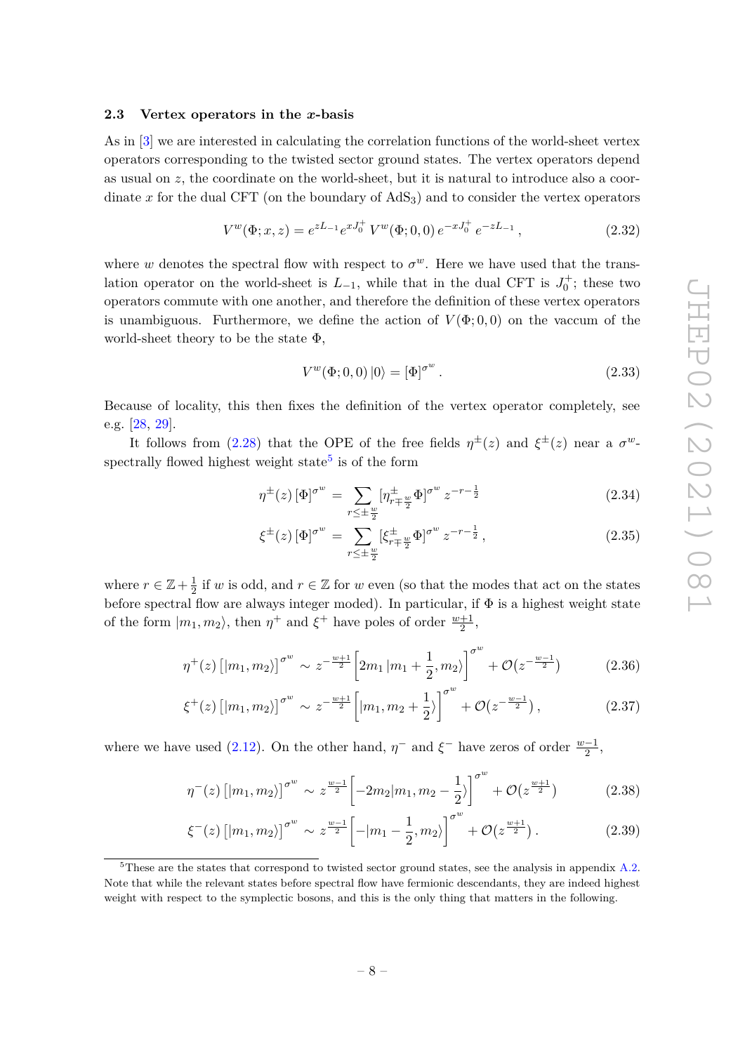#### <span id="page-10-0"></span>**2.3 Vertex operators in the** *x***-basis**

As in [\[3\]](#page-42-2) we are interested in calculating the correlation functions of the world-sheet vertex operators corresponding to the twisted sector ground states. The vertex operators depend as usual on *z*, the coordinate on the world-sheet, but it is natural to introduce also a coordinate  $x$  for the dual CFT (on the boundary of  $AdS<sub>3</sub>$ ) and to consider the vertex operators

$$
V^{w}(\Phi; x, z) = e^{zL_{-1}} e^{xJ_0^+} V^{w}(\Phi; 0, 0) e^{-xJ_0^+} e^{-zL_{-1}}, \qquad (2.32)
$$

where *w* denotes the spectral flow with respect to  $\sigma^w$ . Here we have used that the translation operator on the world-sheet is  $L_{-1}$ , while that in the dual CFT is  $J_0^+$ ; these two operators commute with one another, and therefore the definition of these vertex operators is unambiguous. Furthermore, we define the action of  $V(\Phi, 0, 0)$  on the vaccum of the world-sheet theory to be the state  $\Phi$ ,

$$
V^w(\Phi; 0, 0) |0\rangle = [\Phi]^{\sigma^w}.
$$
\n(2.33)

Because of locality, this then fixes the definition of the vertex operator completely, see e.g. [\[28,](#page-44-1) [29\]](#page-44-2).

It follows from [\(2.28\)](#page-9-0) that the OPE of the free fields  $\eta^{\pm}(z)$  and  $\xi^{\pm}(z)$  near a  $\sigma^{w}$ -spectrally flowed highest weight state<sup>[5](#page-10-1)</sup> is of the form

$$
\eta^{\pm}(z) \left[\Phi\right]^{\sigma^w} = \sum_{r \le \pm \frac{w}{2}} \left[\eta^{\pm}_{r \mp \frac{w}{2}} \Phi\right]^{\sigma^w} z^{-r - \frac{1}{2}} \tag{2.34}
$$

$$
\xi^{\pm}(z) \left[\Phi\right]^{\sigma^w} = \sum_{r \le \pm \frac{w}{2}} \left[\xi^{\pm}_{r \mp \frac{w}{2}} \Phi\right]^{\sigma^w} z^{-r - \frac{1}{2}},\tag{2.35}
$$

where  $r \in \mathbb{Z} + \frac{1}{2}$  $\frac{1}{2}$  if *w* is odd, and  $r \in \mathbb{Z}$  for *w* even (so that the modes that act on the states before spectral flow are always integer moded). In particular, if  $\Phi$  is a highest weight state of the form  $|m_1, m_2\rangle$ , then  $\eta^+$  and  $\xi^+$  have poles of order  $\frac{w+1}{2}$ ,

<span id="page-10-2"></span>
$$
\eta^+(z) \left[ |m_1, m_2\rangle \right]^{\sigma^w} \sim z^{-\frac{w+1}{2}} \left[ 2m_1 \left| m_1 + \frac{1}{2}, m_2 \right\rangle \right]^{\sigma^w} + \mathcal{O}(z^{-\frac{w-1}{2}}) \tag{2.36}
$$

$$
\xi^{+}(z) \left[ |m_1, m_2\rangle \right]^{\sigma^{w}} \sim z^{-\frac{w+1}{2}} \left[ |m_1, m_2 + \frac{1}{2}\rangle \right]^{\sigma^{w}} + \mathcal{O}(z^{-\frac{w-1}{2}}), \tag{2.37}
$$

where we have used [\(2.12\)](#page-7-3). On the other hand,  $\eta^-$  and  $\xi^-$  have zeros of order  $\frac{w-1}{2}$ ,

<span id="page-10-3"></span>
$$
\eta^{-}(z) \left[ |m_1, m_2\rangle \right]^{\sigma^w} \sim z^{\frac{w-1}{2}} \left[ -2m_2 |m_1, m_2 - \frac{1}{2} \rangle \right]^{\sigma^w} + \mathcal{O}(z^{\frac{w+1}{2}}) \tag{2.38}
$$

$$
\xi^{-}(z) \left[ |m_1, m_2\rangle \right]^{\sigma^w} \sim z^{\frac{w-1}{2}} \left[ -|m_1 - \frac{1}{2}, m_2\rangle \right]^{\sigma^w} + \mathcal{O}(z^{\frac{w+1}{2}}). \tag{2.39}
$$

<span id="page-10-1"></span> $5$ These are the states that correspond to twisted sector ground states, see the analysis in appendix [A.2.](#page-34-0) Note that while the relevant states before spectral flow have fermionic descendants, they are indeed highest weight with respect to the symplectic bosons, and this is the only thing that matters in the following.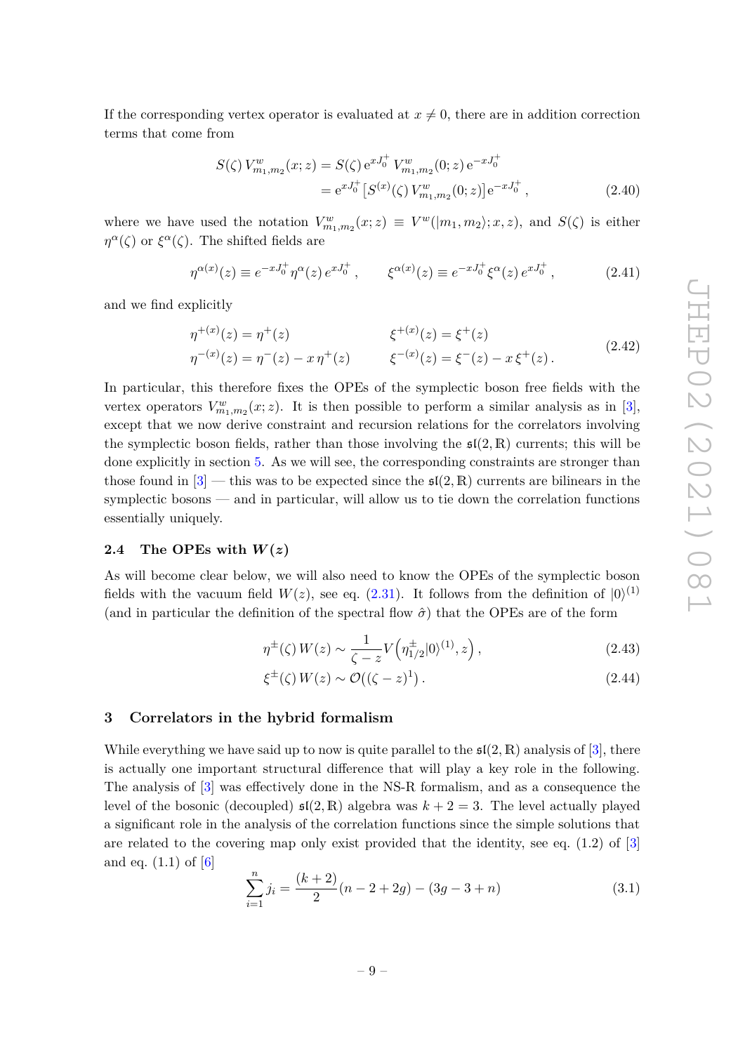If the corresponding vertex operator is evaluated at  $x \neq 0$ , there are in addition correction terms that come from

$$
S(\zeta) V_{m_1, m_2}^w(x; z) = S(\zeta) e^{xJ_0^+} V_{m_1, m_2}^w(0; z) e^{-xJ_0^+}
$$
  
=  $e^{xJ_0^+} [S^{(x)}(\zeta) V_{m_1, m_2}^w(0; z)] e^{-xJ_0^+},$  (2.40)

where we have used the notation  $V^w_{m_1,m_2}(x;z) \equiv V^w(|m_1,m_2\rangle;x,z)$ , and  $S(\zeta)$  is either *η*<sup>α</sup>(*ζ*) or  $\xi^{\alpha}(\zeta)$ . The shifted fields are

$$
\eta^{\alpha(x)}(z) \equiv e^{-xJ_0^+} \eta^{\alpha}(z) e^{xJ_0^+}, \qquad \xi^{\alpha(x)}(z) \equiv e^{-xJ_0^+} \xi^{\alpha}(z) e^{xJ_0^+}, \qquad (2.41)
$$

and we find explicitly

<span id="page-11-4"></span>
$$
\eta^{+(x)}(z) = \eta^{+}(z) \qquad \xi^{+(x)}(z) = \xi^{+}(z) \n\eta^{-(x)}(z) = \eta^{-}(z) - x \eta^{+}(z) \qquad \xi^{-(x)}(z) = \xi^{-}(z) - x \xi^{+}(z).
$$
\n(2.42)

In particular, this therefore fixes the OPEs of the symplectic boson free fields with the vertex operators  $V_{m_1,m_2}^w(x; z)$ . It is then possible to perform a similar analysis as in [\[3\]](#page-42-2), except that we now derive constraint and recursion relations for the correlators involving the symplectic boson fields, rather than those involving the  $\mathfrak{sl}(2,\mathbb{R})$  currents; this will be done explicitly in section [5.](#page-22-0) As we will see, the corresponding constraints are stronger than those found in  $[3]$  — this was to be expected since the  $\mathfrak{sl}(2,\mathbb{R})$  currents are bilinears in the symplectic bosons — and in particular, will allow us to tie down the correlation functions essentially uniquely.

#### <span id="page-11-0"></span>**2.4** The OPEs with  $W(z)$

As will become clear below, we will also need to know the OPEs of the symplectic boson fields with the vacuum field  $W(z)$ , see eq. [\(2.31\)](#page-9-1). It follows from the definition of  $|0\rangle^{(1)}$ (and in particular the definition of the spectral flow  $\hat{\sigma}$ ) that the OPEs are of the form

$$
\eta^{\pm}(\zeta) W(z) \sim \frac{1}{\zeta - z} V\left(\eta^{\pm}_{1/2} |0\rangle^{(1)}, z\right),\tag{2.43}
$$

<span id="page-11-3"></span>
$$
\xi^{\pm}(\zeta) W(z) \sim \mathcal{O}((\zeta - z)^1). \tag{2.44}
$$

# <span id="page-11-1"></span>**3 Correlators in the hybrid formalism**

While everything we have said up to now is quite parallel to the  $\mathfrak{sl}(2,\mathbb{R})$  analysis of [\[3\]](#page-42-2), there is actually one important structural difference that will play a key role in the following. The analysis of [\[3\]](#page-42-2) was effectively done in the NS-R formalism, and as a consequence the level of the bosonic (decoupled)  $\mathfrak{sl}(2,\mathbb{R})$  algebra was  $k+2=3$ . The level actually played a significant role in the analysis of the correlation functions since the simple solutions that are related to the covering map only exist provided that the identity, see eq. (1.2) of [\[3\]](#page-42-2) and eq.  $(1.1)$  of  $[6]$ 

<span id="page-11-2"></span>
$$
\sum_{i=1}^{n} j_i = \frac{(k+2)}{2}(n-2+2g) - (3g-3+n)
$$
\n(3.1)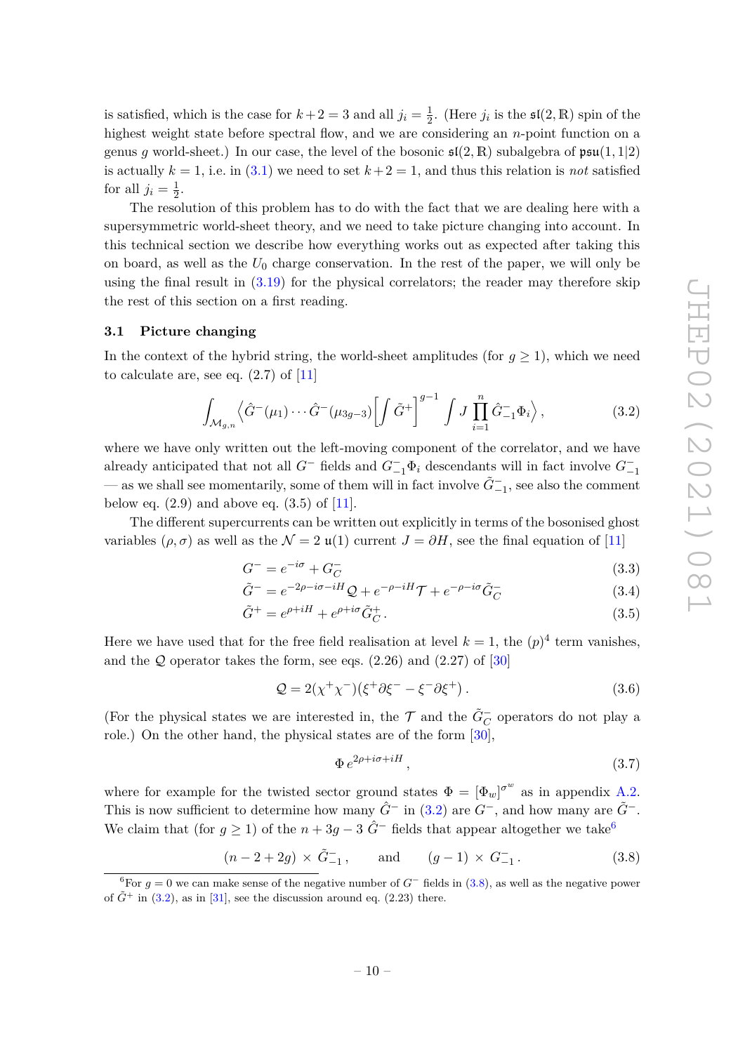is satisfied, which is the case for  $k+2=3$  and all  $j_i=\frac{1}{2}$  $\frac{1}{2}$ . (Here  $j_i$  is the  $\mathfrak{sl}(2,\mathbb{R})$  spin of the highest weight state before spectral flow, and we are considering an *n*-point function on a genus *g* world-sheet.) In our case, the level of the bosonic  $\mathfrak{sl}(2,\mathbb{R})$  subalgebra of  $\mathfrak{psu}(1,1|2)$ is actually  $k = 1$ , i.e. in [\(3.1\)](#page-11-2) we need to set  $k+2 = 1$ , and thus this relation is *not* satisfied for all  $j_i = \frac{1}{2}$  $\frac{1}{2}$ .

The resolution of this problem has to do with the fact that we are dealing here with a supersymmetric world-sheet theory, and we need to take picture changing into account. In this technical section we describe how everything works out as expected after taking this on board, as well as the *U*<sup>0</sup> charge conservation. In the rest of the paper, we will only be using the final result in  $(3.19)$  for the physical correlators; the reader may therefore skip the rest of this section on a first reading.

#### <span id="page-12-0"></span>**3.1 Picture changing**

In the context of the hybrid string, the world-sheet amplitudes (for  $g \geq 1$ ), which we need to calculate are, see eq.  $(2.7)$  of  $[11]$ 

<span id="page-12-1"></span>
$$
\int_{\mathcal{M}_{g,n}} \left\langle \hat{G}^-(\mu_1) \cdots \hat{G}^-(\mu_{3g-3}) \left[ \int \tilde{G}^+ \right]^{g-1} \int J \prod_{i=1}^n \hat{G}^-_{-1} \Phi_i \right\rangle, \tag{3.2}
$$

where we have only written out the left-moving component of the correlator, and we have already anticipated that not all  $G^-$  fields and  $G^-_{-1}\Phi_i$  descendants will in fact involve  $G^-_{-1}$  $-$  as we shall see momentarily, some of them will in fact involve  $\tilde{G}^-_{-1}$ , see also the comment below eq.  $(2.9)$  and above eq.  $(3.5)$  of  $[11]$ .

The different supercurrents can be written out explicitly in terms of the bosonised ghost variables  $(\rho, \sigma)$  as well as the  $\mathcal{N} = 2 \mathfrak{u}(1)$  current  $J = \partial H$ , see the final equation of [\[11\]](#page-43-4)

$$
G^- = e^{-i\sigma} + G_C^- \tag{3.3}
$$

$$
\tilde{G}^- = e^{-2\rho - i\sigma - iH} \mathcal{Q} + e^{-\rho - iH} \mathcal{T} + e^{-\rho - i\sigma} \tilde{G}^-_C
$$
\n(3.4)

$$
\tilde{G}^+ = e^{\rho + iH} + e^{\rho + i\sigma} \tilde{G}^+_C. \tag{3.5}
$$

Here we have used that for the free field realisation at level  $k = 1$ , the  $(p)^4$  term vanishes, and the  $Q$  operator takes the form, see eqs.  $(2.26)$  and  $(2.27)$  of  $[30]$ 

$$
\mathcal{Q} = 2(\chi^+ \chi^-)(\xi^+ \partial \xi^- - \xi^- \partial \xi^+).
$$
\n(3.6)

(For the physical states we are interested in, the  $\mathcal{T}$  and the  $\tilde{G}_{C}^-$  operators do not play a role.) On the other hand, the physical states are of the form [\[30\]](#page-44-3),

$$
\Phi \, e^{2\rho + i\sigma + iH} \,, \tag{3.7}
$$

where for example for the twisted sector ground states  $\Phi = [\Phi_w]^{\sigma_w}$  as in appendix [A.2.](#page-34-0) This is now sufficient to determine how many  $\hat{G}^-$  in [\(3.2\)](#page-12-1) are  $G^-$ , and how many are  $\tilde{G}^-$ . We claim that (for  $g \ge 1$ ) of the  $n + 3g - 3$   $\hat{G}^-$  fields that appear altogether we take<sup>[6](#page-12-2)</sup>

<span id="page-12-3"></span>
$$
(n-2+2g) \times \tilde{G}_{-1}^{-}
$$
, and  $(g-1) \times G_{-1}^{-}$ . (3.8)

<span id="page-12-2"></span><sup>&</sup>lt;sup>6</sup>For  $g = 0$  we can make sense of the negative number of  $G^-$  fields in [\(3.8\)](#page-12-3), as well as the negative power of  $\tilde{G}^+$  in [\(3.2\)](#page-12-1), as in [\[31\]](#page-44-4), see the discussion around eq. (2.23) there.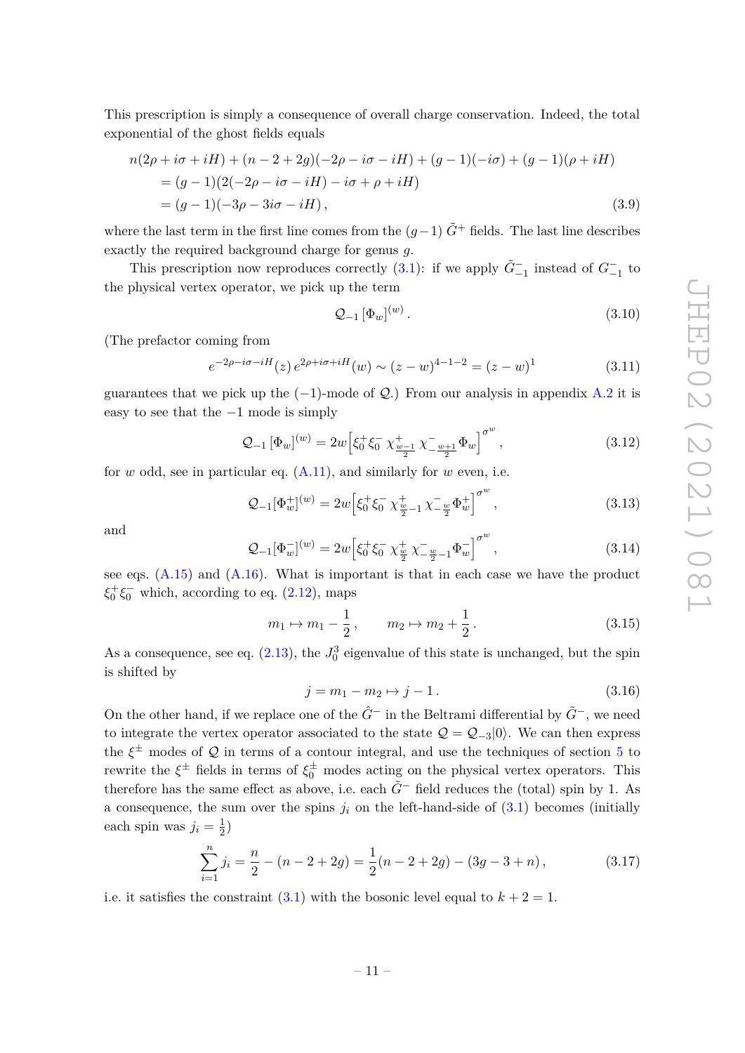This prescription is simply a consequence of overall charge conservation. Indeed, the total exponential of the ghost fields equals

$$
n(2\rho + i\sigma + iH) + (n - 2 + 2g)(-2\rho - i\sigma - iH) + (g - 1)(-i\sigma) + (g - 1)(\rho + iH)
$$
  
=  $(g - 1)(2(-2\rho - i\sigma - iH) - i\sigma + \rho + iH)$   
=  $(g - 1)(-3\rho - 3i\sigma - iH),$  (3.9)

where the last term in the first line comes from the  $(q-1)$   $\tilde{G}$ <sup>+</sup> fields. The last line describes exactly the required background charge for genus *g*.

This prescription now reproduces correctly  $(3.1)$ : if we apply  $\tilde{G}^-_{-1}$  instead of  $G^-_{-1}$  to the physical vertex operator, we pick up the term

$$
\mathcal{Q}_{-1} \left[ \Phi_w \right]^{(w)}.
$$
\n
$$
(3.10)
$$

(The prefactor coming from

$$
e^{-2\rho - i\sigma - iH}(z) e^{2\rho + i\sigma + iH}(w) \sim (z - w)^{4 - 1 - 2} = (z - w)^{1}
$$
\n(3.11)

guarantees that we pick up the  $(-1)$ -mode of  $\mathcal{Q}$ .) From our analysis in appendix [A.2](#page-34-0) it is easy to see that the −1 mode is simply

<span id="page-13-0"></span>
$$
\mathcal{Q}_{-1} \left[ \Phi_w \right]^{(w)} = 2w \left[ \xi_0^+ \xi_0^- \ \chi_{\frac{w-1}{2}}^+ \ \chi_{-\frac{w+1}{2}}^- \Phi_w \right]^{\sigma^w},\tag{3.12}
$$

for *w* odd, see in particular eq. [\(A.11\)](#page-34-4), and similarly for *w* even, i.e.

$$
\mathcal{Q}_{-1}[\Phi_w^+]^{(w)} = 2w \Big[ \xi_0^+ \xi_0^- \, \chi_{\frac{w}{2}-1}^+ \, \chi_{-\frac{w}{2}}^- \Phi_w^+ \Big]^{\sigma^w} \,, \tag{3.13}
$$

and

$$
\mathcal{Q}_{-1}[\Phi_w^{-}]^{(w)} = 2w \Big[ \xi_0^+ \xi_0^- \chi_{\frac{w}{2}}^+ \chi_{-\frac{w}{2}-1}^- \Phi_w^{-} \Big]^{\sigma^w},\tag{3.14}
$$

see eqs.  $(A.15)$  and  $(A.16)$ . What is important is that in each case we have the product  $\xi_0^+\xi_0^-$  which, according to eq. [\(2.12\)](#page-7-3), maps

$$
m_1 \mapsto m_1 - \frac{1}{2}, \qquad m_2 \mapsto m_2 + \frac{1}{2}.
$$
 (3.15)

As a consequence, see eq.  $(2.13)$ , the  $J_0^3$  eigenvalue of this state is unchanged, but the spin is shifted by

$$
j = m_1 - m_2 \mapsto j - 1.
$$
 (3.16)

On the other hand, if we replace one of the *G*ˆ<sup>−</sup> in the Beltrami differential by *G*˜−, we need to integrate the vertex operator associated to the state  $\mathcal{Q} = \mathcal{Q}_{-3} | 0 \rangle$ . We can then express the  $\xi^{\pm}$  modes of  $\mathcal Q$  in terms of a contour integral, and use the techniques of section [5](#page-22-0) to rewrite the  $\xi^{\pm}$  fields in terms of  $\xi_0^{\pm}$  modes acting on the physical vertex operators. This therefore has the same effect as above, i.e. each  $\tilde{G}^-$  field reduces the (total) spin by 1. As a consequence, the sum over the spins  $j_i$  on the left-hand-side of  $(3.1)$  becomes (initially each spin was  $j_i = \frac{1}{2}$  $(\frac{1}{2})$ 

$$
\sum_{i=1}^{n} j_i = \frac{n}{2} - (n - 2 + 2g) = \frac{1}{2}(n - 2 + 2g) - (3g - 3 + n),
$$
\n(3.17)

i.e. it satisfies the constraint  $(3.1)$  with the bosonic level equal to  $k + 2 = 1$ .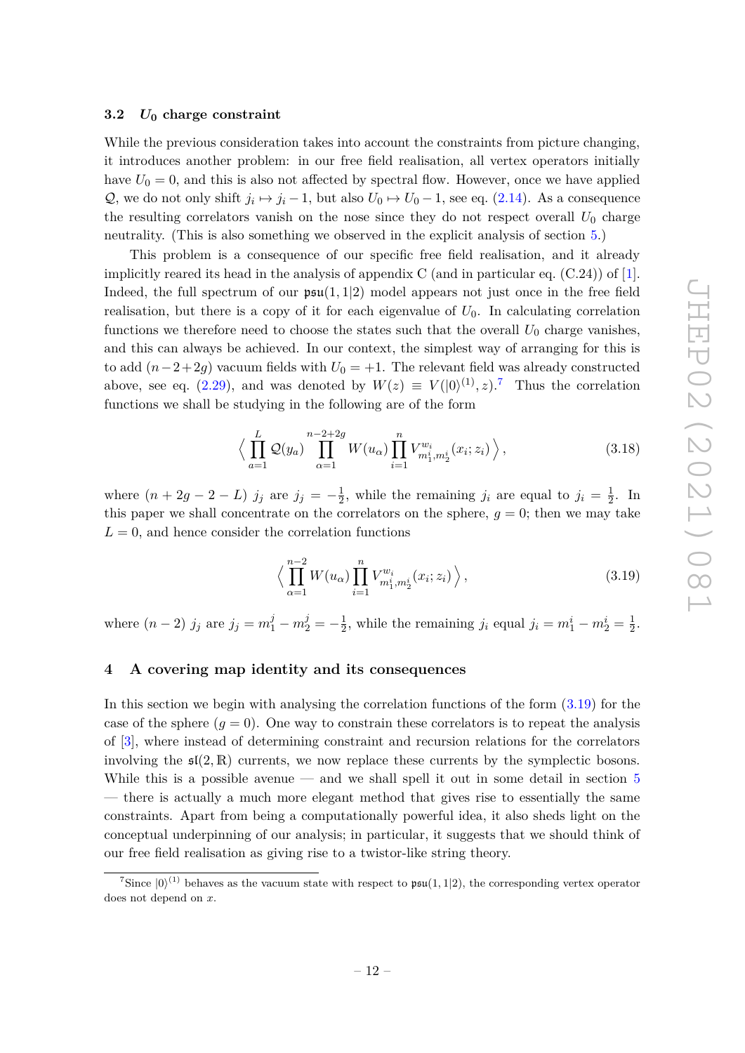#### <span id="page-14-0"></span>**3.2** *U***<sup>0</sup> charge constraint**

While the previous consideration takes into account the constraints from picture changing, it introduces another problem: in our free field realisation, all vertex operators initially have  $U_0 = 0$ , and this is also not affected by spectral flow. However, once we have applied Q, we do not only shift  $j_i \mapsto j_i - 1$ , but also  $U_0 \mapsto U_0 - 1$ , see eq. [\(2.14\)](#page-7-2). As a consequence the resulting correlators vanish on the nose since they do not respect overall  $U_0$  charge neutrality. (This is also something we observed in the explicit analysis of section [5.](#page-22-0))

This problem is a consequence of our specific free field realisation, and it already implicitly reared its head in the analysis of appendix C (and in particular eq.  $(C.24)$ ) of [\[1\]](#page-42-0). Indeed, the full spectrum of our  $\mathfrak{psu}(1,1|2)$  model appears not just once in the free field realisation, but there is a copy of it for each eigenvalue of  $U_0$ . In calculating correlation functions we therefore need to choose the states such that the overall  $U_0$  charge vanishes, and this can always be achieved. In our context, the simplest way of arranging for this is to add  $(n-2+2g)$  vacuum fields with  $U_0 = +1$ . The relevant field was already constructed above, see eq.  $(2.29)$ , and was denoted by  $W(z) \equiv V(|0\rangle^{(1)}, z)$ .<sup>[7](#page-14-3)</sup> Thus the correlation functions we shall be studying in the following are of the form

$$
\left\langle \prod_{a=1}^{L} \mathcal{Q}(y_a) \prod_{\alpha=1}^{n-2+2g} W(u_\alpha) \prod_{i=1}^{n} V_{m_1^i, m_2^i}^{w_i}(x_i; z_i) \right\rangle, \tag{3.18}
$$

where  $(n + 2g - 2 - L)$  *j<sub>j</sub>* are  $j_j = -\frac{1}{2}$  $\frac{1}{2}$ , while the remaining *j<sub>i</sub>* are equal to  $j_i = \frac{1}{2}$  $\frac{1}{2}$ . In this paper we shall concentrate on the correlators on the sphere,  $q = 0$ ; then we may take  $L = 0$ , and hence consider the correlation functions

<span id="page-14-2"></span>
$$
\left\langle \prod_{\alpha=1}^{n-2} W(u_{\alpha}) \prod_{i=1}^{n} V_{m_1^i, m_2^i}^{w_i}(x_i; z_i) \right\rangle, \tag{3.19}
$$

where  $(n-2)$  *j<sub>j</sub>* are  $j_j = m_1^j - m_2^j = -\frac{1}{2}$  $\frac{1}{2}$ , while the remaining *j<sub>i</sub>* equal  $j_i = m_1^i - m_2^i = \frac{1}{2}$  $rac{1}{2}$ .

# <span id="page-14-1"></span>**4 A covering map identity and its consequences**

In this section we begin with analysing the correlation functions of the form  $(3.19)$  for the case of the sphere  $(g = 0)$ . One way to constrain these correlators is to repeat the analysis of [\[3\]](#page-42-2), where instead of determining constraint and recursion relations for the correlators involving the  $\mathfrak{sl}(2,\mathbb{R})$  currents, we now replace these currents by the symplectic bosons. While this is a possible avenue  $-$  and we shall spell it out in some detail in section [5](#page-22-0) — there is actually a much more elegant method that gives rise to essentially the same constraints. Apart from being a computationally powerful idea, it also sheds light on the conceptual underpinning of our analysis; in particular, it suggests that we should think of our free field realisation as giving rise to a twistor-like string theory.

<span id="page-14-3"></span><sup>&</sup>lt;sup>7</sup>Since  $|0\rangle^{(1)}$  behaves as the vacuum state with respect to  $\mathfrak{psu}(1,1|2)$ , the corresponding vertex operator does not depend on *x*.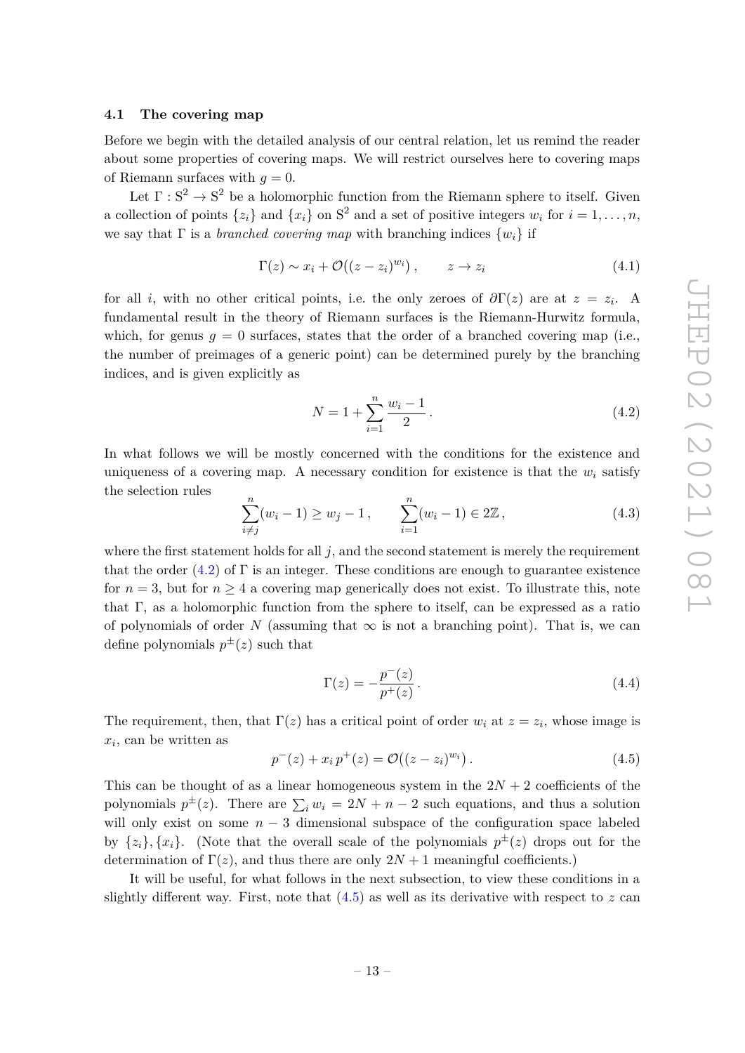#### <span id="page-15-0"></span>**4.1 The covering map**

Before we begin with the detailed analysis of our central relation, let us remind the reader about some properties of covering maps. We will restrict ourselves here to covering maps of Riemann surfaces with  $q = 0$ .

Let  $\Gamma: S^2 \to S^2$  be a holomorphic function from the Riemann sphere to itself. Given a collection of points  $\{z_i\}$  and  $\{x_i\}$  on  $S^2$  and a set of positive integers  $w_i$  for  $i = 1, \ldots, n$ , we say that  $\Gamma$  is a *branched covering map* with branching indices  $\{w_i\}$  if

$$
\Gamma(z) \sim x_i + \mathcal{O}\big((z - z_i)^{w_i}\big), \qquad z \to z_i \tag{4.1}
$$

for all *i*, with no other critical points, i.e. the only zeroes of  $\partial \Gamma(z)$  are at  $z = z_i$ . A fundamental result in the theory of Riemann surfaces is the Riemann-Hurwitz formula, which, for genus  $q = 0$  surfaces, states that the order of a branched covering map (i.e., the number of preimages of a generic point) can be determined purely by the branching indices, and is given explicitly as

<span id="page-15-1"></span>
$$
N = 1 + \sum_{i=1}^{n} \frac{w_i - 1}{2} \,. \tag{4.2}
$$

In what follows we will be mostly concerned with the conditions for the existence and uniqueness of a covering map. A necessary condition for existence is that the  $w_i$  satisfy the selection rules

<span id="page-15-4"></span>
$$
\sum_{i \neq j}^{n} (w_i - 1) \ge w_j - 1, \qquad \sum_{i=1}^{n} (w_i - 1) \in 2\mathbb{Z}, \tag{4.3}
$$

where the first statement holds for all  $j$ , and the second statement is merely the requirement that the order  $(4.2)$  of  $\Gamma$  is an integer. These conditions are enough to guarantee existence for  $n = 3$ , but for  $n \geq 4$  a covering map generically does not exist. To illustrate this, note that Γ, as a holomorphic function from the sphere to itself, can be expressed as a ratio of polynomials of order *N* (assuming that  $\infty$  is not a branching point). That is, we can define polynomials  $p^{\pm}(z)$  such that

<span id="page-15-3"></span>
$$
\Gamma(z) = -\frac{p^-(z)}{p^+(z)}.
$$
\n(4.4)

The requirement, then, that  $\Gamma(z)$  has a critical point of order  $w_i$  at  $z = z_i$ , whose image is *xi* , can be written as

<span id="page-15-2"></span>
$$
p^{-}(z) + x_i p^{+}(z) = \mathcal{O}((z - z_i)^{w_i}). \qquad (4.5)
$$

This can be thought of as a linear homogeneous system in the  $2N + 2$  coefficients of the polynomials  $p^{\pm}(z)$ . There are  $\sum_i w_i = 2N + n - 2$  such equations, and thus a solution will only exist on some  $n-3$  dimensional subspace of the configuration space labeled by  $\{z_i\}$ ,  $\{x_i\}$ . (Note that the overall scale of the polynomials  $p^{\pm}(z)$  drops out for the determination of  $\Gamma(z)$ , and thus there are only  $2N+1$  meaningful coefficients.)

It will be useful, for what follows in the next subsection, to view these conditions in a slightly different way. First, note that [\(4.5\)](#page-15-2) as well as its derivative with respect to *z* can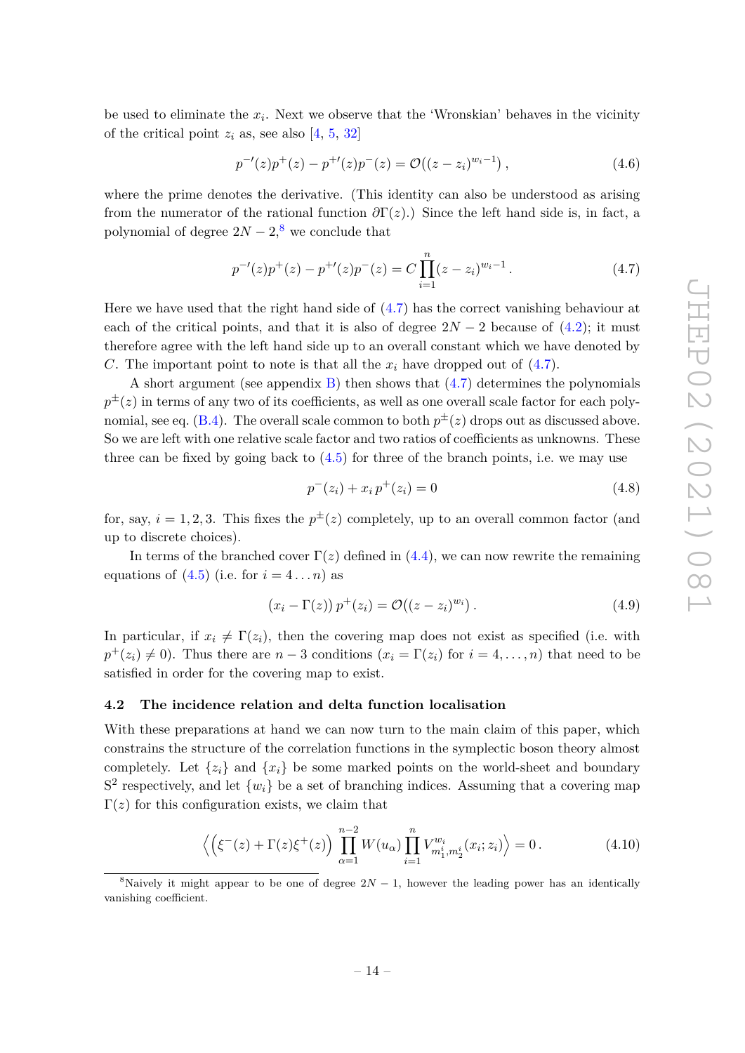be used to eliminate the  $x_i$ . Next we observe that the 'Wronskian' behaves in the vicinity of the critical point  $z_i$  as, see also [\[4,](#page-42-3) [5,](#page-43-0) [32\]](#page-44-5)

$$
p^{-1}(z)p^{+}(z) - p^{+1}(z)p^{-}(z) = \mathcal{O}((z - z_i)^{w_i - 1}), \qquad (4.6)
$$

where the prime denotes the derivative. (This identity can also be understood as arising from the numerator of the rational function  $\partial \Gamma(z)$ .) Since the left hand side is, in fact, a polynomial of degree  $2N-2$ ,<sup>[8](#page-16-2)</sup> we conclude that

<span id="page-16-3"></span>
$$
p^{-1}(z)p^{+}(z) - p^{+1}(z)p^{-}(z) = C \prod_{i=1}^{n} (z - z_i)^{w_i - 1}.
$$
 (4.7)

Here we have used that the right hand side of [\(4.7\)](#page-16-3) has the correct vanishing behaviour at each of the critical points, and that it is also of degree  $2N-2$  because of  $(4.2)$ ; it must therefore agree with the left hand side up to an overall constant which we have denoted by *C*. The important point to note is that all the  $x_i$  have dropped out of  $(4.7)$ .

A short argument (see appendix [B\)](#page-35-1) then shows that [\(4.7\)](#page-16-3) determines the polynomials  $p^{\pm}(z)$  in terms of any two of its coefficients, as well as one overall scale factor for each poly-nomial, see eq. [\(B.4\)](#page-36-2). The overall scale common to both  $p^{\pm}(z)$  drops out as discussed above. So we are left with one relative scale factor and two ratios of coefficients as unknowns. These three can be fixed by going back to  $(4.5)$  for three of the branch points, i.e. we may use

$$
p^{-}(z_i) + x_i p^{+}(z_i) = 0 \tag{4.8}
$$

for, say,  $i = 1, 2, 3$ . This fixes the  $p^{\pm}(z)$  completely, up to an overall common factor (and up to discrete choices).

In terms of the branched cover  $\Gamma(z)$  defined in [\(4.4\)](#page-15-3), we can now rewrite the remaining equations of  $(4.5)$  (i.e. for  $i = 4 \dots n$ ) as

$$
(x_i - \Gamma(z)) p^+(z_i) = \mathcal{O}((z - z_i)^{w_i}). \tag{4.9}
$$

In particular, if  $x_i \neq \Gamma(z_i)$ , then the covering map does not exist as specified (i.e. with  $p^+(z_i) \neq 0$ ). Thus there are  $n-3$  conditions  $(x_i = \Gamma(z_i)$  for  $i = 4, \ldots, n)$  that need to be satisfied in order for the covering map to exist.

#### <span id="page-16-0"></span>**4.2 The incidence relation and delta function localisation**

With these preparations at hand we can now turn to the main claim of this paper, which constrains the structure of the correlation functions in the symplectic boson theory almost completely. Let  $\{z_i\}$  and  $\{x_i\}$  be some marked points on the world-sheet and boundary  $S<sup>2</sup>$  respectively, and let  $\{w_i\}$  be a set of branching indices. Assuming that a covering map  $\Gamma(z)$  for this configuration exists, we claim that

<span id="page-16-1"></span>
$$
\left\langle \left( \xi^{-}(z) + \Gamma(z) \xi^{+}(z) \right) \prod_{\alpha=1}^{n-2} W(u_{\alpha}) \prod_{i=1}^{n} V_{m_{1}^{i}, m_{2}^{i}}^{w_{i}}(x_{i}; z_{i}) \right\rangle = 0. \tag{4.10}
$$

<span id="page-16-2"></span><sup>&</sup>lt;sup>8</sup>Naively it might appear to be one of degree  $2N-1$ , however the leading power has an identically vanishing coefficient.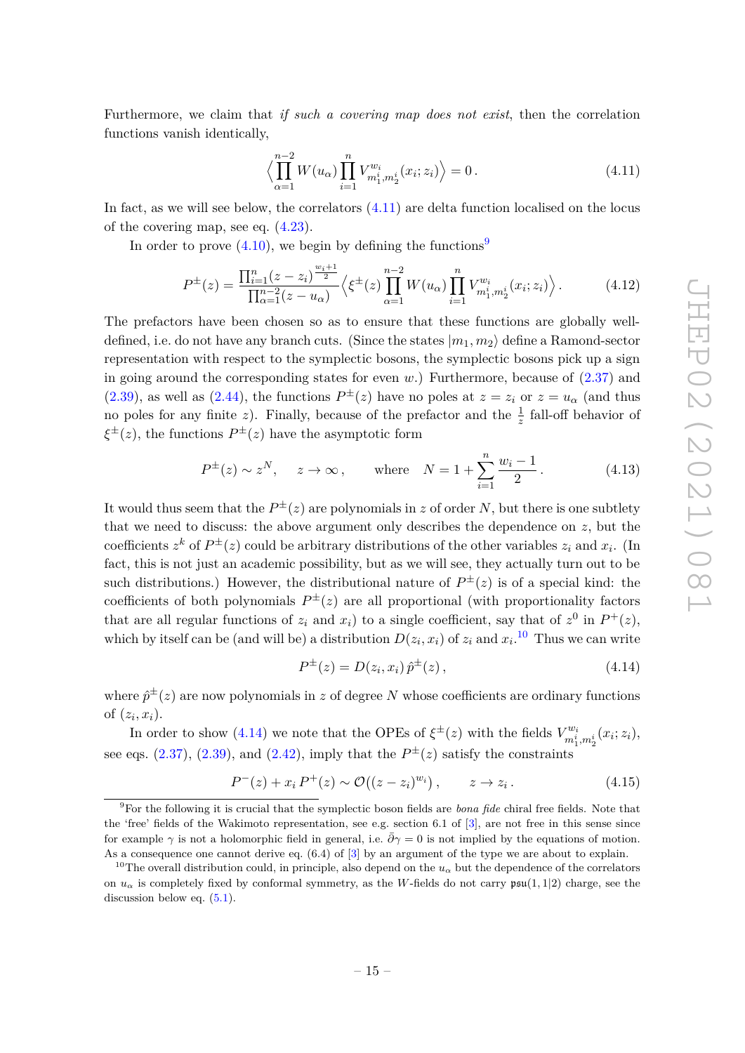Furthermore, we claim that *if such a covering map does not exist*, then the correlation functions vanish identically,

<span id="page-17-0"></span>
$$
\left\langle \prod_{\alpha=1}^{n-2} W(u_{\alpha}) \prod_{i=1}^{n} V_{m_1^i, m_2^i}^{w_i}(x_i; z_i) \right\rangle = 0.
$$
 (4.11)

In fact, as we will see below, the correlators [\(4.11\)](#page-17-0) are delta function localised on the locus of the covering map, see eq. [\(4.23\)](#page-19-2).

In order to prove  $(4.10)$ , we begin by defining the functions<sup>[9](#page-17-1)</sup>

<span id="page-17-4"></span>
$$
P^{\pm}(z) = \frac{\prod_{i=1}^{n} (z - z_i)^{\frac{w_i+1}{2}}}{\prod_{\alpha=1}^{n-2} (z - u_\alpha)} \left\langle \xi^{\pm}(z) \prod_{\alpha=1}^{n-2} W(u_\alpha) \prod_{i=1}^{n} V_{m_1^i, m_2^i}^{w_i}(x_i; z_i) \right\rangle. \tag{4.12}
$$

The prefactors have been chosen so as to ensure that these functions are globally welldefined, i.e. do not have any branch cuts. (Since the states  $|m_1, m_2\rangle$  define a Ramond-sector representation with respect to the symplectic bosons, the symplectic bosons pick up a sign in going around the corresponding states for even *w*.) Furthermore, because of [\(2.37\)](#page-10-2) and [\(2.39\)](#page-10-3), as well as [\(2.44\)](#page-11-3), the functions  $P^{\pm}(z)$  have no poles at  $z = z_i$  or  $z = u_{\alpha}$  (and thus no poles for any finite z). Finally, because of the prefactor and the  $\frac{1}{z}$  fall-off behavior of *ξ* <sup>±</sup>(*z*), the functions *P* <sup>±</sup>(*z*) have the asymptotic form

$$
P^{\pm}(z) \sim z^N
$$
,  $z \to \infty$ , where  $N = 1 + \sum_{i=1}^n \frac{w_i - 1}{2}$ . (4.13)

It would thus seem that the  $P^{\pm}(z)$  are polynomials in *z* of order *N*, but there is one subtlety that we need to discuss: the above argument only describes the dependence on *z*, but the coefficients  $z^k$  of  $P^{\pm}(z)$  could be arbitrary distributions of the other variables  $z_i$  and  $x_i$ . (In fact, this is not just an academic possibility, but as we will see, they actually turn out to be such distributions.) However, the distributional nature of  $P^{\pm}(z)$  is of a special kind: the coefficients of both polynomials  $P^{\pm}(z)$  are all proportional (with proportionality factors that are all regular functions of  $z_i$  and  $x_i$ ) to a single coefficient, say that of  $z^0$  in  $P^+(z)$ , which by itself can be (and will be) a distribution  $D(z_i, x_i)$  of  $z_i$  and  $x_i$ .<sup>[10](#page-17-2)</sup> Thus we can write

<span id="page-17-3"></span>
$$
P^{\pm}(z) = D(z_i, x_i) \hat{p}^{\pm}(z), \qquad (4.14)
$$

where  $\hat{p}^{\pm}(z)$  are now polynomials in *z* of degree *N* whose coefficients are ordinary functions of  $(z_i, x_i)$ .

In order to show [\(4.14\)](#page-17-3) we note that the OPEs of  $\xi^{\pm}(z)$  with the fields  $V_{mi}^{w_i}$  $\binom{w_i}{m^i_1,m^i_2}(x_i;z_i),$ see eqs.  $(2.37), (2.39),$  $(2.37), (2.39),$  $(2.37), (2.39),$  $(2.37), (2.39),$  and  $(2.42),$  $(2.42),$  imply that the  $P^{\pm}(z)$  satisfy the constraints

<span id="page-17-5"></span>
$$
P^{-}(z) + x_i P^{+}(z) \sim \mathcal{O}((z - z_i)^{w_i}), \qquad z \to z_i.
$$
 (4.15)

<span id="page-17-1"></span><sup>9</sup>For the following it is crucial that the symplectic boson fields are *bona fide* chiral free fields. Note that the 'free' fields of the Wakimoto representation, see e.g. section 6.1 of [\[3\]](#page-42-2), are not free in this sense since for example  $\gamma$  is not a holomorphic field in general, i.e.  $\bar{\partial}\gamma=0$  is not implied by the equations of motion. As a consequence one cannot derive eq. (6.4) of [\[3\]](#page-42-2) by an argument of the type we are about to explain.

<span id="page-17-2"></span><sup>&</sup>lt;sup>10</sup>The overall distribution could, in principle, also depend on the  $u_\alpha$  but the dependence of the correlators on  $u_{\alpha}$  is completely fixed by conformal symmetry, as the *W*-fields do not carry  $\mathfrak{psu}(1,1|2)$  charge, see the discussion below eq.  $(5.1)$ .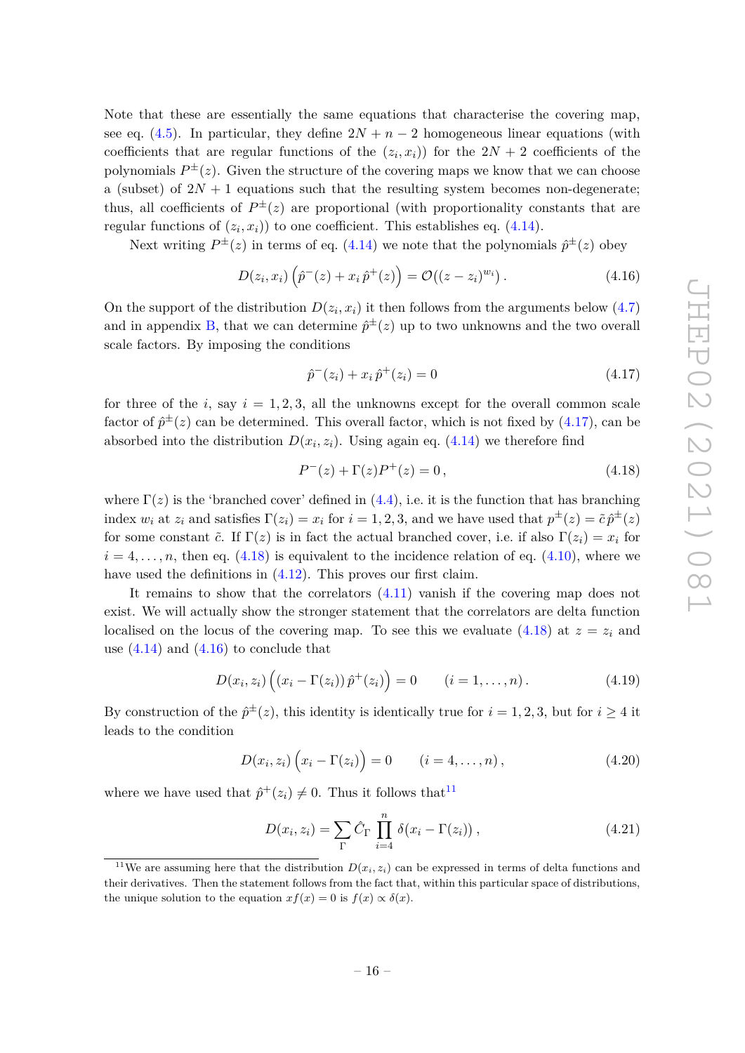Note that these are essentially the same equations that characterise the covering map, see eq. [\(4.5\)](#page-15-2). In particular, they define  $2N + n - 2$  homogeneous linear equations (with coefficients that are regular functions of the  $(z_i, x_i)$  for the  $2N + 2$  coefficients of the polynomials  $P^{\pm}(z)$ . Given the structure of the covering maps we know that we can choose a (subset) of  $2N + 1$  equations such that the resulting system becomes non-degenerate; thus, all coefficients of  $P^{\pm}(z)$  are proportional (with proportionality constants that are regular functions of  $(z_i, x_i)$  to one coefficient. This establishes eq.  $(4.14)$ .

Next writing  $P^{\pm}(z)$  in terms of eq. [\(4.14\)](#page-17-3) we note that the polynomials  $\hat{p}^{\pm}(z)$  obey

<span id="page-18-2"></span>
$$
D(z_i, x_i) \left( \hat{p}^{-}(z) + x_i \hat{p}^{+}(z) \right) = \mathcal{O}((z - z_i)^{w_i}). \tag{4.16}
$$

On the support of the distribution  $D(z_i, x_i)$  it then follows from the arguments below  $(4.7)$ and in appendix [B,](#page-35-1) that we can determine  $\hat{p}^{\pm}(z)$  up to two unknowns and the two overall scale factors. By imposing the conditions

<span id="page-18-0"></span>
$$
\hat{p}^-(z_i) + x_i \,\hat{p}^+(z_i) = 0\tag{4.17}
$$

for three of the *i*, say  $i = 1, 2, 3$ , all the unknowns except for the overall common scale factor of  $\hat{p}^{\pm}(z)$  can be determined. This overall factor, which is not fixed by  $(4.17)$ , can be absorbed into the distribution  $D(x_i, z_i)$ . Using again eq.  $(4.14)$  we therefore find

<span id="page-18-1"></span>
$$
P^{-}(z) + \Gamma(z)P^{+}(z) = 0, \qquad (4.18)
$$

where  $\Gamma(z)$  is the 'branched cover' defined in [\(4.4\)](#page-15-3), i.e. it is the function that has branching index  $w_i$  at  $z_i$  and satisfies  $\Gamma(z_i) = x_i$  for  $i = 1, 2, 3$ , and we have used that  $p^{\pm}(z) = \tilde{c} p^{\pm}(z)$ for some constant  $\tilde{c}$ . If  $\Gamma(z)$  is in fact the actual branched cover, i.e. if also  $\Gamma(z_i) = x_i$  for  $i = 4, \ldots, n$ , then eq. [\(4.18\)](#page-18-1) is equivalent to the incidence relation of eq. [\(4.10\)](#page-16-1), where we have used the definitions in  $(4.12)$ . This proves our first claim.

It remains to show that the correlators [\(4.11\)](#page-17-0) vanish if the covering map does not exist. We will actually show the stronger statement that the correlators are delta function localised on the locus of the covering map. To see this we evaluate [\(4.18\)](#page-18-1) at  $z = z_i$  and use  $(4.14)$  and  $(4.16)$  to conclude that

$$
D(x_i, z_i) ((x_i - \Gamma(z_i)) \hat{p}^+(z_i)) = 0 \qquad (i = 1, ..., n).
$$
 (4.19)

By construction of the  $\hat{p}^{\pm}(z)$ , this identity is identically true for  $i = 1, 2, 3$ , but for  $i \geq 4$  it leads to the condition

<span id="page-18-4"></span>
$$
D(x_i, z_i) (x_i - \Gamma(z_i)) = 0 \t (i = 4, ..., n), \t (4.20)
$$

where we have used that  $\hat{p}^+(z_i) \neq 0$ . Thus it follows that<sup>[11](#page-18-3)</sup>

$$
D(x_i, z_i) = \sum_{\Gamma} \hat{C}_{\Gamma} \prod_{i=4}^{n} \delta(x_i - \Gamma(z_i)), \qquad (4.21)
$$

<span id="page-18-3"></span><sup>&</sup>lt;sup>11</sup>We are assuming here that the distribution  $D(x_i, z_i)$  can be expressed in terms of delta functions and their derivatives. Then the statement follows from the fact that, within this particular space of distributions, the unique solution to the equation  $xf(x) = 0$  is  $f(x) \propto \delta(x)$ .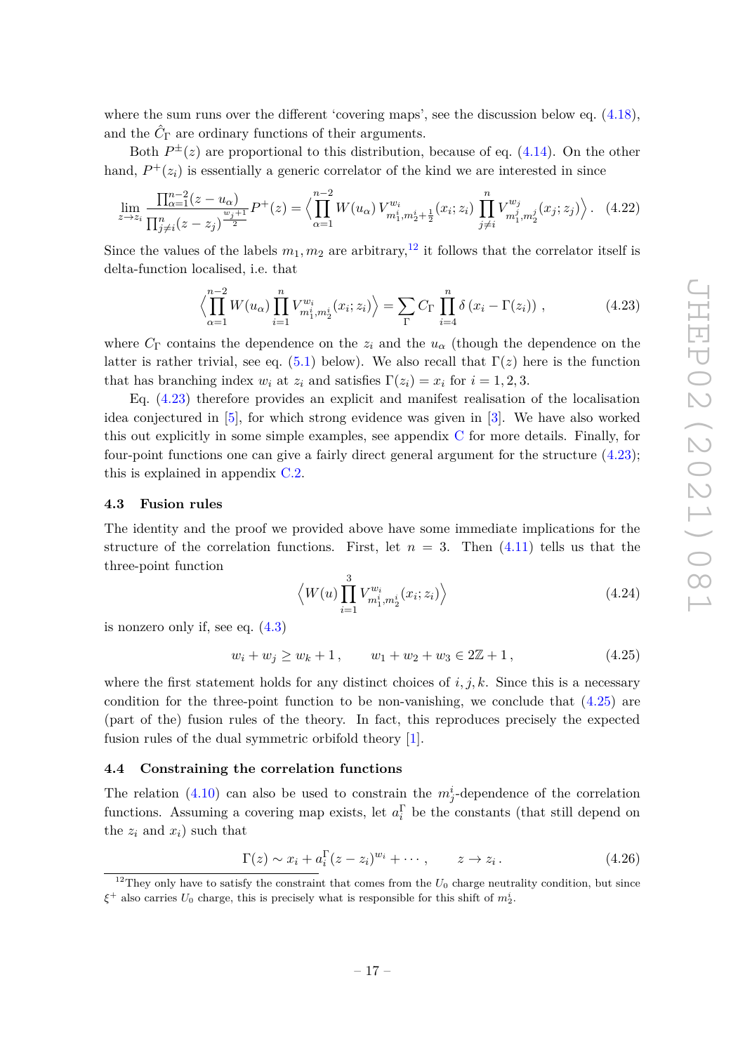where the sum runs over the different 'covering maps', see the discussion below eq. [\(4.18\)](#page-18-1), and the  $\hat{C}_{\Gamma}$  are ordinary functions of their arguments.

Both  $P^{\pm}(z)$  are proportional to this distribution, because of eq. [\(4.14\)](#page-17-3). On the other hand,  $P^+(z_i)$  is essentially a generic correlator of the kind we are interested in since

<span id="page-19-5"></span>
$$
\lim_{z \to z_i} \frac{\prod_{\alpha=1}^{n-2} (z - u_\alpha)}{\prod_{j \neq i}^{n} (z - z_j)^{\frac{w_j + 1}{2}}} P^+(z) = \left\langle \prod_{\alpha=1}^{n-2} W(u_\alpha) V_{m_1^i, m_2^i + \frac{1}{2}}^{w_i} (x_i; z_i) \prod_{j \neq i}^{n} V_{m_1^j, m_2^j}^{w_j} (x_j; z_j) \right\rangle. \tag{4.22}
$$

Since the values of the labels  $m_1, m_2$  are arbitrary,<sup>[12](#page-19-3)</sup> it follows that the correlator itself is delta-function localised, i.e. that

<span id="page-19-2"></span>
$$
\left\langle \prod_{\alpha=1}^{n-2} W(u_{\alpha}) \prod_{i=1}^{n} V_{m_1^i, m_2^i}^{w_i}(x_i; z_i) \right\rangle = \sum_{\Gamma} C_{\Gamma} \prod_{i=4}^{n} \delta (x_i - \Gamma(z_i)), \qquad (4.23)
$$

where  $C_{\Gamma}$  contains the dependence on the  $z_i$  and the  $u_{\alpha}$  (though the dependence on the latter is rather trivial, see eq. [\(5.1\)](#page-23-1) below). We also recall that  $\Gamma(z)$  here is the function that has branching index  $w_i$  at  $z_i$  and satisfies  $\Gamma(z_i) = x_i$  for  $i = 1, 2, 3$ .

Eq. [\(4.23\)](#page-19-2) therefore provides an explicit and manifest realisation of the localisation idea conjectured in [\[5\]](#page-43-0), for which strong evidence was given in [\[3\]](#page-42-2). We have also worked this out explicitly in some simple examples, see appendix [C](#page-36-0) for more details. Finally, for four-point functions one can give a fairly direct general argument for the structure [\(4.23\)](#page-19-2); this is explained in appendix [C.2.](#page-37-0)

#### <span id="page-19-0"></span>**4.3 Fusion rules**

The identity and the proof we provided above have some immediate implications for the structure of the correlation functions. First, let  $n = 3$ . Then  $(4.11)$  tells us that the three-point function

$$
\left\langle W(u) \prod_{i=1}^{3} V_{m_1^i, m_2^i}^{w_i}(x_i; z_i) \right\rangle \tag{4.24}
$$

is nonzero only if, see eq. [\(4.3\)](#page-15-4)

<span id="page-19-4"></span>
$$
w_i + w_j \ge w_k + 1, \qquad w_1 + w_2 + w_3 \in 2\mathbb{Z} + 1,\tag{4.25}
$$

where the first statement holds for any distinct choices of  $i, j, k$ . Since this is a necessary condition for the three-point function to be non-vanishing, we conclude that  $(4.25)$  are (part of the) fusion rules of the theory. In fact, this reproduces precisely the expected fusion rules of the dual symmetric orbifold theory [\[1\]](#page-42-0).

#### <span id="page-19-1"></span>**4.4 Constraining the correlation functions**

The relation [\(4.10\)](#page-16-1) can also be used to constrain the  $m_j^i$ -dependence of the correlation functions. Assuming a covering map exists, let  $a_i^{\Gamma}$  be the constants (that still depend on the  $z_i$  and  $x_i$ ) such that

$$
\Gamma(z) \sim x_i + a_i^{\Gamma}(z - z_i)^{w_i} + \cdots, \qquad z \to z_i.
$$
 (4.26)

<span id="page-19-3"></span><sup>&</sup>lt;sup>12</sup>They only have to satisfy the constraint that comes from the  $U_0$  charge neutrality condition, but since *ξ* <sup>+</sup> also carries *U*<sup>0</sup> charge, this is precisely what is responsible for this shift of *m<sup>i</sup>* 2.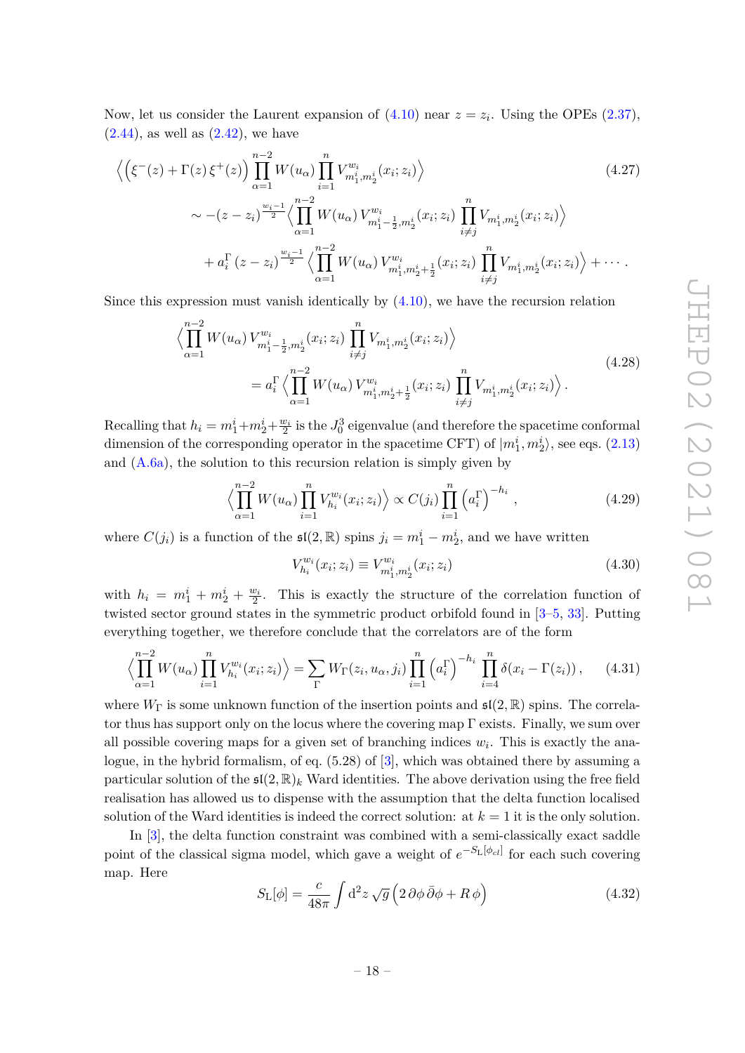Now, let us consider the Laurent expansion of  $(4.10)$  near  $z = z_i$ . Using the OPEs  $(2.37)$ ,  $(2.44)$ , as well as  $(2.42)$ , we have

$$
\left\langle \left( \xi^{-}(z) + \Gamma(z) \xi^{+}(z) \right) \prod_{\alpha=1}^{n-2} W(u_{\alpha}) \prod_{i=1}^{n} V_{m_{1}^{i}, m_{2}^{i}}^{w_{i}}(x_{i}; z_{i}) \right\rangle
$$
\n
$$
\sim - (z - z_{i})^{\frac{w_{i}-1}{2}} \left\langle \prod_{\alpha=1}^{n-2} W(u_{\alpha}) V_{m_{1}^{i}-\frac{1}{2}, m_{2}^{i}}^{w_{i}}(x_{i}; z_{i}) \prod_{i \neq j}^{n} V_{m_{1}^{i}, m_{2}^{i}}(x_{i}; z_{i}) \right\rangle
$$
\n
$$
+ a_{i}^{\Gamma}(z - z_{i})^{\frac{w_{i}-1}{2}} \left\langle \prod_{\alpha=1}^{n-2} W(u_{\alpha}) V_{m_{1}^{i}, m_{2}^{i}+\frac{1}{2}}^{w_{i}}(x_{i}; z_{i}) \prod_{i \neq j}^{n} V_{m_{1}^{i}, m_{2}^{i}}(x_{i}; z_{i}) \right\rangle + \cdots
$$
\n(4.27)

<span id="page-20-1"></span>Since this expression must vanish identically by  $(4.10)$ , we have the recursion relation

$$
\left\langle \prod_{\alpha=1}^{n-2} W(u_{\alpha}) V_{m_1^i - \frac{1}{2}, m_2^i}^{w_i}(x_i; z_i) \prod_{i \neq j}^n V_{m_1^i, m_2^i}(x_i; z_i) \right\rangle
$$
\n
$$
= a_i^{\Gamma} \left\langle \prod_{\alpha=1}^{n-2} W(u_{\alpha}) V_{m_1^i, m_2^i + \frac{1}{2}}^{w_i}(x_i; z_i) \prod_{i \neq j}^n V_{m_1^i, m_2^i}(x_i; z_i) \right\rangle.
$$
\n(4.28)

Recalling that  $h_i = m_1^i + m_2^i + \frac{w_i}{2}$  is the  $J_0^3$  eigenvalue (and therefore the spacetime conformal dimension of the corresponding operator in the spacetime CFT) of  $|m_1^i, m_2^i\rangle$ , see eqs. [\(2.13\)](#page-7-2) and  $(A.6a)$ , the solution to this recursion relation is simply given by

$$
\left\langle \prod_{\alpha=1}^{n-2} W(u_{\alpha}) \prod_{i=1}^{n} V_{h_i}^{w_i}(x_i; z_i) \right\rangle \propto C(j_i) \prod_{i=1}^{n} \left( a_i^{\Gamma} \right)^{-h_i}, \tag{4.29}
$$

where  $C(j_i)$  is a function of the  $\mathfrak{sl}(2,\mathbb{R})$  spins  $j_i = m_1^i - m_2^i$ , and we have written

$$
V_{h_i}^{w_i}(x_i; z_i) \equiv V_{m_1^i, m_2^i}^{w_i}(x_i; z_i)
$$
\n(4.30)

with  $h_i = m_1^i + m_2^i + \frac{w_i}{2}$ . This is exactly the structure of the correlation function of twisted sector ground states in the symmetric product orbifold found in [\[3](#page-42-2)[–5,](#page-43-0) [33\]](#page-44-6). Putting everything together, we therefore conclude that the correlators are of the form

<span id="page-20-0"></span>
$$
\left\langle \prod_{\alpha=1}^{n-2} W(u_{\alpha}) \prod_{i=1}^{n} V_{h_i}^{w_i}(x_i; z_i) \right\rangle = \sum_{\Gamma} W_{\Gamma}(z_i, u_{\alpha}, j_i) \prod_{i=1}^{n} \left( a_i^{\Gamma} \right)^{-h_i} \prod_{i=4}^{n} \delta(x_i - \Gamma(z_i)), \quad (4.31)
$$

where  $W_{\Gamma}$  is some unknown function of the insertion points and  $\mathfrak{sl}(2,\mathbb{R})$  spins. The correlator thus has support only on the locus where the covering map  $\Gamma$  exists. Finally, we sum over all possible covering maps for a given set of branching indices *w<sup>i</sup>* . This is exactly the analogue, in the hybrid formalism, of eq. (5.28) of [\[3\]](#page-42-2), which was obtained there by assuming a particular solution of the  $\mathfrak{sl}(2,\mathbb{R})_k$  Ward identities. The above derivation using the free field realisation has allowed us to dispense with the assumption that the delta function localised solution of the Ward identities is indeed the correct solution: at  $k = 1$  it is the only solution.

In [\[3\]](#page-42-2), the delta function constraint was combined with a semi-classically exact saddle point of the classical sigma model, which gave a weight of  $e^{-S_L[\phi_{cl}]}$  for each such covering map. Here

$$
S_{\rm L}[\phi] = \frac{c}{48\pi} \int d^2 z \sqrt{g} \left( 2 \partial \phi \,\bar{\partial} \phi + R \,\phi \right) \tag{4.32}
$$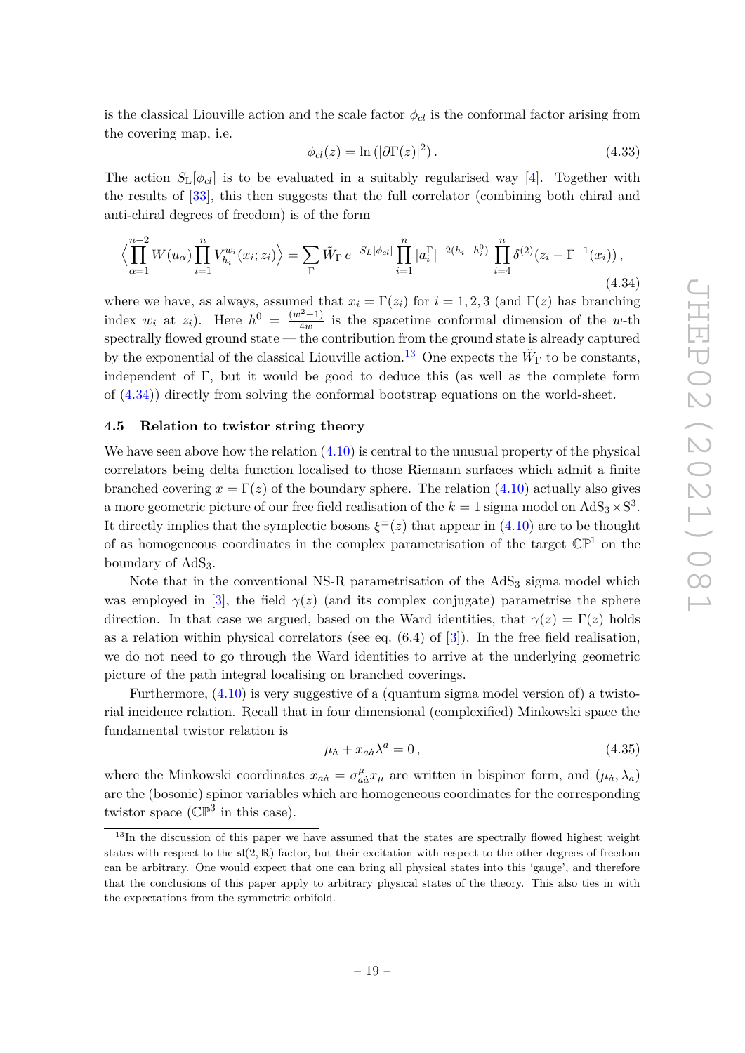is the classical Liouville action and the scale factor  $\phi_{cl}$  is the conformal factor arising from the covering map, i.e.

$$
\phi_{cl}(z) = \ln\left(|\partial \Gamma(z)|^2\right). \tag{4.33}
$$

The action  $S_{\text{L}}[\phi_{cl}]$  is to be evaluated in a suitably regularised way [\[4\]](#page-42-3). Together with the results of [\[33\]](#page-44-6), this then suggests that the full correlator (combining both chiral and anti-chiral degrees of freedom) is of the form

<span id="page-21-1"></span>
$$
\left\langle \prod_{\alpha=1}^{n-2} W(u_{\alpha}) \prod_{i=1}^{n} V_{h_i}^{w_i}(x_i; z_i) \right\rangle = \sum_{\Gamma} \tilde{W}_{\Gamma} e^{-S_L[\phi_{cl}]} \prod_{i=1}^{n} |a_i^{\Gamma}|^{-2(h_i - h_i^0)} \prod_{i=4}^{n} \delta^{(2)}(z_i - \Gamma^{-1}(x_i)),
$$
\n(4.34)

where we have, as always, assumed that  $x_i = \Gamma(z_i)$  for  $i = 1, 2, 3$  (and  $\Gamma(z)$ ) has branching index  $w_i$  at  $z_i$ ). Here  $h^0 = \frac{(w^2-1)}{4w}$  $\frac{d^2-1}{dw^2}$  is the spacetime conformal dimension of the *w*-th spectrally flowed ground state — the contribution from the ground state is already captured by the exponential of the classical Liouville action.<sup>[13](#page-21-2)</sup> One expects the  $\tilde{W}_{\Gamma}$  to be constants, independent of Γ, but it would be good to deduce this (as well as the complete form of [\(4.34\)](#page-21-1)) directly from solving the conformal bootstrap equations on the world-sheet.

#### <span id="page-21-0"></span>**4.5 Relation to twistor string theory**

We have seen above how the relation  $(4.10)$  is central to the unusual property of the physical correlators being delta function localised to those Riemann surfaces which admit a finite branched covering  $x = \Gamma(z)$  of the boundary sphere. The relation [\(4.10\)](#page-16-1) actually also gives a more geometric picture of our free field realisation of the  $k = 1$  sigma model on  $AdS_3 \times S^3$ . It directly implies that the symplectic bosons  $\xi^{\pm}(z)$  that appear in [\(4.10\)](#page-16-1) are to be thought of as homogeneous coordinates in the complex parametrisation of the target  $\mathbb{CP}^1$  on the boundary of  $AdS<sub>3</sub>$ .

Note that in the conventional NS-R parametrisation of the  $AdS<sub>3</sub>$  sigma model which was employed in [\[3\]](#page-42-2), the field  $\gamma(z)$  (and its complex conjugate) parametrise the sphere direction. In that case we argued, based on the Ward identities, that  $\gamma(z) = \Gamma(z)$  holds as a relation within physical correlators (see eq.  $(6.4)$  of [\[3\]](#page-42-2)). In the free field realisation, we do not need to go through the Ward identities to arrive at the underlying geometric picture of the path integral localising on branched coverings.

Furthermore,  $(4.10)$  is very suggestive of a (quantum sigma model version of) a twistorial incidence relation. Recall that in four dimensional (complexified) Minkowski space the fundamental twistor relation is

$$
\mu_{\dot{a}} + x_{a\dot{a}}\lambda^a = 0, \qquad (4.35)
$$

where the Minkowski coordinates  $x_{a\dot{a}} = \sigma^{\mu}_{a\dot{a}} x_{\mu}$  are written in bispinor form, and  $(\mu_{\dot{a}}, \lambda_a)$ are the (bosonic) spinor variables which are homogeneous coordinates for the corresponding twistor space ( $\mathbb{CP}^3$  in this case).

<span id="page-21-2"></span><sup>&</sup>lt;sup>13</sup>In the discussion of this paper we have assumed that the states are spectrally flowed highest weight states with respect to the  $\mathfrak{sl}(2,\mathbb{R})$  factor, but their excitation with respect to the other degrees of freedom can be arbitrary. One would expect that one can bring all physical states into this 'gauge', and therefore that the conclusions of this paper apply to arbitrary physical states of the theory. This also ties in with the expectations from the symmetric orbifold.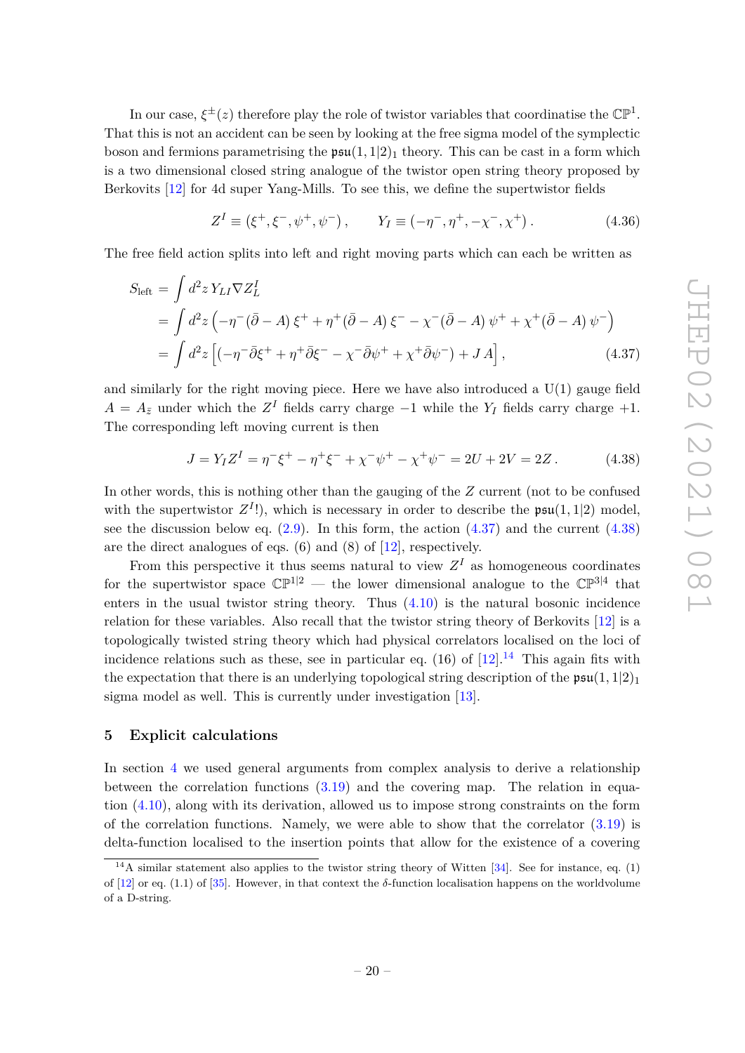boson and fermions parametrising the  $\mathfrak{psu}(1,1|2)_1$  theory. This can be cast in a form which is a two dimensional closed string analogue of the twistor open string theory proposed by Berkovits [\[12\]](#page-43-5) for 4d super Yang-Mills. To see this, we define the supertwistor fields  $Z^I \equiv (\xi^+, \xi^-, \psi^+, \psi^-), \qquad Y_I \equiv (-\eta^-, \eta^+, -\chi^-, \chi^+)$  $(4.36)$ The free field action splits into left and right moving parts which can each be written as

<span id="page-22-1"></span>
$$
S_{\text{left}} = \int d^2 z \, Y_{LI} \nabla Z_L^I
$$
  
= 
$$
\int d^2 z \left( -\eta^- (\bar{\partial} - A) \, \xi^+ + \eta^+ (\bar{\partial} - A) \, \xi^- - \chi^- (\bar{\partial} - A) \, \psi^+ + \chi^+ (\bar{\partial} - A) \, \psi^- \right)
$$
  
= 
$$
\int d^2 z \left[ \left( -\eta^- \bar{\partial} \xi^+ + \eta^+ \bar{\partial} \xi^- - \chi^- \bar{\partial} \psi^+ + \chi^+ \bar{\partial} \psi^- \right) + J \, A \right],
$$
 (4.37)

In our case,  $\xi^{\pm}(z)$  therefore play the role of twistor variables that coordinatise the  $\mathbb{CP}^1$ . That this is not an accident can be seen by looking at the free sigma model of the symplectic

and similarly for the right moving piece. Here we have also introduced a U(1) gauge field  $A = A_{\bar{z}}$  under which the  $Z^{I}$  fields carry charge −1 while the  $Y_{I}$  fields carry charge +1. The corresponding left moving current is then

<span id="page-22-2"></span>
$$
J = Y_I Z^I = \eta^- \xi^+ - \eta^+ \xi^- + \chi^- \psi^+ - \chi^+ \psi^- = 2U + 2V = 2Z. \tag{4.38}
$$

In other words, this is nothing other than the gauging of the *Z* current (not to be confused with the supertwistor  $Z^{I}$ !), which is necessary in order to describe the  $\mathfrak{psu}(1,1|2)$  model, see the discussion below eq.  $(2.9)$ . In this form, the action  $(4.37)$  and the current  $(4.38)$ are the direct analogues of eqs. (6) and (8) of [\[12\]](#page-43-5), respectively.

From this perspective it thus seems natural to view  $Z<sup>I</sup>$  as homogeneous coordinates for the supertwistor space  $\mathbb{CP}^{1|2}$  — the lower dimensional analogue to the  $\mathbb{CP}^{3|4}$  that enters in the usual twistor string theory. Thus  $(4.10)$  is the natural bosonic incidence relation for these variables. Also recall that the twistor string theory of Berkovits [\[12\]](#page-43-5) is a topologically twisted string theory which had physical correlators localised on the loci of incidence relations such as these, see in particular eq. (16) of  $[12]$ .<sup>[14](#page-22-3)</sup> This again fits with the expectation that there is an underlying topological string description of the  $\mathfrak{psu}(1,1|2)_1$ sigma model as well. This is currently under investigation [\[13\]](#page-43-6).

# <span id="page-22-0"></span>**5 Explicit calculations**

In section [4](#page-14-1) we used general arguments from complex analysis to derive a relationship between the correlation functions [\(3.19\)](#page-14-2) and the covering map. The relation in equation [\(4.10\)](#page-16-1), along with its derivation, allowed us to impose strong constraints on the form of the correlation functions. Namely, we were able to show that the correlator [\(3.19\)](#page-14-2) is delta-function localised to the insertion points that allow for the existence of a covering

<span id="page-22-3"></span><sup>&</sup>lt;sup>14</sup>A similar statement also applies to the twistor string theory of Witten  $[34]$ . See for instance, eq. (1) of  $[12]$  or eq.  $(1.1)$  of  $[35]$ . However, in that context the  $\delta$ -function localisation happens on the worldvolume of a D-string.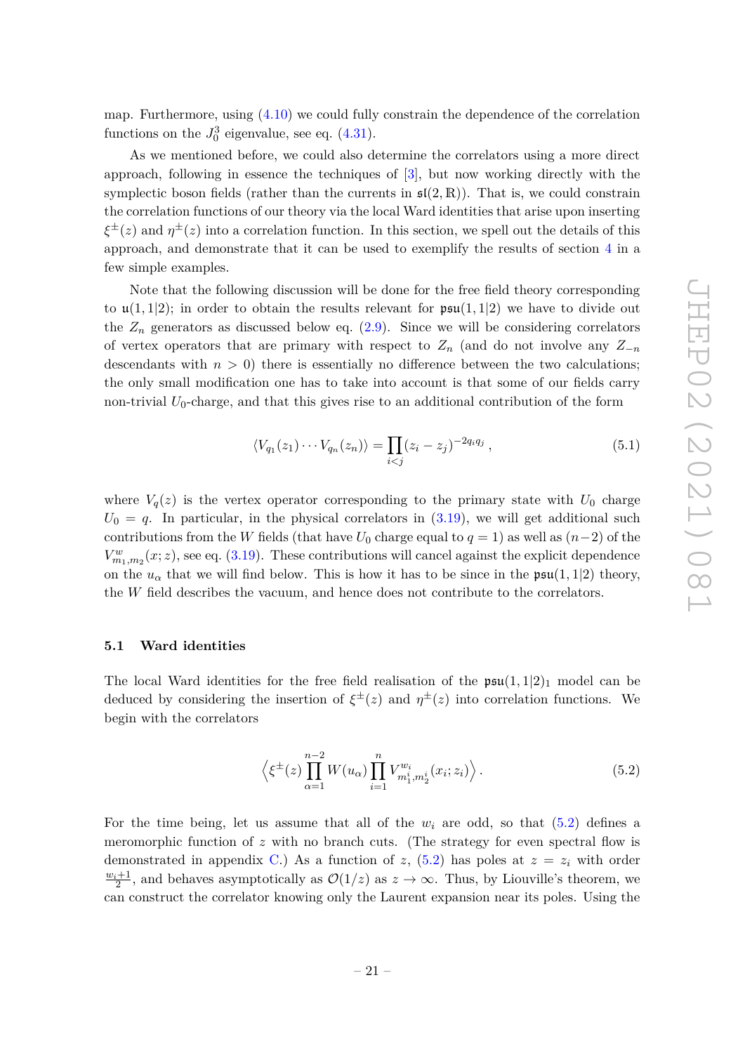map. Furthermore, using [\(4.10\)](#page-16-1) we could fully constrain the dependence of the correlation functions on the  $J_0^3$  eigenvalue, see eq.  $(4.31)$ .

As we mentioned before, we could also determine the correlators using a more direct approach, following in essence the techniques of [\[3\]](#page-42-2), but now working directly with the symplectic boson fields (rather than the currents in  $\mathfrak{sl}(2,\mathbb{R})$ ). That is, we could constrain the correlation functions of our theory via the local Ward identities that arise upon inserting  $\xi^{\pm}(z)$  and  $\eta^{\pm}(z)$  into a correlation function. In this section, we spell out the details of this approach, and demonstrate that it can be used to exemplify the results of section [4](#page-14-1) in a few simple examples.

Note that the following discussion will be done for the free field theory corresponding to  $\mathfrak{u}(1,1|2)$ ; in order to obtain the results relevant for  $\mathfrak{psu}(1,1|2)$  we have to divide out the  $Z_n$  generators as discussed below eq.  $(2.9)$ . Since we will be considering correlators of vertex operators that are primary with respect to  $Z_n$  (and do not involve any  $Z_{-n}$ descendants with  $n > 0$ ) there is essentially no difference between the two calculations; the only small modification one has to take into account is that some of our fields carry non-trivial  $U_0$ -charge, and that this gives rise to an additional contribution of the form

<span id="page-23-1"></span>
$$
\langle V_{q_1}(z_1)\cdots V_{q_n}(z_n)\rangle = \prod_{i < j} (z_i - z_j)^{-2q_i q_j},\tag{5.1}
$$

where  $V_q(z)$  is the vertex operator corresponding to the primary state with  $U_0$  charge  $U_0 = q$ . In particular, in the physical correlators in  $(3.19)$ , we will get additional such contributions from the *W* fields (that have  $U_0$  charge equal to  $q = 1$ ) as well as  $(n-2)$  of the  $V_{m_1,m_2}^w(x; z)$ , see eq. [\(3.19\)](#page-14-2). These contributions will cancel against the explicit dependence on the  $u_{\alpha}$  that we will find below. This is how it has to be since in the  $\mathfrak{psu}(1,1|2)$  theory, the *W* field describes the vacuum, and hence does not contribute to the correlators.

#### <span id="page-23-0"></span>**5.1 Ward identities**

The local Ward identities for the free field realisation of the  $\mathfrak{psu}(1,1|2)_1$  model can be deduced by considering the insertion of  $\xi^{\pm}(z)$  and  $\eta^{\pm}(z)$  into correlation functions. We begin with the correlators

<span id="page-23-2"></span>
$$
\left\langle \xi^{\pm}(z) \prod_{\alpha=1}^{n-2} W(u_{\alpha}) \prod_{i=1}^{n} V_{m_1^i, m_2^i}^{w_i}(x_i; z_i) \right\rangle.
$$
 (5.2)

For the time being, let us assume that all of the  $w_i$  are odd, so that  $(5.2)$  defines a meromorphic function of  $z$  with no branch cuts. (The strategy for even spectral flow is demonstrated in appendix [C.](#page-36-0)) As a function of *z*,  $(5.2)$  has poles at  $z = z_i$  with order  $\frac{w_i+1}{2}$ , and behaves asymptotically as  $\mathcal{O}(1/z)$  as  $z \to \infty$ . Thus, by Liouville's theorem, we can construct the correlator knowing only the Laurent expansion near its poles. Using the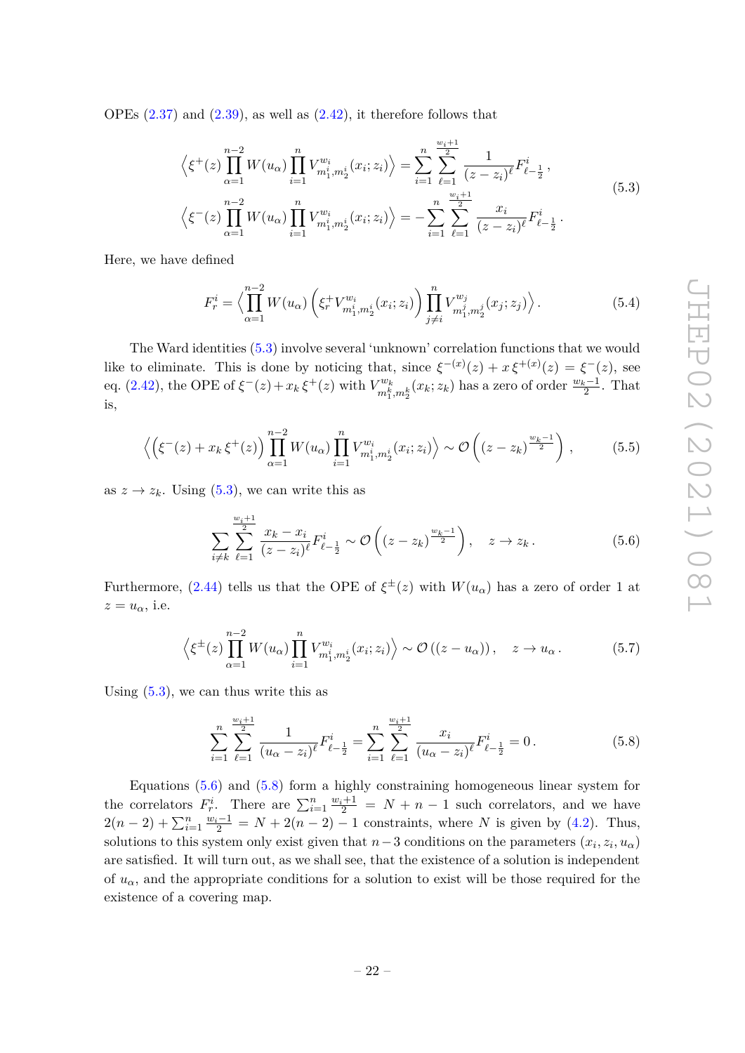<span id="page-24-0"></span>OPEs  $(2.37)$  and  $(2.39)$ , as well as  $(2.42)$ , it therefore follows that

$$
\left\langle \xi^+(z) \prod_{\alpha=1}^{n-2} W(u_\alpha) \prod_{i=1}^n V_{m_1^i, m_2^i}^{w_i}(x_i; z_i) \right\rangle = \sum_{i=1}^n \sum_{\ell=1}^{\frac{w_i+1}{2}} \frac{1}{(z-z_i)^{\ell}} F_{\ell-\frac{1}{2}}^i,
$$
\n
$$
\left\langle \xi^-(z) \prod_{\alpha=1}^{n-2} W(u_\alpha) \prod_{i=1}^n V_{m_1^i, m_2^i}^{w_i}(x_i; z_i) \right\rangle = -\sum_{i=1}^n \sum_{\ell=1}^{\frac{w_i+1}{2}} \frac{x_i}{(z-z_i)^{\ell}} F_{\ell-\frac{1}{2}}^i.
$$
\n(5.3)

Here, we have defined

$$
F_r^i = \left\langle \prod_{\alpha=1}^{n-2} W(u_\alpha) \left( \xi_r^+ V_{m_1^i, m_2^i}^{w_i}(x_i; z_i) \right) \prod_{j \neq i}^n V_{m_1^j, m_2^j}^{w_j}(x_j; z_j) \right\rangle. \tag{5.4}
$$

The Ward identities [\(5.3\)](#page-24-0) involve several 'unknown' correlation functions that we would like to eliminate. This is done by noticing that, since  $\xi^{-(x)}(z) + x \xi^{+(x)}(z) = \xi^{-}(z)$ , see eq. [\(2.42\)](#page-11-4), the OPE of  $\xi^{-}(z)+x_k\xi^{+}(z)$  with  $V_{mk}^{w_k}$  $\binom{w_k}{m_1^k, m_2^k}(x_k; z_k)$  has a zero of order  $\frac{w_k-1}{2}$ . That is,

$$
\left\langle \left( \xi^{-}(z) + x_{k} \xi^{+}(z) \right) \prod_{\alpha=1}^{n-2} W(u_{\alpha}) \prod_{i=1}^{n} V_{m_{1}^{i}, m_{2}^{i}}^{w_{i}}(x_{i}; z_{i}) \right\rangle \sim \mathcal{O}\left( (z - z_{k})^{\frac{w_{k}-1}{2}} \right),\tag{5.5}
$$

as  $z \to z_k$ . Using [\(5.3\)](#page-24-0), we can write this as

<span id="page-24-1"></span>
$$
\sum_{i \neq k} \sum_{\ell=1}^{\frac{w_i+1}{2}} \frac{x_k - x_i}{(z - z_i)^{\ell}} F_{\ell - \frac{1}{2}}^i \sim \mathcal{O}\left( (z - z_k)^{\frac{w_k - 1}{2}} \right), \quad z \to z_k. \tag{5.6}
$$

Furthermore, [\(2.44\)](#page-11-3) tells us that the OPE of  $\xi^{\pm}(z)$  with  $W(u_{\alpha})$  has a zero of order 1 at  $z=u_{\alpha}$ , i.e.

$$
\left\langle \xi^{\pm}(z) \prod_{\alpha=1}^{n-2} W(u_{\alpha}) \prod_{i=1}^{n} V_{m_1^i, m_2^i}^{w_i}(x_i; z_i) \right\rangle \sim \mathcal{O}\left( (z - u_{\alpha}) \right), \quad z \to u_{\alpha}.
$$
 (5.7)

Using  $(5.3)$ , we can thus write this as

<span id="page-24-2"></span>
$$
\sum_{i=1}^{n} \sum_{\ell=1}^{\frac{w_i+1}{2}} \frac{1}{(u_{\alpha}-z_i)^{\ell}} F_{\ell-\frac{1}{2}}^{i} = \sum_{i=1}^{n} \sum_{\ell=1}^{\frac{w_i+1}{2}} \frac{x_i}{(u_{\alpha}-z_i)^{\ell}} F_{\ell-\frac{1}{2}}^{i} = 0.
$$
 (5.8)

Equations [\(5.6\)](#page-24-1) and [\(5.8\)](#page-24-2) form a highly constraining homogeneous linear system for the correlators  $F_r^i$ . There are  $\sum_{i=1}^n \frac{w_i+1}{2} = N + n - 1$  such correlators, and we have  $2(n-2) + \sum_{i=1}^{n} \frac{w_i-1}{2} = N + 2(n-2) - 1$  constraints, where *N* is given by [\(4.2\)](#page-15-1). Thus, solutions to this system only exist given that  $n-3$  conditions on the parameters  $(x_i, z_i, u_\alpha)$ are satisfied. It will turn out, as we shall see, that the existence of a solution is independent of  $u_{\alpha}$ , and the appropriate conditions for a solution to exist will be those required for the existence of a covering map.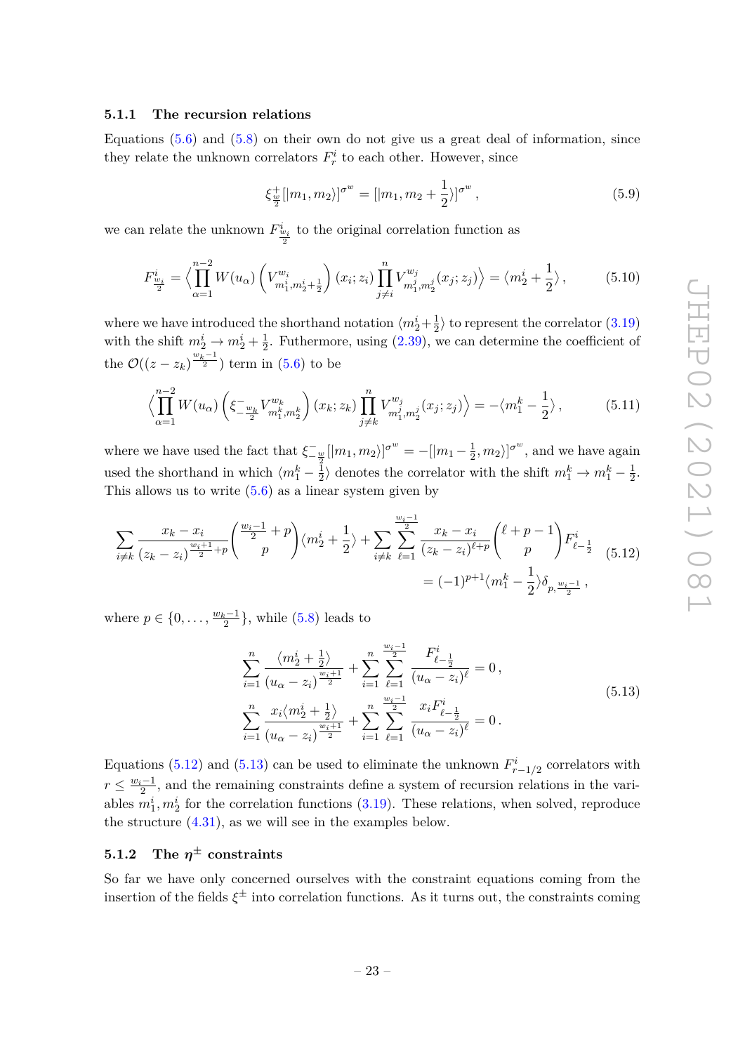# <span id="page-25-0"></span>**5.1.1 The recursion relations**

Equations  $(5.6)$  and  $(5.8)$  on their own do not give us a great deal of information, since they relate the unknown correlators  $F_r^i$  to each other. However, since

$$
\xi_{\frac{w}{2}}^{+}[|m_1, m_2\rangle]^{\sigma^{w}} = [|m_1, m_2 + \frac{1}{2}\rangle]^{\sigma^{w}}, \qquad (5.9)
$$

we can relate the unknown  $F^{\dot{u}}_{\frac{v_i}{2}}$  to the original correlation function as

$$
F_{\frac{w_i}{2}}^i = \left\langle \prod_{\alpha=1}^{n-2} W(u_\alpha) \left( V_{m_1^i, m_2^i + \frac{1}{2}}^{w_i} \right) (x_i; z_i) \prod_{j \neq i}^n V_{m_1^j, m_2^j}^{w_j} (x_j; z_j) \right\rangle = \left\langle m_2^i + \frac{1}{2} \right\rangle, \tag{5.10}
$$

where we have introduced the shorthand notation  $\langle m_2^i + \frac{1}{2} \rangle$  $\frac{1}{2}$  to represent the correlator  $(3.19)$ with the shift  $m_2^i \rightarrow m_2^i + \frac{1}{2}$  $\frac{1}{2}$ . Futhermore, using  $(2.39)$ , we can determine the coefficient of the  $\mathcal{O}((z-z_k)^{\frac{w_k-1}{2}})$  term in [\(5.6\)](#page-24-1) to be

$$
\left\langle \prod_{\alpha=1}^{n-2} W(u_{\alpha}) \left( \xi_{-\frac{w_k}{2}}^{-} V_{m_1^k, m_2^k}^{w_k} \right) (x_k; z_k) \prod_{j \neq k}^{n} V_{m_1^j, m_2^j}^{w_j} (x_j; z_j) \right\rangle = -\left\langle m_1^k - \frac{1}{2} \right\rangle, \tag{5.11}
$$

where we have used the fact that  $\xi_{-\frac{w}{2}}^{-}[|m_1, m_2\rangle]^{\sigma^w} = -[|m_1 - \frac{1}{2}]$  $(\frac{1}{2}, m_2)$ <sup> $\sigma^w$ </sup>, and we have again used the shorthand in which  $\langle m_1^k - \frac{1}{2} \rangle$  $\frac{1}{2}$  denotes the correlator with the shift  $m_1^k \rightarrow m_1^k - \frac{1}{2}$  $rac{1}{2}$ . This allows us to write  $(5.6)$  as a linear system given by

<span id="page-25-2"></span>
$$
\sum_{i \neq k} \frac{x_k - x_i}{(z_k - z_i)^{\frac{w_i + 1}{2} + p}} \binom{\frac{w_i - 1}{2} + p}{p} \langle m_2^i + \frac{1}{2} \rangle + \sum_{i \neq k} \sum_{\ell = 1}^{\frac{w_i - 1}{2}} \frac{x_k - x_i}{(z_k - z_i)^{\ell + p}} \binom{\ell + p - 1}{p} F_{\ell - \frac{1}{2}}^i \tag{5.12}
$$
\n
$$
= (-1)^{p+1} \langle m_1^k - \frac{1}{2} \rangle \delta_{p, \frac{w_i - 1}{2}},
$$

<span id="page-25-3"></span>where  $p \in \{0, \ldots, \frac{w_k-1}{2}\}\$ , while [\(5.8\)](#page-24-2) leads to

$$
\sum_{i=1}^{n} \frac{\langle m_2^i + \frac{1}{2} \rangle}{(u_\alpha - z_i)^{\frac{w_i+1}{2}}} + \sum_{i=1}^{n} \sum_{\ell=1}^{\frac{w_i-1}{2}} \frac{F_{\ell-\frac{1}{2}}^i}{(u_\alpha - z_i)^\ell} = 0,
$$
\n
$$
\sum_{i=1}^{n} \frac{x_i \langle m_2^i + \frac{1}{2} \rangle}{(u_\alpha - z_i)^{\frac{w_i+1}{2}}} + \sum_{i=1}^{n} \sum_{\ell=1}^{\frac{w_i-1}{2}} \frac{x_i F_{\ell-\frac{1}{2}}^i}{(u_\alpha - z_i)^\ell} = 0.
$$
\n(5.13)

Equations [\(5.12\)](#page-25-2) and [\(5.13\)](#page-25-3) can be used to eliminate the unknown  $F_{r-1/2}^i$  correlators with  $r \leq \frac{w_i-1}{2}$ , and the remaining constraints define a system of recursion relations in the variables  $m_1^i, m_2^i$  for the correlation functions [\(3.19\)](#page-14-2). These relations, when solved, reproduce the structure [\(4.31\)](#page-20-0), as we will see in the examples below.

# <span id="page-25-1"></span> $5.1.2$  The  $\eta^\pm$  constraints

So far we have only concerned ourselves with the constraint equations coming from the insertion of the fields  $\xi^{\pm}$  into correlation functions. As it turns out, the constraints coming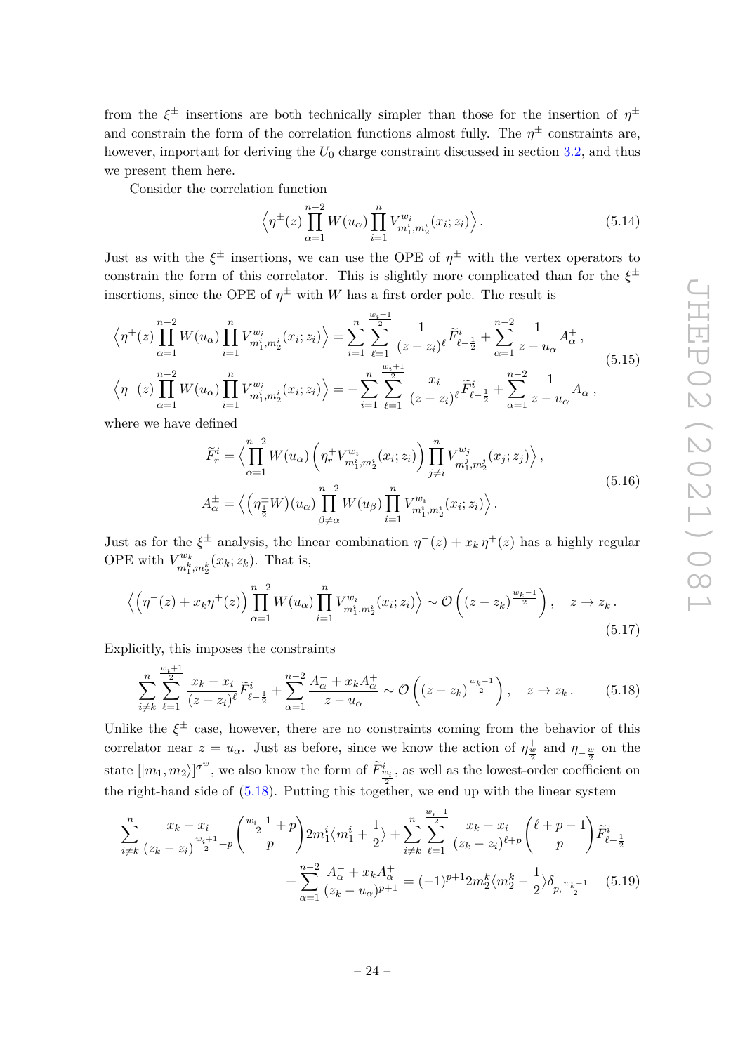from the  $\xi^{\pm}$  insertions are both technically simpler than those for the insertion of  $\eta^{\pm}$ and constrain the form of the correlation functions almost fully. The  $\eta^{\pm}$  constraints are, however, important for deriving the  $U_0$  charge constraint discussed in section [3.2,](#page-14-0) and thus we present them here.

Consider the correlation function

$$
\left\langle \eta^{\pm}(z) \prod_{\alpha=1}^{n-2} W(u_{\alpha}) \prod_{i=1}^{n} V_{m_1^i, m_2^i}^{w_i}(x_i; z_i) \right\rangle.
$$
 (5.14)

Just as with the  $\xi^{\pm}$  insertions, we can use the OPE of  $\eta^{\pm}$  with the vertex operators to constrain the form of this correlator. This is slightly more complicated than for the *ξ* ± insertions, since the OPE of  $\eta^{\pm}$  with *W* has a first order pole. The result is

$$
\left\langle \eta^{+}(z) \prod_{\alpha=1}^{n-2} W(u_{\alpha}) \prod_{i=1}^{n} V_{m_{1}^{i}, m_{2}^{i}}^{w_{i}}(x_{i}; z_{i}) \right\rangle = \sum_{i=1}^{n} \sum_{\ell=1}^{\frac{w_{i}+1}{2}} \frac{1}{(z-z_{i})^{\ell}} \widetilde{F}_{\ell-\frac{1}{2}}^{i} + \sum_{\alpha=1}^{n-2} \frac{1}{z-u_{\alpha}} A_{\alpha}^{+},
$$
\n
$$
\left\langle \eta^{-}(z) \prod_{\alpha=1}^{n-2} W(u_{\alpha}) \prod_{i=1}^{n} V_{m_{1}^{i}, m_{2}^{i}}^{w_{i}}(x_{i}; z_{i}) \right\rangle = -\sum_{i=1}^{n} \sum_{\ell=1}^{\frac{w_{i}+1}{2}} \frac{x_{i}}{(z-z_{i})^{\ell}} \widetilde{F}_{\ell-\frac{1}{2}}^{i} + \sum_{\alpha=1}^{n-2} \frac{1}{z-u_{\alpha}} A_{\alpha}^{-},
$$
\n(5.15)

where we have defined

*wi*+1

$$
\widetilde{F}_{r}^{i} = \left\langle \prod_{\alpha=1}^{n-2} W(u_{\alpha}) \left( \eta_{r}^{+} V_{m_{1}^{i}, m_{2}^{i}}^{w_{i}}(x_{i}; z_{i}) \right) \prod_{j \neq i}^{n} V_{m_{1}^{j}, m_{2}^{j}}^{w_{j}}(x_{j}; z_{j}) \right\rangle,
$$
\n
$$
A_{\alpha}^{\pm} = \left\langle \left( \eta_{\frac{1}{2}}^{\pm} W \right) (u_{\alpha}) \prod_{\beta \neq \alpha}^{n-2} W(u_{\beta}) \prod_{i=1}^{n} V_{m_{1}^{i}, m_{2}^{i}}^{w_{i}}(x_{i}; z_{i}) \right\rangle.
$$
\n(5.16)

Just as for the  $\xi^{\pm}$  analysis, the linear combination  $\eta^-(z) + x_k \eta^+(z)$  has a highly regular OPE with  $V_{mk}^{w_k}$  $\binom{rw_k}{m_1^k, m_2^k}(x_k; z_k)$ . That is,

<span id="page-26-2"></span>
$$
\left\langle \left(\eta^-(z) + x_k \eta^+(z)\right) \prod_{\alpha=1}^{n-2} W(u_\alpha) \prod_{i=1}^n V_{m_1^i, m_2^i}^{w_i}(x_i; z_i) \right\rangle \sim \mathcal{O}\left((z - z_k)^{\frac{w_k - 1}{2}}\right), \quad z \to z_k.
$$
\n
$$
(5.17)
$$

Explicitly, this imposes the constraints

<span id="page-26-0"></span>
$$
\sum_{i \neq k}^{n} \sum_{\ell=1}^{\frac{w_i+1}{2}} \frac{x_k - x_i}{(z - z_i)^{\ell}} \widetilde{F}_{\ell - \frac{1}{2}}^i + \sum_{\alpha=1}^{n-2} \frac{A_{\alpha}^- + x_k A_{\alpha}^+}{z - u_{\alpha}} \sim \mathcal{O}\left((z - z_k)^{\frac{w_k - 1}{2}}\right), \quad z \to z_k. \tag{5.18}
$$

Unlike the  $\xi^{\pm}$  case, however, there are no constraints coming from the behavior of this correlator near  $z = u_\alpha$ . Just as before, since we know the action of  $\eta_{\frac{w}{2}}^+$  and  $\eta_{-\frac{w}{2}}^-$  on the state  $[|m_1, m_2\rangle]^{\sigma^w}$ , we also know the form of  $\tilde{F}^i_{\frac{w_i}{2}}$ , as well as the lowest-order coefficient on the right-hand side of  $(5.18)$ . Putting this together, we end up with the linear system

$$
\sum_{i \neq k}^{n} \frac{x_k - x_i}{(z_k - z_i)^{\frac{w_i+1}{2}+p}} \left( \frac{\frac{w_i-1}{2} + p}{p} \right) 2m_1^i \langle m_1^i + \frac{1}{2} \rangle + \sum_{i \neq k}^{n} \sum_{\ell=1}^{\frac{i}{2}} \frac{x_k - x_i}{(z_k - z_i)^{\ell+p}} \left( \frac{\ell+p-1}{p} \right) \widetilde{F}_{\ell-\frac{1}{2}}^i
$$

$$
+ \sum_{\alpha=1}^{n-2} \frac{A_{\alpha}^- + x_k A_{\alpha}^+}{(z_k - u_{\alpha})^{p+1}} = (-1)^{p+1} 2m_2^k \langle m_2^k - \frac{1}{2} \rangle \delta_{p, \frac{w_k-1}{2}} \quad (5.19)
$$

<span id="page-26-1"></span>*wi*−1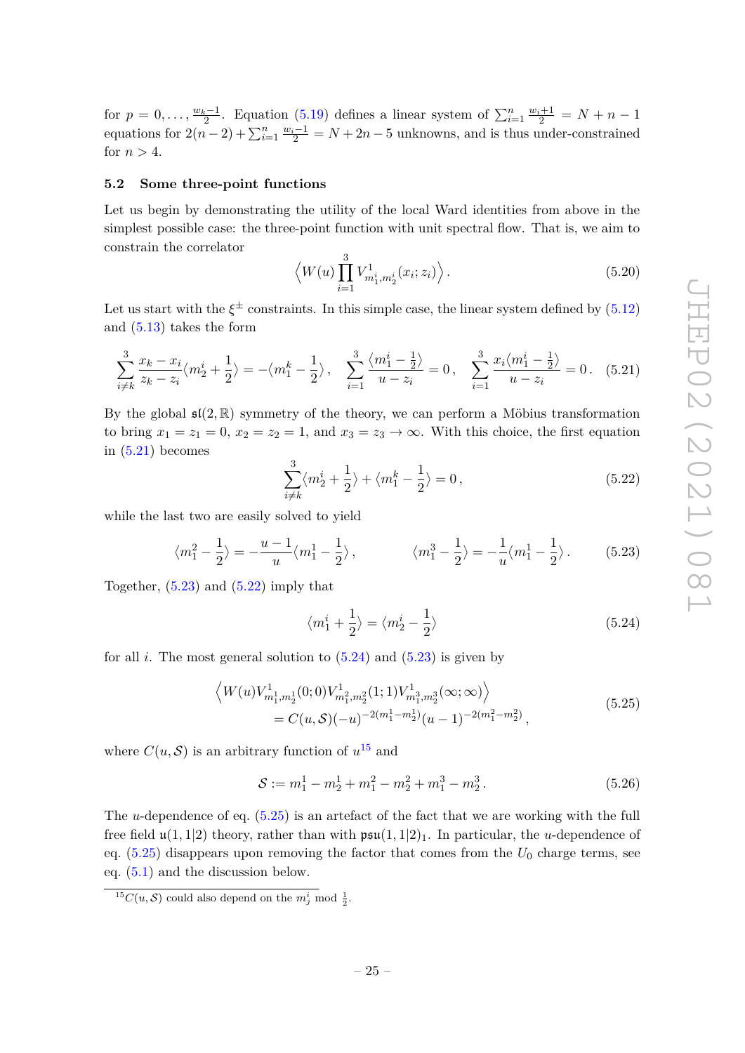for  $p = 0, \ldots, \frac{w_k-1}{2}$ . Equation [\(5.19\)](#page-26-1) defines a linear system of  $\sum_{i=1}^n \frac{w_i+1}{2} = N + n - 1$ equations for  $2(n-2) + \sum_{i=1}^{n} \frac{w_i-1}{2} = N + 2n - 5$  unknowns, and is thus under-constrained for  $n > 4$ .

#### <span id="page-27-0"></span>**5.2 Some three-point functions**

Let us begin by demonstrating the utility of the local Ward identities from above in the simplest possible case: the three-point function with unit spectral flow. That is, we aim to constrain the correlator

$$
\langle W(u) \prod_{i=1}^{3} V_{m_1^i, m_2^i}^1(x_i; z_i) \rangle
$$
. (5.20)

Let us start with the  $\xi^{\pm}$  constraints. In this simple case, the linear system defined by  $(5.12)$ and [\(5.13\)](#page-25-3) takes the form

<span id="page-27-1"></span>
$$
\sum_{i \neq k}^{3} \frac{x_k - x_i}{z_k - z_i} \langle m_2^i + \frac{1}{2} \rangle = -\langle m_1^k - \frac{1}{2} \rangle, \quad \sum_{i=1}^{3} \frac{\langle m_1^i - \frac{1}{2} \rangle}{u - z_i} = 0, \quad \sum_{i=1}^{3} \frac{x_i \langle m_1^i - \frac{1}{2} \rangle}{u - z_i} = 0. \quad (5.21)
$$

By the global  $\mathfrak{sl}(2,\mathbb{R})$  symmetry of the theory, we can perform a Möbius transformation to bring  $x_1 = z_1 = 0$ ,  $x_2 = z_2 = 1$ , and  $x_3 = z_3 \rightarrow \infty$ . With this choice, the first equation in  $(5.21)$  becomes

<span id="page-27-3"></span>
$$
\sum_{i\neq k}^{3} \langle m_2^i + \frac{1}{2} \rangle + \langle m_1^k - \frac{1}{2} \rangle = 0, \qquad (5.22)
$$

while the last two are easily solved to yield

<span id="page-27-2"></span>
$$
\langle m_1^2 - \frac{1}{2} \rangle = -\frac{u-1}{u} \langle m_1^1 - \frac{1}{2} \rangle, \qquad \langle m_1^3 - \frac{1}{2} \rangle = -\frac{1}{u} \langle m_1^1 - \frac{1}{2} \rangle. \tag{5.23}
$$

Together,  $(5.23)$  and  $(5.22)$  imply that

<span id="page-27-4"></span>
$$
\langle m_1^i + \frac{1}{2} \rangle = \langle m_2^i - \frac{1}{2} \rangle \tag{5.24}
$$

<span id="page-27-6"></span>for all  $i$ . The most general solution to  $(5.24)$  and  $(5.23)$  is given by

$$
\left\langle W(u)V_{m_1^1,m_2^1}^1(0;0)V_{m_1^2,m_2^2}^1(1;1)V_{m_1^3,m_2^3}^1(\infty;\infty)\right\rangle
$$
  
=  $C(u,\mathcal{S})(-u)^{-2(m_1^1-m_2^1)}(u-1)^{-2(m_1^2-m_2^2)},$  (5.25)

where  $C(u, S)$  is an arbitrary function of  $u^{15}$  $u^{15}$  $u^{15}$  and

$$
S := m_1^1 - m_2^1 + m_1^2 - m_2^2 + m_1^3 - m_2^3.
$$
 (5.26)

The *u*-dependence of eq. [\(5.25\)](#page-27-6) is an artefact of the fact that we are working with the full free field  $\mathfrak{u}(1,1|2)$  theory, rather than with  $\mathfrak{psu}(1,1|2)_1$ . In particular, the *u*-dependence of eq.  $(5.25)$  disappears upon removing the factor that comes from the  $U_0$  charge terms, see eq. [\(5.1\)](#page-23-1) and the discussion below.

<span id="page-27-5"></span><sup>&</sup>lt;sup>15</sup>C(*u*, S) could also depend on the  $m_j^i$  mod  $\frac{1}{2}$ .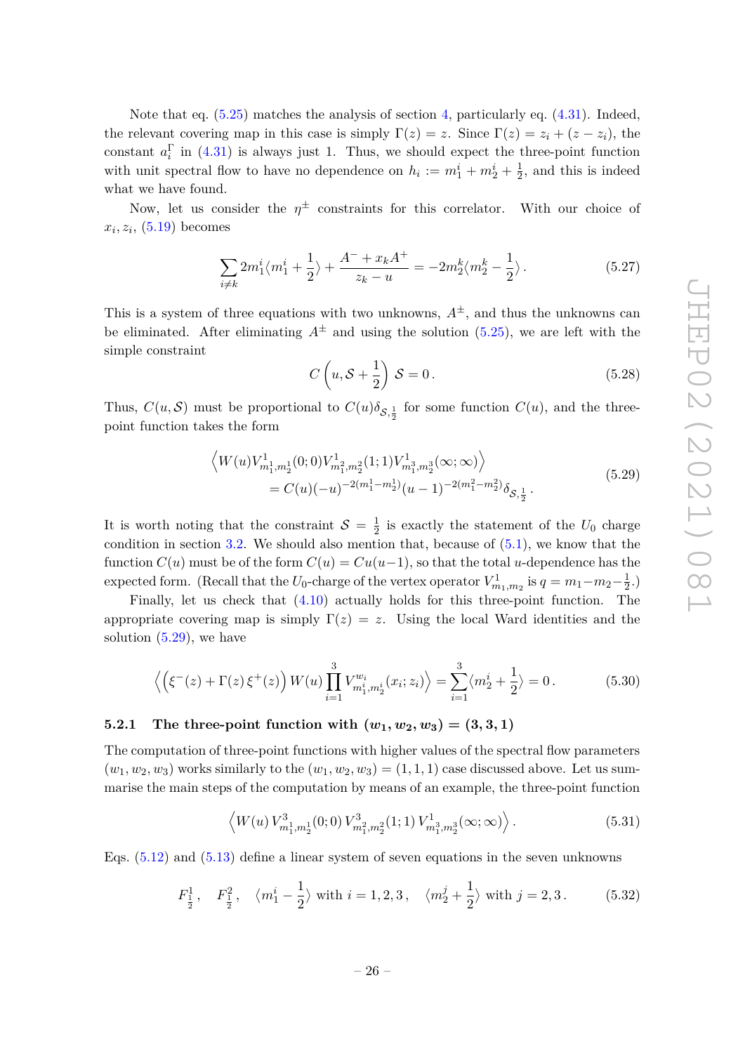Note that eq.  $(5.25)$  matches the analysis of section [4,](#page-14-1) particularly eq.  $(4.31)$ . Indeed, the relevant covering map in this case is simply  $\Gamma(z) = z$ . Since  $\Gamma(z) = z_i + (z - z_i)$ , the constant  $a_i^{\Gamma}$  in [\(4.31\)](#page-20-0) is always just 1. Thus, we should expect the three-point function with unit spectral flow to have no dependence on  $h_i := m_1^i + m_2^i + \frac{1}{2}$  $\frac{1}{2}$ , and this is indeed what we have found.

Now, let us consider the  $\eta^{\pm}$  constraints for this correlator. With our choice of  $x_i, z_i, (5.19)$  $x_i, z_i, (5.19)$  becomes

$$
\sum_{i \neq k} 2m_1^i \langle m_1^i + \frac{1}{2} \rangle + \frac{A^- + x_k A^+}{z_k - u} = -2m_2^k \langle m_2^k - \frac{1}{2} \rangle. \tag{5.27}
$$

This is a system of three equations with two unknowns,  $A^{\pm}$ , and thus the unknowns can be eliminated. After eliminating  $A^{\pm}$  and using the solution [\(5.25\)](#page-27-6), we are left with the simple constraint

$$
C\left(u, \mathcal{S} + \frac{1}{2}\right)\mathcal{S} = 0.
$$
\n<sup>(5.28)</sup>

Thus,  $C(u, S)$  must be proportional to  $C(u)\delta_{S, \frac{1}{2}}$  for some function  $C(u)$ , and the threepoint function takes the form

$$
\left\langle W(u)V_{m_1^1,m_2^1}^1(0;0)V_{m_1^2,m_2^2}^1(1;1)V_{m_1^3,m_2^3}^1(\infty;\infty)\right\rangle
$$
  
=  $C(u)(-u)^{-2(m_1^1-m_2^1)}(u-1)^{-2(m_1^2-m_2^2)}\delta_{\mathcal{S},\frac{1}{2}}.$  (5.29)

<span id="page-28-1"></span>It is worth noting that the constraint  $S = \frac{1}{2}$  $\frac{1}{2}$  is exactly the statement of the  $U_0$  charge condition in section [3.2.](#page-14-0) We should also mention that, because of  $(5.1)$ , we know that the function  $C(u)$  must be of the form  $C(u) = Cu(u-1)$ , so that the total *u*-dependence has the expected form. (Recall that the  $U_0$ -charge of the vertex operator  $V^1_{m_1,m_2}$  is  $q = m_1 - m_2 - \frac{1}{2}$  $(\frac{1}{2},)$ 

Finally, let us check that [\(4.10\)](#page-16-1) actually holds for this three-point function. The appropriate covering map is simply  $\Gamma(z) = z$ . Using the local Ward identities and the solution  $(5.29)$ , we have

$$
\left\langle \left( \xi^{-}(z) + \Gamma(z) \, \xi^{+}(z) \right) W(u) \prod_{i=1}^{3} V_{m_{1}^{i}, m_{2}^{i}}^{w_{i}}(x_{i}; z_{i}) \right\rangle = \sum_{i=1}^{3} \langle m_{2}^{i} + \frac{1}{2} \rangle = 0. \tag{5.30}
$$

# <span id="page-28-0"></span>**5.2.1** The three-point function with  $(w_1, w_2, w_3) = (3, 3, 1)$

The computation of three-point functions with higher values of the spectral flow parameters  $(w_1, w_2, w_3)$  works similarly to the  $(w_1, w_2, w_3) = (1, 1, 1)$  case discussed above. Let us summarise the main steps of the computation by means of an example, the three-point function

$$
\left\langle W(u) \, V_{m_1^1, m_2^1}^3(0;0) \, V_{m_1^2, m_2^2}^3(1;1) \, V_{m_1^3, m_2^3}^1(\infty; \infty) \right\rangle. \tag{5.31}
$$

Eqs. [\(5.12\)](#page-25-2) and [\(5.13\)](#page-25-3) define a linear system of seven equations in the seven unknowns

$$
F_{\frac{1}{2}}^1
$$
,  $F_{\frac{1}{2}}^2$ ,  $\langle m_1^i - \frac{1}{2} \rangle$  with  $i = 1, 2, 3$ ,  $\langle m_2^j + \frac{1}{2} \rangle$  with  $j = 2, 3$ . (5.32)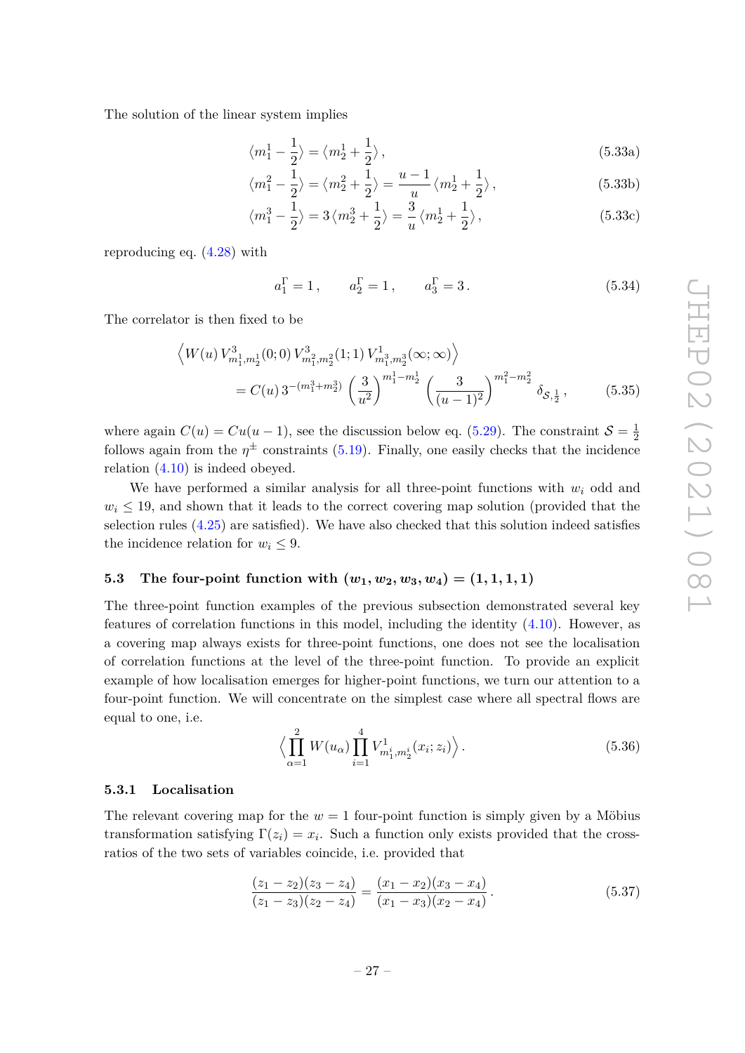The solution of the linear system implies

$$
\langle m_1^1 - \frac{1}{2} \rangle = \langle m_2^1 + \frac{1}{2} \rangle, \tag{5.33a}
$$

$$
\langle m_1^2 - \frac{1}{2} \rangle = \langle m_2^2 + \frac{1}{2} \rangle = \frac{u - 1}{u} \langle m_2^1 + \frac{1}{2} \rangle, \tag{5.33b}
$$

$$
\langle m_1^3 - \frac{1}{2} \rangle = 3 \langle m_2^3 + \frac{1}{2} \rangle = \frac{3}{u} \langle m_2^1 + \frac{1}{2} \rangle, \qquad (5.33c)
$$

reproducing eq. [\(4.28\)](#page-20-1) with

$$
a_1^{\Gamma} = 1
$$
,  $a_2^{\Gamma} = 1$ ,  $a_3^{\Gamma} = 3$ . (5.34)

The correlator is then fixed to be

$$
\left\langle W(u) V_{m_1^1, m_2^1}^3(0; 0) V_{m_1^2, m_2^2}^3(1; 1) V_{m_1^3, m_2^3}^1(\infty; \infty) \right\rangle
$$
  
=  $C(u) 3^{-(m_1^3 + m_2^3)} \left(\frac{3}{u^2}\right)^{m_1^1 - m_2^1} \left(\frac{3}{(u-1)^2}\right)^{m_1^2 - m_2^2} \delta_{\mathcal{S}, \frac{1}{2}},$  (5.35)

where again  $C(u) = Cu(u-1)$ , see the discussion below eq. [\(5.29\)](#page-28-1). The constraint  $S = \frac{1}{2}$ 2 follows again from the  $\eta^{\pm}$  constraints [\(5.19\)](#page-26-1). Finally, one easily checks that the incidence relation [\(4.10\)](#page-16-1) is indeed obeyed.

We have performed a similar analysis for all three-point functions with  $w_i$  odd and  $w_i \leq 19$ , and shown that it leads to the correct covering map solution (provided that the selection rules [\(4.25\)](#page-19-4) are satisfied). We have also checked that this solution indeed satisfies the incidence relation for  $w_i \leq 9$ .

# <span id="page-29-0"></span>**5.3** The four-point function with  $(w_1, w_2, w_3, w_4) = (1, 1, 1, 1)$

The three-point function examples of the previous subsection demonstrated several key features of correlation functions in this model, including the identity [\(4.10\)](#page-16-1). However, as a covering map always exists for three-point functions, one does not see the localisation of correlation functions at the level of the three-point function. To provide an explicit example of how localisation emerges for higher-point functions, we turn our attention to a four-point function. We will concentrate on the simplest case where all spectral flows are equal to one, i.e.

<span id="page-29-3"></span>
$$
\left\langle \prod_{\alpha=1}^{2} W(u_{\alpha}) \prod_{i=1}^{4} V_{m_1^i, m_2^i}^1(x_i; z_i) \right\rangle.
$$
 (5.36)

#### <span id="page-29-1"></span>**5.3.1 Localisation**

The relevant covering map for the  $w = 1$  four-point function is simply given by a Möbius transformation satisfying  $\Gamma(z_i) = x_i$ . Such a function only exists provided that the crossratios of the two sets of variables coincide, i.e. provided that

<span id="page-29-2"></span>
$$
\frac{(z_1 - z_2)(z_3 - z_4)}{(z_1 - z_3)(z_2 - z_4)} = \frac{(x_1 - x_2)(x_3 - x_4)}{(x_1 - x_3)(x_2 - x_4)}.
$$
\n(5.37)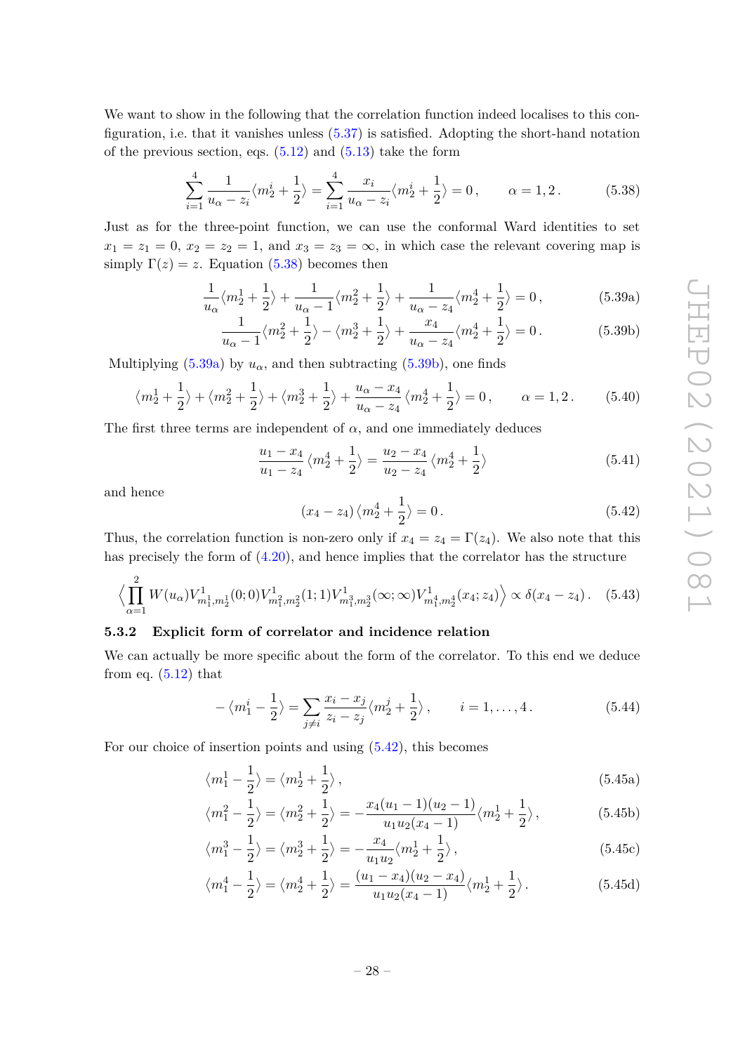We want to show in the following that the correlation function indeed localises to this configuration, i.e. that it vanishes unless [\(5.37\)](#page-29-2) is satisfied. Adopting the short-hand notation of the previous section, eqs.  $(5.12)$  and  $(5.13)$  take the form

<span id="page-30-1"></span>
$$
\sum_{i=1}^{4} \frac{1}{u_{\alpha} - z_i} \langle m_2^i + \frac{1}{2} \rangle = \sum_{i=1}^{4} \frac{x_i}{u_{\alpha} - z_i} \langle m_2^i + \frac{1}{2} \rangle = 0, \qquad \alpha = 1, 2. \tag{5.38}
$$

Just as for the three-point function, we can use the conformal Ward identities to set  $x_1 = z_1 = 0$ ,  $x_2 = z_2 = 1$ , and  $x_3 = z_3 = \infty$ , in which case the relevant covering map is simply  $\Gamma(z) = z$ . Equation [\(5.38\)](#page-30-1) becomes then

$$
\frac{1}{u_{\alpha}}\langle m_2^1 + \frac{1}{2}\rangle + \frac{1}{u_{\alpha} - 1}\langle m_2^2 + \frac{1}{2}\rangle + \frac{1}{u_{\alpha} - z_4}\langle m_2^4 + \frac{1}{2}\rangle = 0,
$$
\n(5.39a)

$$
\frac{1}{u_{\alpha}-1}\langle m_2^2 + \frac{1}{2}\rangle - \langle m_2^3 + \frac{1}{2}\rangle + \frac{x_4}{u_{\alpha}-z_4}\langle m_2^4 + \frac{1}{2}\rangle = 0.
$$
 (5.39b)

Multiplying  $(5.39a)$  by  $u_\alpha$ , and then subtracting  $(5.39b)$ , one finds

$$
\langle m_2^1 + \frac{1}{2} \rangle + \langle m_2^2 + \frac{1}{2} \rangle + \langle m_2^3 + \frac{1}{2} \rangle + \frac{u_\alpha - x_4}{u_\alpha - z_4} \langle m_2^4 + \frac{1}{2} \rangle = 0, \qquad \alpha = 1, 2. \tag{5.40}
$$

The first three terms are independent of  $\alpha$ , and one immediately deduces

$$
\frac{u_1 - x_4}{u_1 - z_4} \left\langle m_2^4 + \frac{1}{2} \right\rangle = \frac{u_2 - x_4}{u_2 - z_4} \left\langle m_2^4 + \frac{1}{2} \right\rangle \tag{5.41}
$$

and hence

<span id="page-30-4"></span><span id="page-30-3"></span><span id="page-30-2"></span>
$$
(x_4 - z_4)\langle m_2^4 + \frac{1}{2} \rangle = 0.
$$
 (5.42)

Thus, the correlation function is non-zero only if  $x_4 = z_4 = \Gamma(z_4)$ . We also note that this has precisely the form of [\(4.20\)](#page-18-4), and hence implies that the correlator has the structure

$$
\left\langle \prod_{\alpha=1}^{2} W(u_{\alpha}) V_{m_1^1, m_2^1}^1(0; 0) V_{m_1^2, m_2^2}^1(1; 1) V_{m_1^3, m_2^3}^1(\infty; \infty) V_{m_1^4, m_2^4}^1(x_4; z_4) \right\rangle \propto \delta(x_4 - z_4). \tag{5.43}
$$

# <span id="page-30-0"></span>**5.3.2 Explicit form of correlator and incidence relation**

We can actually be more specific about the form of the correlator. To this end we deduce from eq.  $(5.12)$  that

<span id="page-30-6"></span>
$$
-\langle m_1^i - \frac{1}{2} \rangle = \sum_{j \neq i} \frac{x_i - x_j}{z_i - z_j} \langle m_2^j + \frac{1}{2} \rangle, \qquad i = 1, ..., 4.
$$
 (5.44)

For our choice of insertion points and using [\(5.42\)](#page-30-4), this becomes

$$
\langle m_1^1 - \frac{1}{2} \rangle = \langle m_2^1 + \frac{1}{2} \rangle, \tag{5.45a}
$$

$$
\langle m_1^2 - \frac{1}{2} \rangle = \langle m_2^2 + \frac{1}{2} \rangle = -\frac{x_4(u_1 - 1)(u_2 - 1)}{u_1 u_2 (x_4 - 1)} \langle m_2^1 + \frac{1}{2} \rangle, \tag{5.45b}
$$

$$
\langle m_1^3 - \frac{1}{2} \rangle = \langle m_2^3 + \frac{1}{2} \rangle = -\frac{x_4}{u_1 u_2} \langle m_2^1 + \frac{1}{2} \rangle, \tag{5.45c}
$$

<span id="page-30-5"></span>
$$
\langle m_1^4 - \frac{1}{2} \rangle = \langle m_2^4 + \frac{1}{2} \rangle = \frac{(u_1 - x_4)(u_2 - x_4)}{u_1 u_2 (x_4 - 1)} \langle m_2^1 + \frac{1}{2} \rangle.
$$
 (5.45d)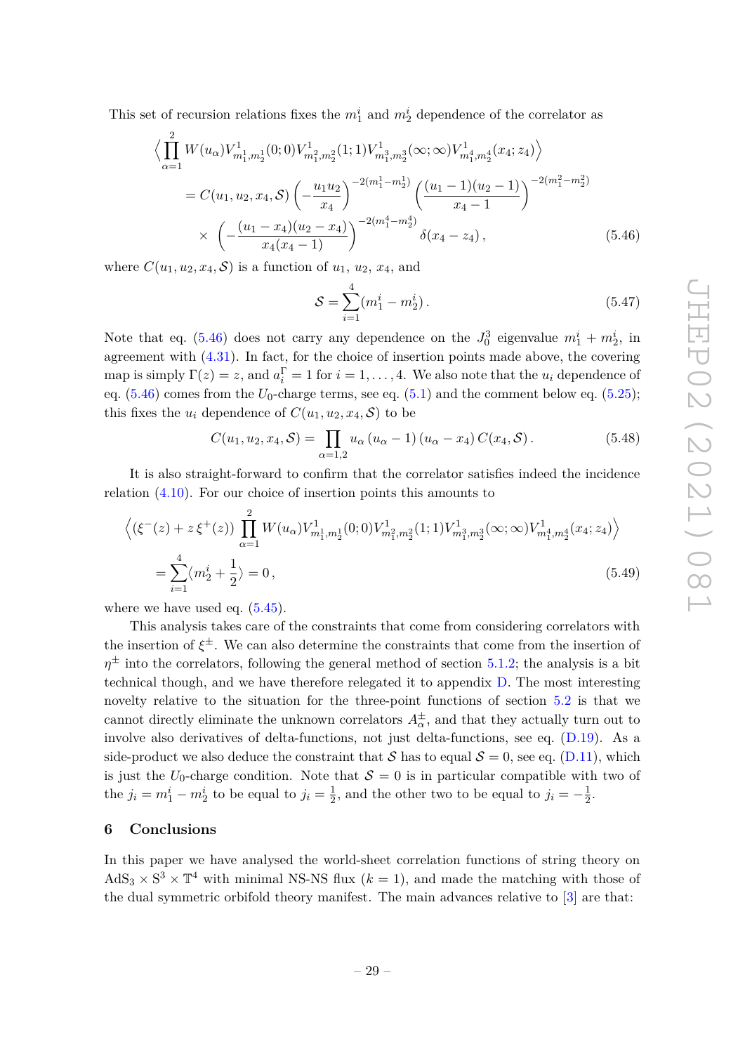This set of recursion relations fixes the  $m_1^i$  and  $m_2^i$  dependence of the correlator as

$$
\left\langle \prod_{\alpha=1}^{2} W(u_{\alpha}) V_{m_1^1, m_2^1}^1(0; 0) V_{m_1^2, m_2^2}^1(1; 1) V_{m_1^3, m_2^3}^1(\infty; \infty) V_{m_1^4, m_2^4}^1(x_4; z_4) \right\rangle
$$
  
=  $C(u_1, u_2, x_4, S) \left( -\frac{u_1 u_2}{x_4} \right)^{-2(m_1^1 - m_2^1)} \left( \frac{(u_1 - 1)(u_2 - 1)}{x_4 - 1} \right)^{-2(m_1^2 - m_2^2)} \times \left( -\frac{(u_1 - x_4)(u_2 - x_4)}{x_4(x_4 - 1)} \right)^{-2(m_1^4 - m_2^4)} \delta(x_4 - z_4),$  (5.46)

where  $C(u_1, u_2, x_4, S)$  is a function of  $u_1, u_2, x_4$ , and

<span id="page-31-1"></span>
$$
S = \sum_{i=1}^{4} (m_1^i - m_2^i).
$$
 (5.47)

Note that eq. [\(5.46\)](#page-31-1) does not carry any dependence on the  $J_0^3$  eigenvalue  $m_1^i + m_2^i$ , in agreement with [\(4.31\)](#page-20-0). In fact, for the choice of insertion points made above, the covering map is simply  $\Gamma(z) = z$ , and  $a_i^{\Gamma} = 1$  for  $i = 1, ..., 4$ . We also note that the  $u_i$  dependence of eq.  $(5.46)$  comes from the  $U_0$ -charge terms, see eq.  $(5.1)$  and the comment below eq.  $(5.25)$ ; this fixes the  $u_i$  dependence of  $C(u_1, u_2, x_4, S)$  to be

$$
C(u_1, u_2, x_4, S) = \prod_{\alpha=1,2} u_\alpha (u_\alpha - 1) (u_\alpha - x_4) C(x_4, S).
$$
 (5.48)

It is also straight-forward to confirm that the correlator satisfies indeed the incidence relation [\(4.10\)](#page-16-1). For our choice of insertion points this amounts to

$$
\langle (\xi^-(z) + z \xi^+(z)) \prod_{\alpha=1}^2 W(u_\alpha) V_{m_1^1, m_2^1}^1(0; 0) V_{m_1^2, m_2^2}^1(1; 1) V_{m_1^3, m_2^3}^1(\infty; \infty) V_{m_1^4, m_2^4}^1(x_4; z_4) \rangle
$$
  
= 
$$
\sum_{i=1}^4 \langle m_2^i + \frac{1}{2} \rangle = 0,
$$
 (5.49)

where we have used eq.  $(5.45)$ .

This analysis takes care of the constraints that come from considering correlators with the insertion of *ξ* <sup>±</sup>. We can also determine the constraints that come from the insertion of  $\eta^{\pm}$  into the correlators, following the general method of section [5.1.2;](#page-25-1) the analysis is a bit technical though, and we have therefore relegated it to appendix [D.](#page-38-0) The most interesting novelty relative to the situation for the three-point functions of section [5.2](#page-27-0) is that we cannot directly eliminate the unknown correlators  $A_{\alpha}^{\pm}$ , and that they actually turn out to involve also derivatives of delta-functions, not just delta-functions, see eq. [\(D.19\)](#page-41-0). As a side-product we also deduce the constraint that S has to equal  $S = 0$ , see eq. [\(D.11\)](#page-40-1), which is just the  $U_0$ -charge condition. Note that  $S = 0$  is in particular compatible with two of the  $j_i = m_1^i - m_2^i$  to be equal to  $j_i = \frac{1}{2}$  $\frac{1}{2}$ , and the other two to be equal to  $j_i = -\frac{1}{2}$  $rac{1}{2}$ .

# <span id="page-31-0"></span>**6 Conclusions**

In this paper we have analysed the world-sheet correlation functions of string theory on  $AdS_3 \times S^3 \times T^4$  with minimal NS-NS flux ( $k = 1$ ), and made the matching with those of the dual symmetric orbifold theory manifest. The main advances relative to [\[3\]](#page-42-2) are that: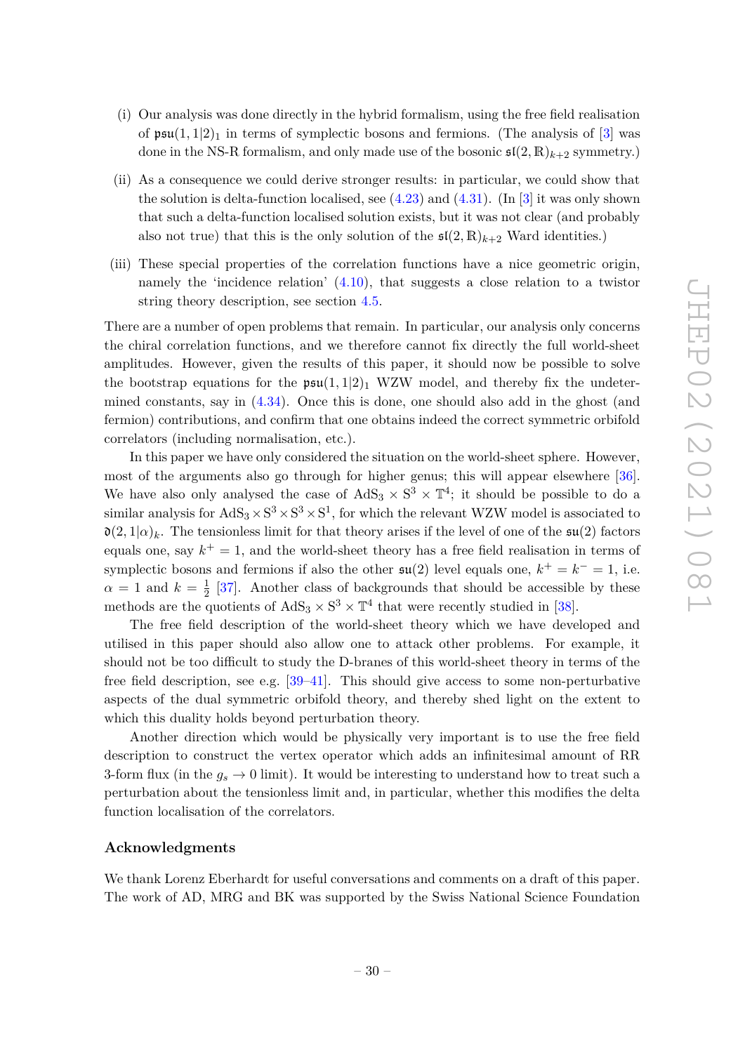- (i) Our analysis was done directly in the hybrid formalism, using the free field realisation of  $\mathfrak{psu}(1,1|2)_1$  in terms of symplectic bosons and fermions. (The analysis of [\[3\]](#page-42-2) was done in the NS-R formalism, and only made use of the bosonic  $\mathfrak{sl}(2,\mathbb{R})_{k+2}$  symmetry.)
- (ii) As a consequence we could derive stronger results: in particular, we could show that the solution is delta-function localised, see  $(4.23)$  and  $(4.31)$ . (In [\[3\]](#page-42-2) it was only shown that such a delta-function localised solution exists, but it was not clear (and probably also not true) that this is the only solution of the  $\mathfrak{sl}(2,\mathbb{R})_{k+2}$  Ward identities.)
- (iii) These special properties of the correlation functions have a nice geometric origin, namely the 'incidence relation' [\(4.10\)](#page-16-1), that suggests a close relation to a twistor string theory description, see section [4.5.](#page-21-0)

There are a number of open problems that remain. In particular, our analysis only concerns the chiral correlation functions, and we therefore cannot fix directly the full world-sheet amplitudes. However, given the results of this paper, it should now be possible to solve the bootstrap equations for the  $\mathfrak{psu}(1,1|2)_1$  WZW model, and thereby fix the undetermined constants, say in [\(4.34\)](#page-21-1). Once this is done, one should also add in the ghost (and fermion) contributions, and confirm that one obtains indeed the correct symmetric orbifold correlators (including normalisation, etc.).

In this paper we have only considered the situation on the world-sheet sphere. However, most of the arguments also go through for higher genus; this will appear elsewhere [\[36\]](#page-44-9). We have also only analysed the case of  $AdS_3 \times S^3 \times T^4$ ; it should be possible to do a similar analysis for  $AdS_3 \times S^3 \times S^3 \times S^1$ , for which the relevant WZW model is associated to  $\mathfrak{d}(2,1|\alpha)_k$ . The tensionless limit for that theory arises if the level of one of the  $\mathfrak{su}(2)$  factors equals one, say  $k^+ = 1$ , and the world-sheet theory has a free field realisation in terms of symplectic bosons and fermions if also the other  $\mathfrak{su}(2)$  level equals one,  $k^+ = k^- = 1$ , i.e.  $\alpha = 1$  and  $k = \frac{1}{2}$  $\frac{1}{2}$  [\[37\]](#page-44-10). Another class of backgrounds that should be accessible by these methods are the quotients of  $AdS_3 \times S^3 \times T^4$  that were recently studied in [\[38\]](#page-44-11).

The free field description of the world-sheet theory which we have developed and utilised in this paper should also allow one to attack other problems. For example, it should not be too difficult to study the D-branes of this world-sheet theory in terms of the free field description, see e.g. [\[39](#page-44-12)[–41\]](#page-44-13). This should give access to some non-perturbative aspects of the dual symmetric orbifold theory, and thereby shed light on the extent to which this duality holds beyond perturbation theory.

Another direction which would be physically very important is to use the free field description to construct the vertex operator which adds an infinitesimal amount of RR 3-form flux (in the  $g_s \to 0$  limit). It would be interesting to understand how to treat such a perturbation about the tensionless limit and, in particular, whether this modifies the delta function localisation of the correlators.

# **Acknowledgments**

We thank Lorenz Eberhardt for useful conversations and comments on a draft of this paper. The work of AD, MRG and BK was supported by the Swiss National Science Foundation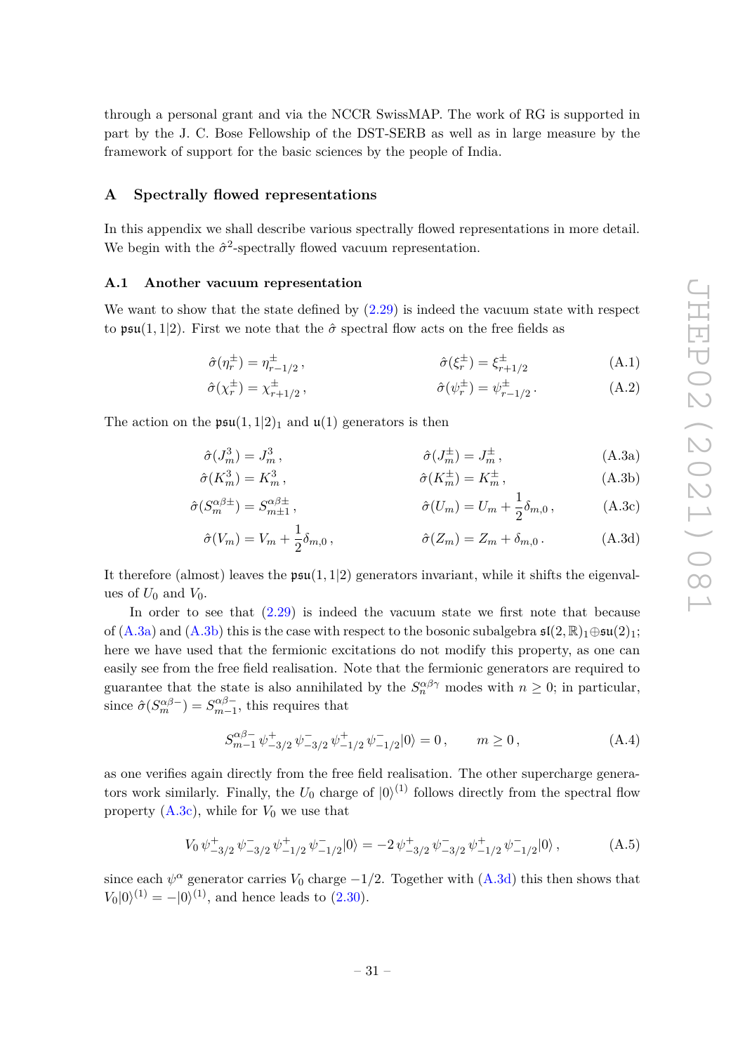through a personal grant and via the NCCR SwissMAP. The work of RG is supported in part by the J. C. Bose Fellowship of the DST-SERB as well as in large measure by the framework of support for the basic sciences by the people of India.

#### <span id="page-33-0"></span>**A Spectrally flowed representations**

In this appendix we shall describe various spectrally flowed representations in more detail. We begin with the  $\hat{\sigma}^2$ -spectrally flowed vacuum representation.

#### <span id="page-33-1"></span>**A.1 Another vacuum representation**

We want to show that the state defined by  $(2.29)$  is indeed the vacuum state with respect to  $\mathfrak{psu}(1,1|2)$ . First we note that the  $\hat{\sigma}$  spectral flow acts on the free fields as

$$
\hat{\sigma}(\eta_r^{\pm}) = \eta_{r-1/2}^{\pm} , \qquad \hat{\sigma}(\xi_r^{\pm}) = \xi_{r+1/2}^{\pm} \tag{A.1}
$$

<span id="page-33-2"></span>
$$
\hat{\sigma}(\chi_r^{\pm}) = \chi_{r+1/2}^{\pm} , \qquad \hat{\sigma}(\psi_r^{\pm}) = \psi_{r-1/2}^{\pm} . \tag{A.2}
$$

The action on the  $\mathfrak{psu}(1,1|2)_1$  and  $\mathfrak{u}(1)$  generators is then

$$
\hat{\sigma}(J_m^3) = J_m^3, \qquad \hat{\sigma}(J_m^{\pm}) = J_m^{\pm}, \qquad (A.3a)
$$

$$
\hat{\sigma}(K_m^3) = K_m^3, \qquad \hat{\sigma}(K_m^{\pm}) = K_m^{\pm}, \qquad (A.3b)
$$

$$
\hat{\sigma}(S_m^{\alpha\beta \pm}) = S_{m \pm 1}^{\alpha\beta \pm}, \qquad \hat{\sigma}(U_m) = U_m + \frac{1}{2}\delta_{m,0}, \qquad (A.3c)
$$

<span id="page-33-5"></span><span id="page-33-4"></span><span id="page-33-3"></span>
$$
\hat{\sigma}(V_m) = V_m + \frac{1}{2}\delta_{m,0}, \qquad \hat{\sigma}(Z_m) = Z_m + \delta_{m,0}.
$$
 (A.3d)

It therefore (almost) leaves the  $\mathfrak{psu}(1,1|2)$  generators invariant, while it shifts the eigenvalues of  $U_0$  and  $V_0$ .

In order to see that  $(2.29)$  is indeed the vacuum state we first note that because of  $(A.3a)$  and  $(A.3b)$  this is the case with respect to the bosonic subalgebra  $\mathfrak{sl}(2,\mathbb{R})_1\oplus\mathfrak{su}(2)_1$ ; here we have used that the fermionic excitations do not modify this property, as one can easily see from the free field realisation. Note that the fermionic generators are required to guarantee that the state is also annihilated by the  $S_n^{\alpha\beta\gamma}$  modes with  $n \geq 0$ ; in particular, since  $\hat{\sigma}(S_m^{\alpha\beta-}) = S_{m-1}^{\alpha\beta-}$  $\sum_{m=1}^{\infty}$ , this requires that

$$
S_{m-1}^{\alpha\beta-} \psi^+_{-3/2} \psi^-_{-3/2} \psi^+_{-1/2} \psi^-_{-1/2} |0\rangle = 0, \qquad m \ge 0,
$$
 (A.4)

as one verifies again directly from the free field realisation. The other supercharge generators work similarly. Finally, the  $U_0$  charge of  $|0\rangle^{(1)}$  follows directly from the spectral flow property  $(A.3c)$ , while for  $V_0$  we use that

$$
V_0 \psi^+_{-3/2} \psi^-_{-3/2} \psi^+_{-1/2} \psi^-_{-1/2} |0\rangle = -2 \psi^+_{-3/2} \psi^-_{-3/2} \psi^+_{-1/2} \psi^-_{-1/2} |0\rangle, \qquad (A.5)
$$

since each  $\psi^{\alpha}$  generator carries  $V_0$  charge  $-1/2$ . Together with  $(A.3d)$  this then shows that  $V_0|0\rangle^{(1)} = -|0\rangle^{(1)}$ , and hence leads to  $(2.30)$ .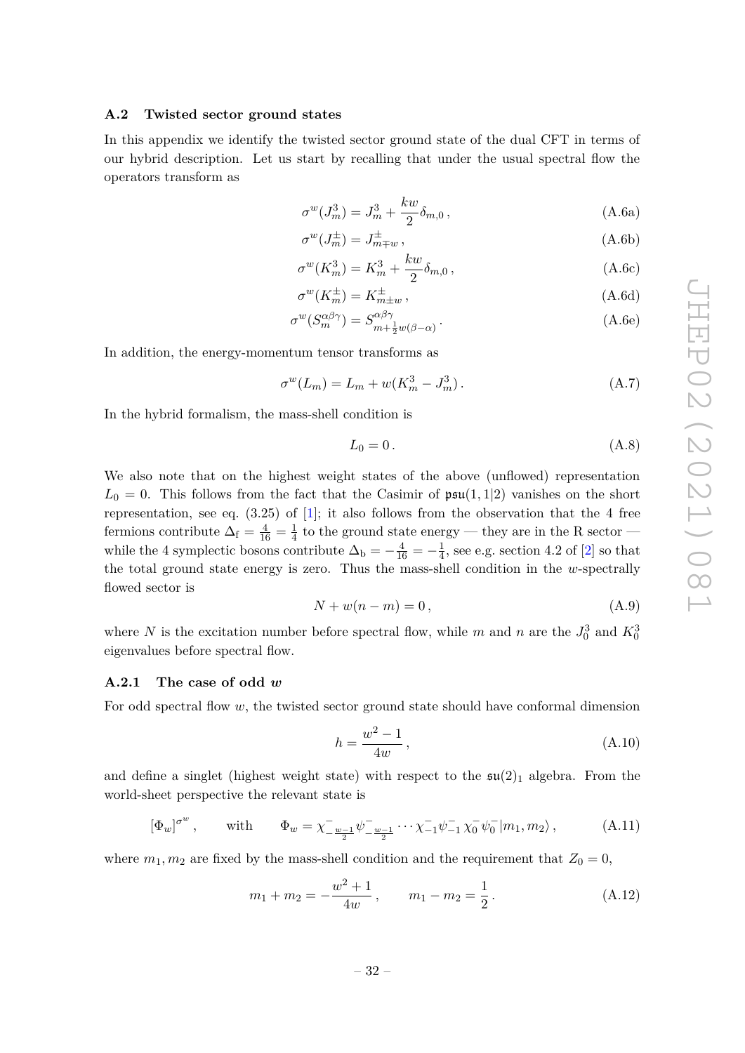#### <span id="page-34-0"></span>**A.2 Twisted sector ground states**

In this appendix we identify the twisted sector ground state of the dual CFT in terms of our hybrid description. Let us start by recalling that under the usual spectral flow the operators transform as

<span id="page-34-2"></span>
$$
\sigma^w(J_m^3) = J_m^3 + \frac{kw}{2} \delta_{m,0} , \qquad (A.6a)
$$

$$
\sigma^w(J_m^{\pm}) = J_{m \mp w}^{\pm} \,, \tag{A.6b}
$$

$$
\sigma^w(K_m^3) = K_m^3 + \frac{kw}{2} \delta_{m,0} \,, \tag{A.6c}
$$

$$
\sigma^w(K_m^{\pm}) = K_{m \pm w}^{\pm} , \qquad (A.6d)
$$

$$
\sigma^w(S_m^{\alpha\beta\gamma}) = S_{m + \frac{1}{2}w(\beta - \alpha)}^{\alpha\beta\gamma}.
$$
\n(A.6e)

In addition, the energy-momentum tensor transforms as

$$
\sigma^w(L_m) = L_m + w(K_m^3 - J_m^3). \tag{A.7}
$$

In the hybrid formalism, the mass-shell condition is

<span id="page-34-3"></span>
$$
L_0 = 0. \tag{A.8}
$$

We also note that on the highest weight states of the above (unflowed) representation  $L_0 = 0$ . This follows from the fact that the Casimir of  $\mathfrak{psu}(1,1|2)$  vanishes on the short representation, see eq.  $(3.25)$  of [\[1\]](#page-42-0); it also follows from the observation that the 4 free fermions contribute  $\Delta_f = \frac{4}{16} = \frac{1}{4}$  $\frac{1}{4}$  to the ground state energy — they are in the R sector while the 4 symplectic bosons contribute  $\Delta_{\rm b} = -\frac{4}{16} = -\frac{1}{4}$  $\frac{1}{4}$ , see e.g. section 4.2 of [\[2\]](#page-42-1) so that the total ground state energy is zero. Thus the mass-shell condition in the *w*-spectrally flowed sector is

<span id="page-34-5"></span>
$$
N + w(n - m) = 0,\t\t(A.9)
$$

where *N* is the excitation number before spectral flow, while *m* and *n* are the  $J_0^3$  and  $K_0^3$ eigenvalues before spectral flow.

#### <span id="page-34-1"></span>**A.2.1 The case of odd** *w*

For odd spectral flow *w*, the twisted sector ground state should have conformal dimension

<span id="page-34-6"></span>
$$
h = \frac{w^2 - 1}{4w},
$$
\n(A.10)

and define a singlet (highest weight state) with respect to the  $\mathfrak{su}(2)_1$  algebra. From the world-sheet perspective the relevant state is

<span id="page-34-4"></span>
$$
[\Phi_w]^{\sigma^w}, \quad \text{with} \quad \Phi_w = \chi_{-\frac{w-1}{2}}^{-} \psi_{-\frac{w-1}{2}}^{-} \cdots \chi_{-1}^{-} \psi_{-1}^{-} \chi_0^{-} \psi_0^{-} |m_1, m_2\rangle, \quad (A.11)
$$

where  $m_1, m_2$  are fixed by the mass-shell condition and the requirement that  $Z_0 = 0$ ,

$$
m_1 + m_2 = -\frac{w^2 + 1}{4w}, \qquad m_1 - m_2 = \frac{1}{2}.
$$
 (A.12)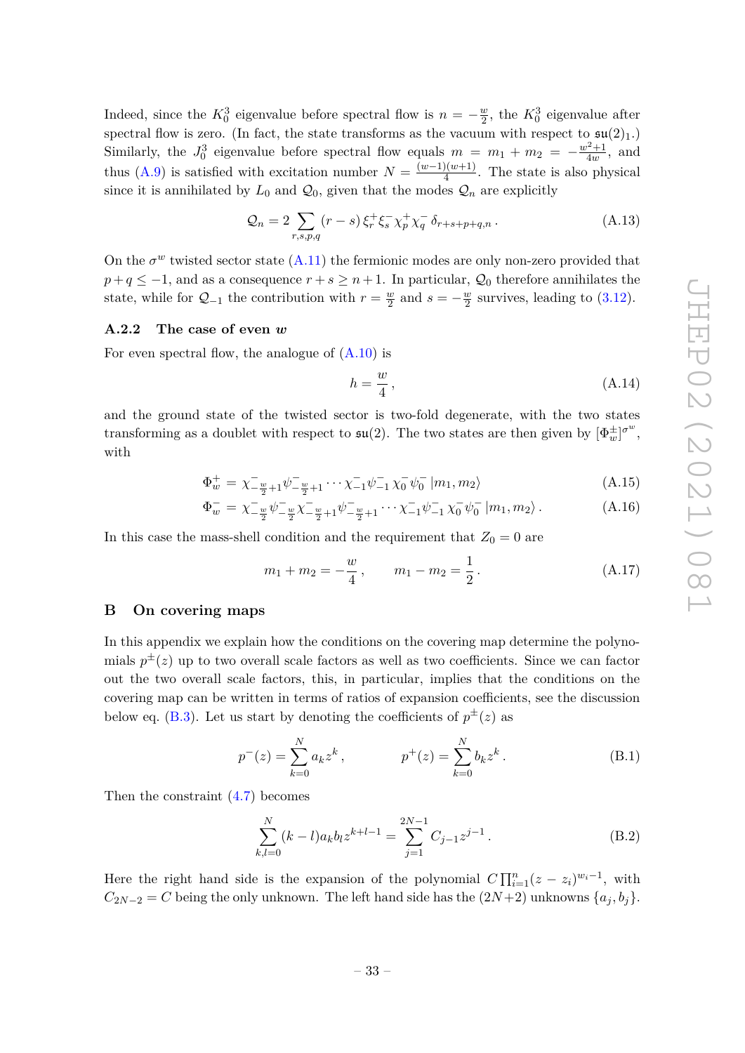Indeed, since the  $K_0^3$  eigenvalue before spectral flow is  $n = -\frac{w}{2}$  $\frac{w}{2}$ , the  $K_0^3$  eigenvalue after spectral flow is zero. (In fact, the state transforms as the vacuum with respect to  $\mathfrak{su}(2)_1$ .) Similarly, the  $J_0^3$  eigenvalue before spectral flow equals  $m = m_1 + m_2 = -\frac{w^2+1}{4w}$  $\frac{y^2+1}{4w}$ , and thus [\(A.9\)](#page-34-5) is satisfied with excitation number  $N = \frac{(w-1)(w+1)}{4}$  $\frac{1}{4}$ . The state is also physical since it is annihilated by  $L_0$  and  $\mathcal{Q}_0$ , given that the modes  $\mathcal{Q}_n$  are explicitly

$$
Q_n = 2 \sum_{r,s,p,q} (r-s) \xi_r^+ \xi_s^- \chi_p^+ \chi_q^- \delta_{r+s+p+q,n}.
$$
 (A.13)

On the  $\sigma^w$  twisted sector state  $(A.11)$  the fermionic modes are only non-zero provided that  $p+q \leq -1$ , and as a consequence  $r+s \geq n+1$ . In particular,  $\mathcal{Q}_0$  therefore annihilates the state, while for  $Q_{-1}$  the contribution with  $r = \frac{w}{2}$  $\frac{w}{2}$  and  $s = -\frac{w}{2}$  $\frac{w}{2}$  survives, leading to  $(3.12)$ .

## <span id="page-35-0"></span>**A.2.2 The case of even** *w*

For even spectral flow, the analogue of  $(A.10)$  is

$$
h = \frac{w}{4},\tag{A.14}
$$

and the ground state of the twisted sector is two-fold degenerate, with the two states transforming as a doublet with respect to  $\mathfrak{su}(2)$ . The two states are then given by  $[\Phi_w^{\pm}]^{\sigma^w}$ , with

<span id="page-35-2"></span>
$$
\Phi_{w}^{+} = \chi_{-\frac{w}{2}+1}^{-} \psi_{-\frac{w}{2}+1}^{-} \cdots \chi_{-1}^{-} \psi_{-1}^{-} \chi_{0}^{-} \psi_{0}^{-} |m_{1}, m_{2}\rangle
$$
\n(A.15)

$$
\Phi_{w}^{-} = \chi_{-\frac{w}{2}}^{-} \psi_{-\frac{w}{2}}^{-} \chi_{-\frac{w}{2}+1}^{-} \psi_{-\frac{w}{2}+1}^{-} \cdots \chi_{-1}^{-} \psi_{-1}^{-} \chi_{0}^{-} \psi_{0}^{-} |m_{1}, m_{2} \rangle.
$$
\n(A.16)

In this case the mass-shell condition and the requirement that  $Z_0 = 0$  are

$$
m_1 + m_2 = -\frac{w}{4}, \qquad m_1 - m_2 = \frac{1}{2}.
$$
 (A.17)

# <span id="page-35-1"></span>**B On covering maps**

In this appendix we explain how the conditions on the covering map determine the polynomials  $p^{\pm}(z)$  up to two overall scale factors as well as two coefficients. Since we can factor out the two overall scale factors, this, in particular, implies that the conditions on the covering map can be written in terms of ratios of expansion coefficients, see the discussion below eq. [\(B.3\)](#page-36-3). Let us start by denoting the coefficients of  $p^{\pm}(z)$  as

$$
p^{-}(z) = \sum_{k=0}^{N} a_k z^k, \qquad p^{+}(z) = \sum_{k=0}^{N} b_k z^k.
$$
 (B.1)

Then the constraint [\(4.7\)](#page-16-3) becomes

<span id="page-35-3"></span>
$$
\sum_{k,l=0}^{N} (k-l)a_k b_l z^{k+l-1} = \sum_{j=1}^{2N-1} C_{j-1} z^{j-1}.
$$
 (B.2)

Here the right hand side is the expansion of the polynomial  $C \prod_{i=1}^{n} (z - z_i)^{w_i-1}$ , with  $C_{2N-2} = C$  being the only unknown. The left hand side has the  $(2N+2)$  unknowns  $\{a_j, b_j\}$ .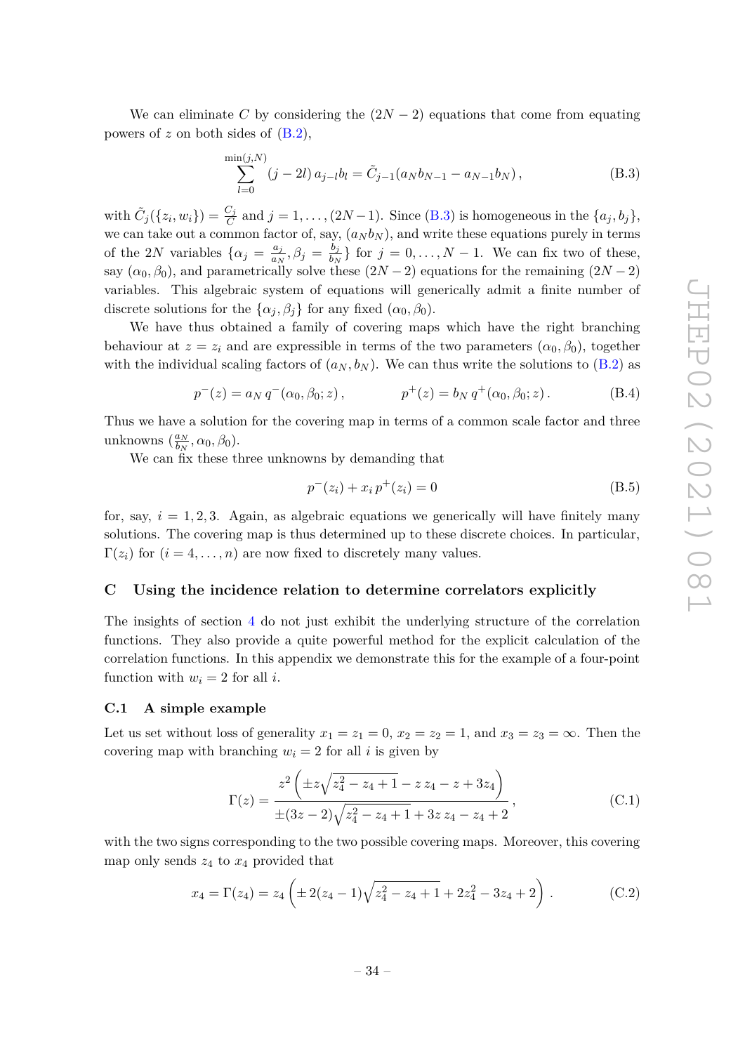We can eliminate C by considering the  $(2N-2)$  equations that come from equating powers of *z* on both sides of [\(B.2\)](#page-35-3),

<span id="page-36-3"></span>
$$
\sum_{l=0}^{\min(j,N)} (j-2l) a_{j-l} b_l = \tilde{C}_{j-1}(a_N b_{N-1} - a_{N-1} b_N),
$$
\n(B.3)

with  $\tilde{C}_j({z_i, w_i}) = \frac{C_j}{C}$  and  $j = 1, \ldots, (2N-1)$ . Since  $(B.3)$  is homogeneous in the  ${a_j, b_j}$ , we can take out a common factor of, say,  $(a_N b_N)$ , and write these equations purely in terms of the 2*N* variables  $\{\alpha_j = \frac{a_j}{a_j}\}$  $\frac{a_j}{a_N}, \beta_j = \frac{b_j}{b_N}$  $\left\{\frac{b_j}{b_N}\right\}$  for  $j = 0, \ldots, N-1$ . We can fix two of these, say  $(\alpha_0, \beta_0)$ , and parametrically solve these  $(2N-2)$  equations for the remaining  $(2N-2)$ variables. This algebraic system of equations will generically admit a finite number of discrete solutions for the  $\{\alpha_j, \beta_j\}$  for any fixed  $(\alpha_0, \beta_0)$ .

We have thus obtained a family of covering maps which have the right branching behaviour at  $z = z_i$  and are expressible in terms of the two parameters  $(\alpha_0, \beta_0)$ , together with the individual scaling factors of  $(a_N, b_N)$ . We can thus write the solutions to [\(B.2\)](#page-35-3) as

<span id="page-36-2"></span>
$$
p^{-}(z) = a_N q^{-}(\alpha_0, \beta_0; z), \qquad p^{+}(z) = b_N q^{+}(\alpha_0, \beta_0; z).
$$
 (B.4)

Thus we have a solution for the covering map in terms of a common scale factor and three unknowns  $\left(\frac{a_N}{b_N}\right)$  $\frac{a_N}{b_N}, \alpha_0, \beta_0$ ).

We can fix these three unknowns by demanding that

$$
p^{-}(z_i) + x_i p^{+}(z_i) = 0
$$
\n(B.5)

for, say,  $i = 1, 2, 3$ . Again, as algebraic equations we generically will have finitely many solutions. The covering map is thus determined up to these discrete choices. In particular,  $\Gamma(z_i)$  for  $(i = 4, \ldots, n)$  are now fixed to discretely many values.

#### <span id="page-36-0"></span>**C Using the incidence relation to determine correlators explicitly**

The insights of section [4](#page-14-1) do not just exhibit the underlying structure of the correlation functions. They also provide a quite powerful method for the explicit calculation of the correlation functions. In this appendix we demonstrate this for the example of a four-point function with  $w_i = 2$  for all *i*.

#### <span id="page-36-1"></span>**C.1 A simple example**

Let us set without loss of generality  $x_1 = z_1 = 0$ ,  $x_2 = z_2 = 1$ , and  $x_3 = z_3 = \infty$ . Then the covering map with branching  $w_i = 2$  for all *i* is given by

$$
\Gamma(z) = \frac{z^2 \left( \pm z \sqrt{z_4^2 - z_4 + 1} - z z_4 - z + 3 z_4 \right)}{\pm (3z - 2) \sqrt{z_4^2 - z_4 + 1} + 3 z z_4 - z_4 + 2},
$$
\n(C.1)

with the two signs corresponding to the two possible covering maps. Moreover, this covering map only sends  $z_4$  to  $x_4$  provided that

<span id="page-36-4"></span>
$$
x_4 = \Gamma(z_4) = z_4 \left( \pm 2(z_4 - 1) \sqrt{z_4^2 - z_4 + 1} + 2z_4^2 - 3z_4 + 2 \right).
$$
 (C.2)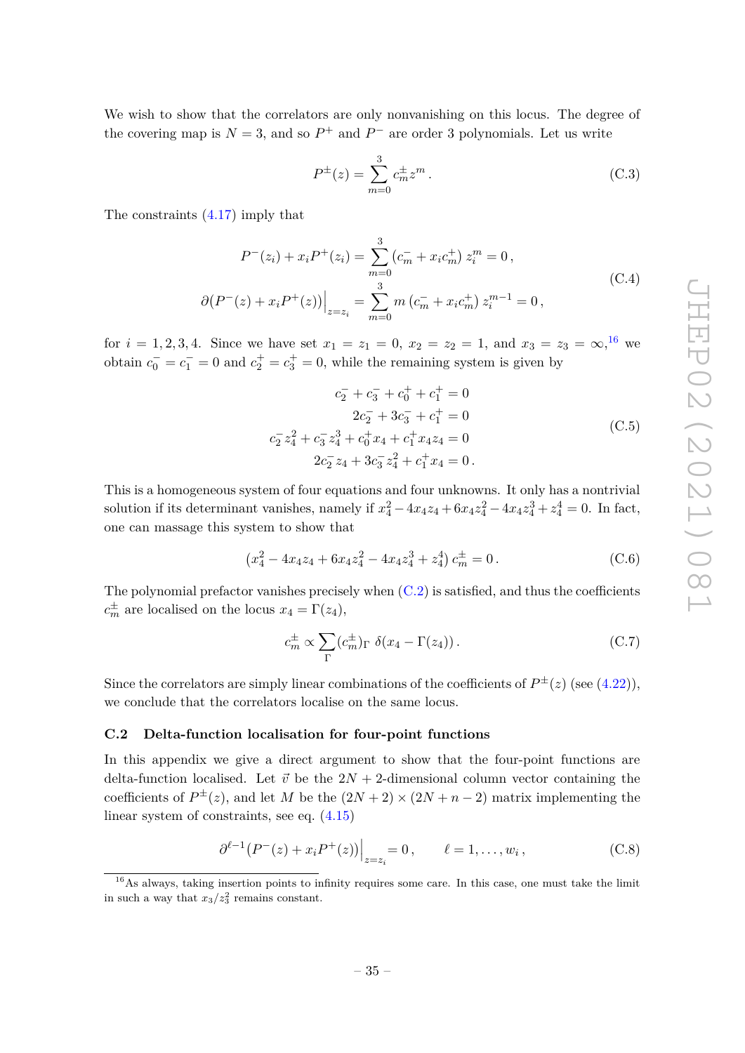We wish to show that the correlators are only nonvanishing on this locus. The degree of the covering map is  $N = 3$ , and so  $P^+$  and  $P^-$  are order 3 polynomials. Let us write

$$
P^{\pm}(z) = \sum_{m=0}^{3} c_m^{\pm} z^m.
$$
 (C.3)

The constraints [\(4.17\)](#page-18-0) imply that

$$
P^{-}(z_{i}) + x_{i}P^{+}(z_{i}) = \sum_{m=0}^{3} (c_{m}^{-} + x_{i}c_{m}^{+}) z_{i}^{m} = 0,
$$
  
\n
$$
\partial (P^{-}(z) + x_{i}P^{+}(z)) \Big|_{z=z_{i}} = \sum_{m=0}^{3} m (c_{m}^{-} + x_{i}c_{m}^{+}) z_{i}^{m-1} = 0,
$$
\n(C.4)

for  $i = 1, 2, 3, 4$ . Since we have set  $x_1 = z_1 = 0$ ,  $x_2 = z_2 = 1$ , and  $x_3 = z_3 = \infty$ , <sup>[16](#page-37-1)</sup> we obtain  $c_0^- = c_1^- = 0$  and  $c_2^+ = c_3^+ = 0$ , while the remaining system is given by

$$
c_2^- + c_3^- + c_0^+ + c_1^+ = 0
$$
  
\n
$$
2c_2^- + 3c_3^- + c_1^+ = 0
$$
  
\n
$$
c_2^- z_4^2 + c_3^- z_4^3 + c_0^+ x_4 + c_1^+ x_4 z_4 = 0
$$
  
\n
$$
2c_2^- z_4 + 3c_3^- z_4^2 + c_1^+ x_4 = 0.
$$
\n(C.5)

This is a homogeneous system of four equations and four unknowns. It only has a nontrivial solution if its determinant vanishes, namely if  $x_4^2 - 4x_4z_4 + 6x_4z_4^2 - 4x_4z_4^3 + z_4^4 = 0$ . In fact, one can massage this system to show that

$$
\left(x_4^2 - 4x_4z_4 + 6x_4z_4^2 - 4x_4z_4^3 + z_4^4\right)c_m^{\pm} = 0.
$$
 (C.6)

The polynomial prefactor vanishes precisely when  $(C.2)$  is satisfied, and thus the coefficients  $c_m^{\pm}$  are localised on the locus  $x_4 = \Gamma(z_4)$ ,

$$
c_m^{\pm} \propto \sum_{\Gamma} (c_m^{\pm})_{\Gamma} \, \delta(x_4 - \Gamma(z_4)) \,. \tag{C.7}
$$

Since the correlators are simply linear combinations of the coefficients of  $P^{\pm}(z)$  (see [\(4.22\)](#page-19-5)), we conclude that the correlators localise on the same locus.

#### <span id="page-37-0"></span>**C.2 Delta-function localisation for four-point functions**

In this appendix we give a direct argument to show that the four-point functions are delta-function localised. Let  $\vec{v}$  be the  $2N + 2$ -dimensional column vector containing the coefficients of  $P^{\pm}(z)$ , and let *M* be the  $(2N + 2) \times (2N + n - 2)$  matrix implementing the linear system of constraints, see eq. [\(4.15\)](#page-17-5)

<span id="page-37-2"></span>
$$
\left. \partial^{\ell-1} (P^-(z) + x_i P^+(z)) \right|_{z=z_i} = 0, \qquad \ell = 1, \dots, w_i, \tag{C.8}
$$

<span id="page-37-1"></span><sup>16</sup>As always, taking insertion points to infinity requires some care. In this case, one must take the limit in such a way that  $x_3/z_3^2$  remains constant.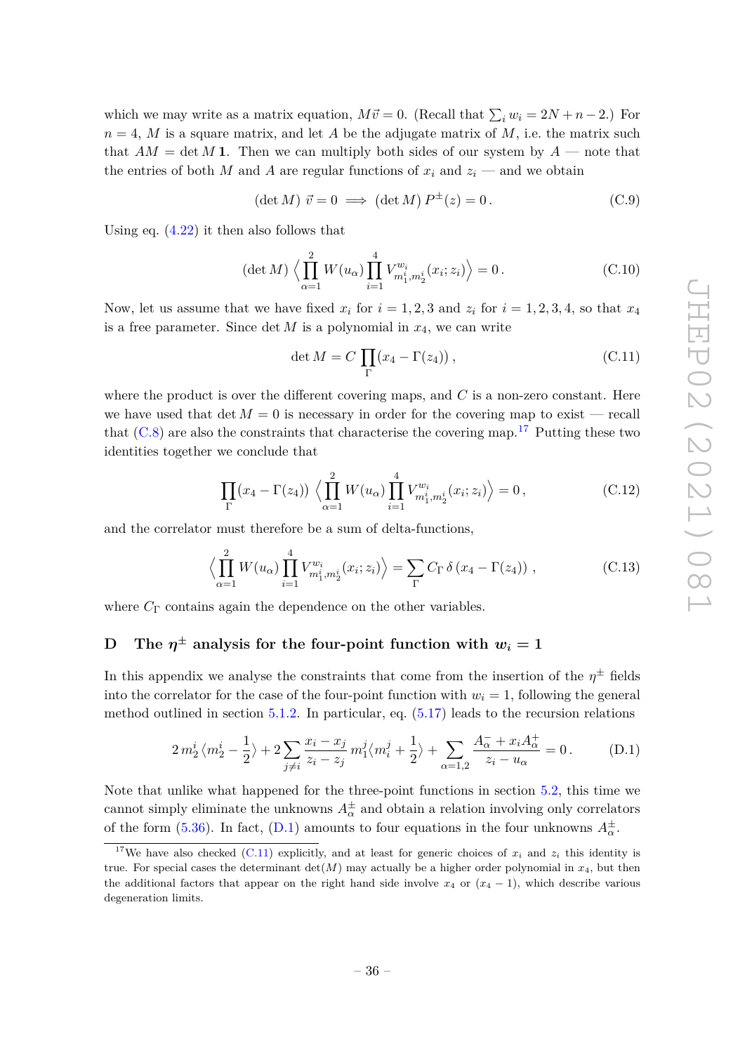which we may write as a matrix equation,  $M\vec{v} = 0$ . (Recall that  $\sum_i w_i = 2N + n - 2$ .) For  $n = 4$ , *M* is a square matrix, and let *A* be the adjugate matrix of *M*, i.e. the matrix such that  $AM = \det M$  **1**. Then we can multiply both sides of our system by  $A$  — note that the entries of both *M* and *A* are regular functions of  $x_i$  and  $z_i$  — and we obtain

$$
(\det M) \ \vec{v} = 0 \implies (\det M) \ P^{\pm}(z) = 0. \tag{C.9}
$$

Using eq.  $(4.22)$  it then also follows that

$$
(\det M) \left\langle \prod_{\alpha=1}^{2} W(u_{\alpha}) \prod_{i=1}^{4} V_{m_1^i, m_2^i}^{w_i}(x_i; z_i) \right\rangle = 0.
$$
 (C.10)

Now, let us assume that we have fixed  $x_i$  for  $i = 1, 2, 3$  and  $z_i$  for  $i = 1, 2, 3, 4$ , so that  $x_4$ is a free parameter. Since det  $M$  is a polynomial in  $x_4$ , we can write

<span id="page-38-3"></span>
$$
\det M = C \prod_{\Gamma} (x_4 - \Gamma(z_4)), \qquad (C.11)
$$

where the product is over the different covering maps, and *C* is a non-zero constant. Here we have used that  $\det M = 0$  is necessary in order for the covering map to exist – recall that  $(C.8)$  are also the constraints that characterise the covering map.<sup>[17](#page-38-1)</sup> Putting these two identities together we conclude that

$$
\prod_{\Gamma} (x_4 - \Gamma(z_4)) \left\langle \prod_{\alpha=1}^2 W(u_\alpha) \prod_{i=1}^4 V_{m_1^i, m_2^i}^{w_i}(x_i; z_i) \right\rangle = 0, \qquad (C.12)
$$

and the correlator must therefore be a sum of delta-functions,

$$
\left\langle \prod_{\alpha=1}^{2} W(u_{\alpha}) \prod_{i=1}^{4} V_{m_{1}^{i}, m_{2}^{i}}^{w_{i}}(x_{i}; z_{i}) \right\rangle = \sum_{\Gamma} C_{\Gamma} \delta \left( x_{4} - \Gamma(z_{4}) \right) , \qquad (C.13)
$$

where  $C_{\Gamma}$  contains again the dependence on the other variables.

# <span id="page-38-0"></span>**D** The  $\eta^{\pm}$  analysis for the four-point function with  $w_i = 1$

In this appendix we analyse the constraints that come from the insertion of the  $\eta^{\pm}$  fields into the correlator for the case of the four-point function with  $w_i = 1$ , following the general method outlined in section  $5.1.2$ . In particular, eq.  $(5.17)$  leads to the recursion relations

<span id="page-38-2"></span>
$$
2\,m_2^i\,\langle m_2^i - \frac{1}{2} \rangle + 2\sum_{j \neq i} \frac{x_i - x_j}{z_i - z_j} \, m_1^j \langle m_i^j + \frac{1}{2} \rangle + \sum_{\alpha=1,2} \frac{A_{\alpha}^- + x_i A_{\alpha}^+}{z_i - u_{\alpha}} = 0. \tag{D.1}
$$

Note that unlike what happened for the three-point functions in section [5.2,](#page-27-0) this time we cannot simply eliminate the unknowns  $A^{\pm}_{\alpha}$  and obtain a relation involving only correlators of the form [\(5.36\)](#page-29-3). In fact, [\(D.1\)](#page-38-2) amounts to four equations in the four unknowns  $A^{\pm}_{\alpha}$ .

<span id="page-38-1"></span><sup>&</sup>lt;sup>17</sup>We have also checked [\(C.11\)](#page-38-3) explicitly, and at least for generic choices of  $x_i$  and  $z_i$  this identity is true. For special cases the determinant  $\det(M)$  may actually be a higher order polynomial in  $x_4$ , but then the additional factors that appear on the right hand side involve  $x_4$  or  $(x_4 - 1)$ , which describe various degeneration limits.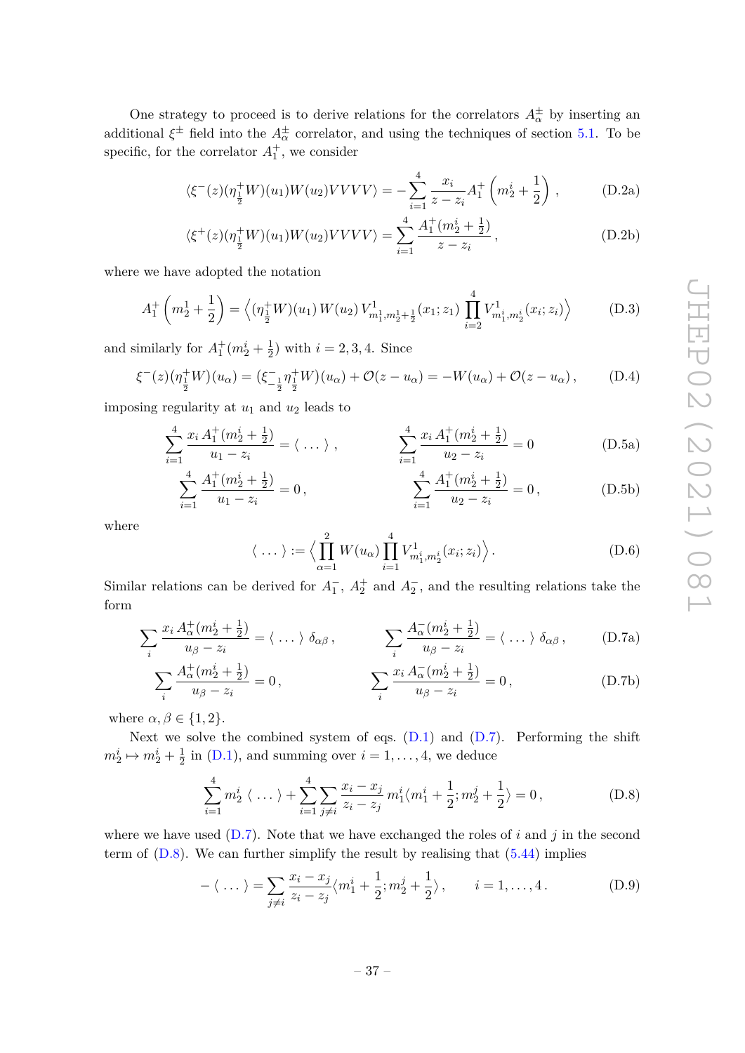One strategy to proceed is to derive relations for the correlators  $A^{\pm}_{\alpha}$  by inserting an additional  $\xi^{\pm}$  field into the  $A^{\pm}_{\alpha}$  correlator, and using the techniques of section [5.1.](#page-23-0) To be specific, for the correlator  $A_1^+$ , we consider

$$
\langle \xi^{-}(z)(\eta_{\frac{1}{2}}^{+}W)(u_{1})W(u_{2})VVVV\rangle = -\sum_{i=1}^{4} \frac{x_{i}}{z - z_{i}} A_{1}^{+}\left(m_{2}^{i} + \frac{1}{2}\right), \quad (D.2a)
$$

$$
\langle \xi^+(z)(\eta_{\frac{1}{2}}^+W)(u_1)W(u_2)VVV \rangle = \sum_{i=1}^4 \frac{A_1^+(m_2^i + \frac{1}{2})}{z - z_i}, \tag{D.2b}
$$

where we have adopted the notation

$$
A_1^+\left(m_2^1+\frac{1}{2}\right) = \left\langle \left(\eta_{\frac{1}{2}}^+W\right)(u_1) \, W(u_2) \, V_{m_1^1,m_2^1+\frac{1}{2}}^1(x_1; z_1) \, \prod_{i=2}^4 V_{m_1^i,m_2^i}^1(x_i; z_i) \right\rangle \tag{D.3}
$$

and similarly for  $A_1^+(m_2^i + \frac{1}{2})$  $(\frac{1}{2})$  with  $i = 2, 3, 4$ . Since

$$
\xi^{-}(z)\left(\eta_{\frac{1}{2}}^{+}W\right)\left(u_{\alpha}\right) = \left(\xi_{-\frac{1}{2}}^{-}\eta_{\frac{1}{2}}^{+}W\right)\left(u_{\alpha}\right) + \mathcal{O}(z - u_{\alpha}) = -W(u_{\alpha}) + \mathcal{O}(z - u_{\alpha}),\tag{D.4}
$$

imposing regularity at *u*<sup>1</sup> and *u*<sup>2</sup> leads to

$$
\sum_{i=1}^{4} \frac{x_i A_1^+(m_2^i + \frac{1}{2})}{u_1 - z_i} = \langle \dots \rangle , \qquad \sum_{i=1}^{4} \frac{x_i A_1^+(m_2^i + \frac{1}{2})}{u_2 - z_i} = 0 \qquad (D.5a)
$$

$$
\sum_{i=1}^{4} \frac{A_1^+(m_2^i + \frac{1}{2})}{u_1 - z_i} = 0, \qquad \sum_{i=1}^{4} \frac{A_1^+(m_2^i + \frac{1}{2})}{u_2 - z_i} = 0,
$$
 (D.5b)

where

<span id="page-39-0"></span>
$$
\langle \dots \rangle := \left\langle \prod_{\alpha=1}^{2} W(u_{\alpha}) \prod_{i=1}^{4} V_{m_1^i, m_2^i}^1(x_i; z_i) \right\rangle. \tag{D.6}
$$

Similar relations can be derived for  $A_1^-$ ,  $A_2^+$  and  $A_2^-$ , and the resulting relations take the form

$$
\sum_{i} \frac{x_i A_{\alpha}^+(m_2^i + \frac{1}{2})}{u_{\beta} - z_i} = \langle \dots \rangle \delta_{\alpha\beta}, \qquad \sum_{i} \frac{A_{\alpha}^-(m_2^i + \frac{1}{2})}{u_{\beta} - z_i} = \langle \dots \rangle \delta_{\alpha\beta}, \qquad (D.7a)
$$

$$
\sum_{i} \frac{A_{\alpha}^{+}(m_{2}^{i} + \frac{1}{2})}{u_{\beta} - z_{i}} = 0, \qquad \sum_{i} \frac{x_{i} A_{\alpha}^{-}(m_{2}^{i} + \frac{1}{2})}{u_{\beta} - z_{i}} = 0,
$$
\n(D.7b)

where  $\alpha, \beta \in \{1, 2\}$ .

Next we solve the combined system of eqs.  $(D.1)$  and  $(D.7)$ . Performing the shift  $m_2^i \mapsto m_2^i + \frac{1}{2}$  $\frac{1}{2}$  in [\(D.1\)](#page-38-2), and summing over  $i = 1, \ldots, 4$ , we deduce

<span id="page-39-1"></span>
$$
\sum_{i=1}^{4} m_2^i \langle \dots \rangle + \sum_{i=1}^{4} \sum_{j \neq i} \frac{x_i - x_j}{z_i - z_j} m_1^i \langle m_1^i + \frac{1}{2}; m_2^j + \frac{1}{2} \rangle = 0, \tag{D.8}
$$

where we have used [\(D.7\)](#page-39-0). Note that we have exchanged the roles of *i* and *j* in the second term of  $(D.8)$ . We can further simplify the result by realising that  $(5.44)$  implies

$$
-\langle \dots \rangle = \sum_{j \neq i} \frac{x_i - x_j}{z_i - z_j} \langle m_1^i + \frac{1}{2}; m_2^j + \frac{1}{2} \rangle, \qquad i = 1, \dots, 4. \tag{D.9}
$$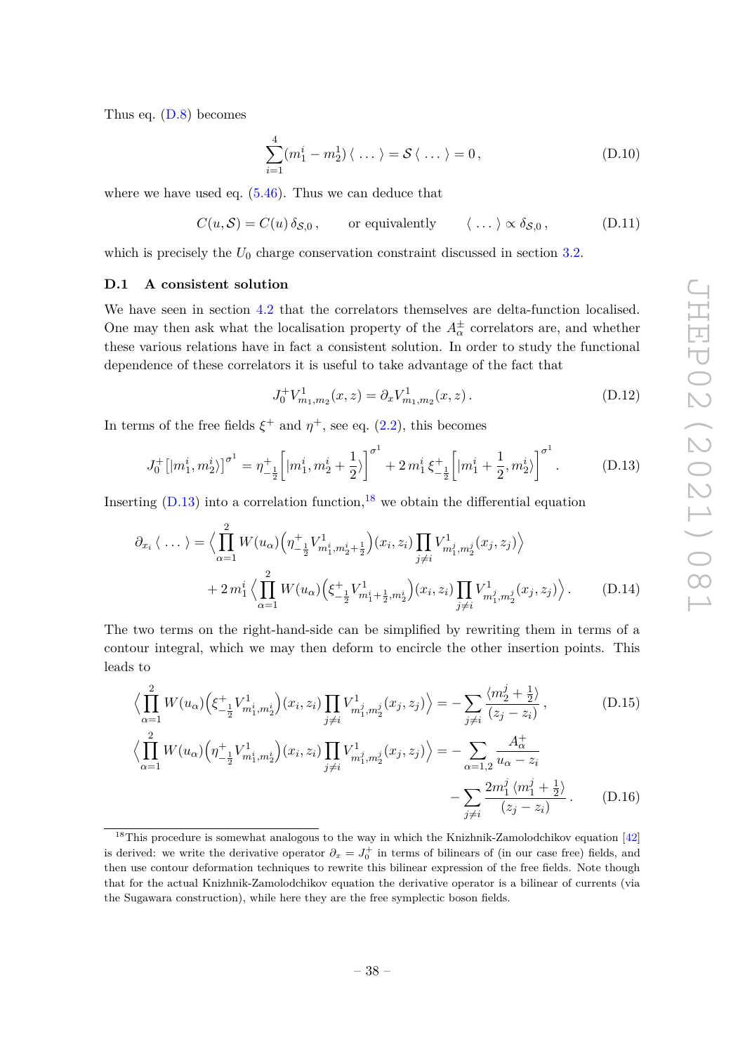Thus eq. [\(D.8\)](#page-39-1) becomes

$$
\sum_{i=1}^{4} (m_1^i - m_2^1) \langle \dots \rangle = \mathcal{S} \langle \dots \rangle = 0, \qquad (D.10)
$$

where we have used eq. [\(5.46\)](#page-31-1). Thus we can deduce that

<span id="page-40-1"></span>
$$
C(u,\mathcal{S}) = C(u)\,\delta_{\mathcal{S},0}\,,\qquad\text{or equivalently}\qquad\langle\,\ldots\,\rangle\propto\delta_{\mathcal{S},0}\,,\tag{D.11}
$$

which is precisely the  $U_0$  charge conservation constraint discussed in section  $3.2$ .

## <span id="page-40-0"></span>**D.1 A consistent solution**

We have seen in section [4.2](#page-16-0) that the correlators themselves are delta-function localised. One may then ask what the localisation property of the  $A^{\pm}_{\alpha}$  correlators are, and whether these various relations have in fact a consistent solution. In order to study the functional dependence of these correlators it is useful to take advantage of the fact that

<span id="page-40-4"></span>
$$
J_0^+ V_{m_1, m_2}^1(x, z) = \partial_x V_{m_1, m_2}^1(x, z).
$$
 (D.12)

In terms of the free fields  $\xi^+$  and  $\eta^+$ , see eq. [\(2.2\)](#page-6-1), this becomes

<span id="page-40-2"></span>
$$
J_0^+ [|m_1^i, m_2^i\rangle]^{\sigma^1} = \eta_{-\frac{1}{2}}^+ \Big[ |m_1^i, m_2^i + \frac{1}{2}\rangle \Big]^{\sigma^1} + 2 m_1^i \, \xi_{-\frac{1}{2}}^+ \Big[ |m_1^i + \frac{1}{2}, m_2^i\rangle \Big]^{\sigma^1} . \tag{D.13}
$$

Inserting  $(D.13)$  into a correlation function, <sup>[18](#page-40-3)</sup> we obtain the differential equation

$$
\partial_{x_i} \langle \dots \rangle = \Big\langle \prod_{\alpha=1}^2 W(u_\alpha) \Big( \eta^+_{-\frac{1}{2}} V^1_{m_1^i, m_2^i + \frac{1}{2}} \Big) (x_i, z_i) \prod_{j \neq i} V^1_{m_1^j, m_2^j} (x_j, z_j) \Big\rangle + 2 m_1^i \Big\langle \prod_{\alpha=1}^2 W(u_\alpha) \Big( \xi^+_{-\frac{1}{2}} V^1_{m_1^i + \frac{1}{2}, m_2^i} \Big) (x_i, z_i) \prod_{j \neq i} V^1_{m_1^j, m_2^j} (x_j, z_j) \Big\rangle. \tag{D.14}
$$

The two terms on the right-hand-side can be simplified by rewriting them in terms of a contour integral, which we may then deform to encircle the other insertion points. This leads to

$$
\left\langle \prod_{\alpha=1}^{2} W(u_{\alpha}) \left( \xi_{-\frac{1}{2}}^{+} V_{m_1^i, m_2^i}^1 \right) (x_i, z_i) \prod_{j \neq i} V_{m_1^j, m_2^j}^1(x_j, z_j) \right\rangle = - \sum_{j \neq i} \frac{\left\langle m_2^j + \frac{1}{2} \right\rangle}{(z_j - z_i)}, \tag{D.15}
$$

$$
\left\langle \prod_{\alpha=1}^{2} W(u_{\alpha}) \left( \eta_{-\frac{1}{2}}^{+} V_{m_1^i, m_2^i}^{1} \right) (x_i, z_i) \prod_{j \neq i} V_{m_1^j, m_2^j}^{1} (x_j, z_j) \right\rangle = - \sum_{\alpha=1,2} \frac{A_{\alpha}^+}{u_{\alpha} - z_i} - \sum_{j \neq i} \frac{2m_1^j \left( m_1^j + \frac{1}{2} \right)}{(z_j - z_i)} \,. \tag{D.16}
$$

<span id="page-40-3"></span> $18$ This procedure is somewhat analogous to the way in which the Knizhnik-Zamolodchikov equation [\[42\]](#page-44-14) is derived: we write the derivative operator  $\partial_x = J_0^+$  in terms of bilinears of (in our case free) fields, and then use contour deformation techniques to rewrite this bilinear expression of the free fields. Note though that for the actual Knizhnik-Zamolodchikov equation the derivative operator is a bilinear of currents (via the Sugawara construction), while here they are the free symplectic boson fields.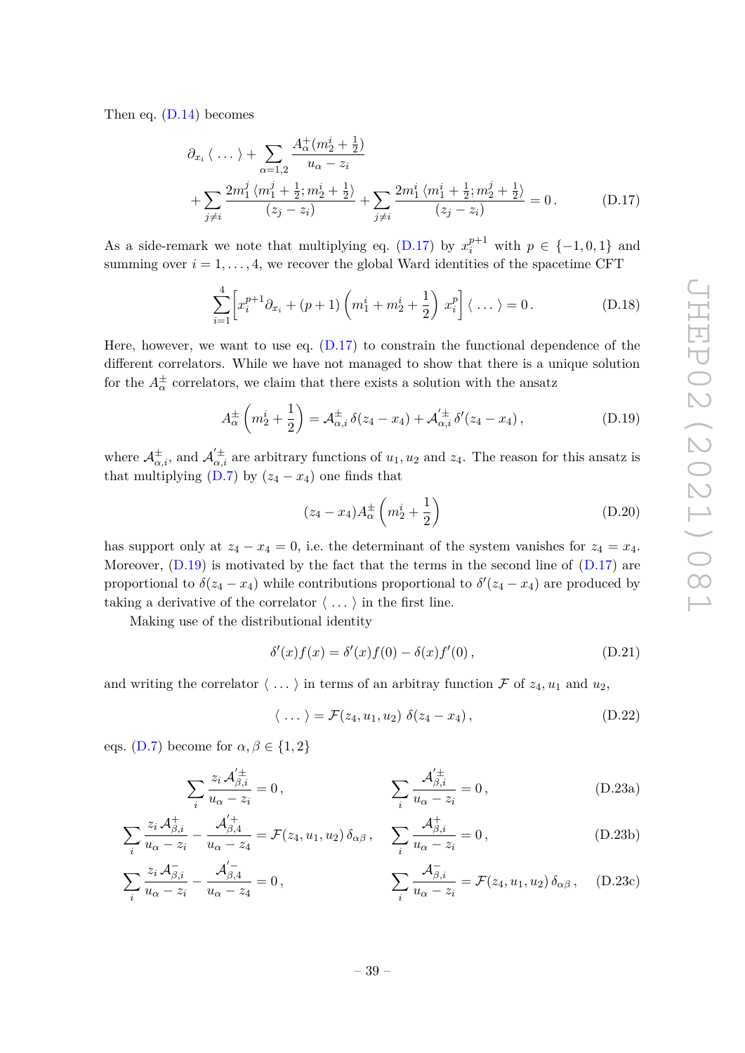Then eq. [\(D.14\)](#page-40-4) becomes

$$
\partial_{x_i} \langle \dots \rangle + \sum_{\alpha=1,2} \frac{A^+_{\alpha}(m_2^i + \frac{1}{2})}{u_{\alpha} - z_i} + \sum_{j \neq i} \frac{2m_1^j \langle m_1^j + \frac{1}{2}; m_2^i + \frac{1}{2} \rangle}{(z_j - z_i)} + \sum_{j \neq i} \frac{2m_1^i \langle m_1^i + \frac{1}{2}; m_2^j + \frac{1}{2} \rangle}{(z_j - z_i)} = 0.
$$
 (D.17)

As a side-remark we note that multiplying eq. [\(D.17\)](#page-41-1) by  $x_i^{p+1}$  with  $p \in \{-1,0,1\}$  and summing over  $i = 1, \ldots, 4$ , we recover the global Ward identities of the spacetime CFT

<span id="page-41-1"></span>
$$
\sum_{i=1}^{4} \left[ x_i^{p+1} \partial_{x_i} + (p+1) \left( m_1^i + m_2^i + \frac{1}{2} \right) x_i^p \right] \langle \dots \rangle = 0.
$$
 (D.18)

Here, however, we want to use eq.  $(D.17)$  to constrain the functional dependence of the different correlators. While we have not managed to show that there is a unique solution for the  $A^{\pm}_{\alpha}$  correlators, we claim that there exists a solution with the ansatz

<span id="page-41-0"></span>
$$
A_{\alpha}^{\pm} \left( m_{2}^{i} + \frac{1}{2} \right) = A_{\alpha,i}^{\pm} \, \delta(z_{4} - x_{4}) + A_{\alpha,i}'^{\pm} \, \delta'(z_{4} - x_{4}), \tag{D.19}
$$

where  $\mathcal{A}_{\alpha,i}^{\pm}$ , and  $\mathcal{A}_{\alpha,i}^{'\pm}$  are arbitrary functions of  $u_1, u_2$  and  $z_4$ . The reason for this ansatz is that multiplying [\(D.7\)](#page-39-0) by  $(z_4 - x_4)$  one finds that

$$
(z_4 - x_4)A_{\alpha}^{\pm} \left(m_2^i + \frac{1}{2}\right) \tag{D.20}
$$

has support only at  $z_4 - x_4 = 0$ , i.e. the determinant of the system vanishes for  $z_4 = x_4$ . Moreover, [\(D.19\)](#page-41-0) is motivated by the fact that the terms in the second line of [\(D.17\)](#page-41-1) are proportional to  $\delta(z_4 - x_4)$  while contributions proportional to  $\delta'(z_4 - x_4)$  are produced by taking a derivative of the correlator  $\langle \ldots \rangle$  in the first line.

Making use of the distributional identity

$$
\delta'(x)f(x) = \delta'(x)f(0) - \delta(x)f'(0), \qquad (D.21)
$$

and writing the correlator  $\langle \ldots \rangle$  in terms of an arbitray function F of  $z_4, u_1$  and  $u_2$ ,

<span id="page-41-2"></span>
$$
\langle \dots \rangle = \mathcal{F}(z_4, u_1, u_2) \, \delta(z_4 - x_4), \tag{D.22}
$$

eqs. [\(D.7\)](#page-39-0) become for  $\alpha, \beta \in \{1, 2\}$ 

$$
\sum_{i} \frac{z_i \mathcal{A}_{\beta,i}^{\prime \pm}}{u_\alpha - z_i} = 0, \qquad \sum_{i} \frac{\mathcal{A}_{\beta,i}^{\prime \pm}}{u_\alpha - z_i} = 0, \qquad (D.23a)
$$

$$
\sum_{i} \frac{z_i \mathcal{A}_{\beta,i}^+}{u_\alpha - z_i} - \frac{\mathcal{A}_{\beta,4}^+}{u_\alpha - z_4} = \mathcal{F}(z_4, u_1, u_2) \, \delta_{\alpha\beta} \,, \quad \sum_{i} \frac{\mathcal{A}_{\beta,i}^+}{u_\alpha - z_i} = 0 \,, \tag{D.23b}
$$

$$
\sum_{i} \frac{z_i \mathcal{A}_{\beta,i}^-}{u_\alpha - z_i} - \frac{\mathcal{A}_{\beta,4}^{\prime -}}{u_\alpha - z_4} = 0, \qquad \qquad \sum_{i} \frac{\mathcal{A}_{\beta,i}^-}{u_\alpha - z_i} = \mathcal{F}(z_4, u_1, u_2) \delta_{\alpha\beta}, \quad \text{(D.23c)}
$$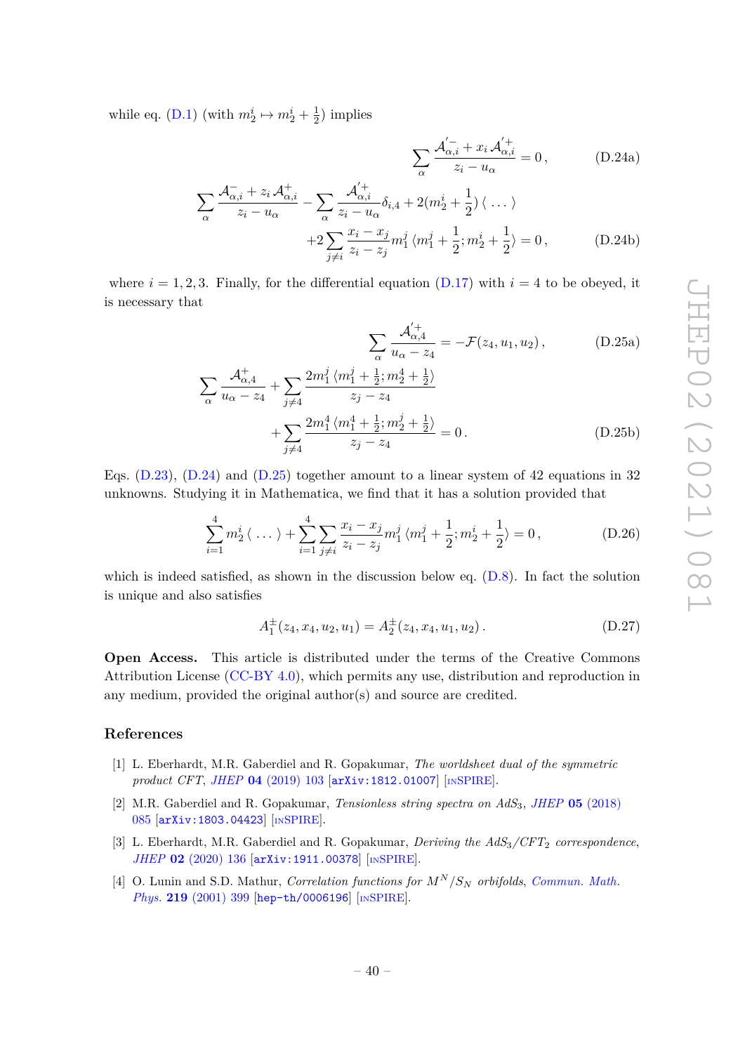while eq. [\(D.1\)](#page-38-2) (with  $m_2^i \mapsto m_2^i + \frac{1}{2}$  $(\frac{1}{2})$  implies

> $\sum$ *α*

$$
\sum_{\alpha} \frac{\mathcal{A}_{\alpha,i}^{\prime -} + x_i \mathcal{A}_{\alpha,i}^{\prime +}}{z_i - u_{\alpha}} = 0, \qquad (D.24a)
$$

$$
\frac{\mathcal{A}_{\alpha,i}^{\prime -} + z_i \mathcal{A}_{\alpha,i}^{\prime}}{z_i - u_{\alpha}} - \sum_{\alpha} \frac{\mathcal{A}_{\alpha,i}^{\prime +}}{z_i - u_{\alpha}} \delta_{i,4} + 2(m_2^i + \frac{1}{2}) \langle \dots \rangle
$$

$$
+2\sum_{j\neq i}\frac{x_i - x_j}{z_i - z_j}m_1^j \langle m_1^j + \frac{1}{2}; m_2^i + \frac{1}{2} \rangle = 0, \tag{D.24b}
$$

where  $i = 1, 2, 3$ . Finally, for the differential equation  $(D.17)$  with  $i = 4$  to be obeyed, it is necessary that

<span id="page-42-5"></span><span id="page-42-4"></span>
$$
\sum_{\alpha} \frac{\mathcal{A}'^+_{\alpha,4}}{u_{\alpha}-z_4} = -\mathcal{F}(z_4, u_1, u_2), \quad (D.25a)
$$

$$
\sum_{\alpha} \frac{\mathcal{A}_{\alpha,4}^+}{u_{\alpha} - z_4} + \sum_{j \neq 4} \frac{2m_1^j \langle m_1^j + \frac{1}{2}; m_2^4 + \frac{1}{2} \rangle}{z_j - z_4} + \sum_{j \neq 4} \frac{2m_1^4 \langle m_1^4 + \frac{1}{2}; m_2^j + \frac{1}{2} \rangle}{z_j - z_4} = 0.
$$
 (D.25b)

Eqs.  $(D.23)$ ,  $(D.24)$  and  $(D.25)$  together amount to a linear system of 42 equations in 32 unknowns. Studying it in Mathematica, we find that it has a solution provided that

$$
\sum_{i=1}^{4} m_2^i \langle \dots \rangle + \sum_{i=1}^{4} \sum_{j \neq i} \frac{x_i - x_j}{z_i - z_j} m_1^j \langle m_1^j + \frac{1}{2}; m_2^i + \frac{1}{2} \rangle = 0, \tag{D.26}
$$

which is indeed satisfied, as shown in the discussion below eq. [\(D.8\)](#page-39-1). In fact the solution is unique and also satisfies

$$
A_1^{\pm}(z_4, x_4, u_2, u_1) = A_2^{\pm}(z_4, x_4, u_1, u_2).
$$
 (D.27)

**Open Access.** This article is distributed under the terms of the Creative Commons Attribution License [\(CC-BY 4.0\)](https://creativecommons.org/licenses/by/4.0/), which permits any use, distribution and reproduction in any medium, provided the original author(s) and source are credited.

# **References**

- <span id="page-42-0"></span>[1] L. Eberhardt, M.R. Gaberdiel and R. Gopakumar, *The worldsheet dual of the symmetric product CFT*, *JHEP* **04** [\(2019\) 103](https://doi.org/10.1007/JHEP04(2019)103) [[arXiv:1812.01007](https://arxiv.org/abs/1812.01007)] [IN[SPIRE](https://inspirehep.net/search?p=find+EPRINT%2BarXiv%3A1812.01007)].
- <span id="page-42-1"></span>[2] M.R. Gaberdiel and R. Gopakumar, *Tensionless string spectra on AdS*3, *JHEP* **05** [\(2018\)](https://doi.org/10.1007/JHEP05(2018)085) [085](https://doi.org/10.1007/JHEP05(2018)085) [[arXiv:1803.04423](https://arxiv.org/abs/1803.04423)] [IN[SPIRE](https://inspirehep.net/search?p=find+EPRINT%2BarXiv%3A1803.04423)].
- <span id="page-42-2"></span>[3] L. Eberhardt, M.R. Gaberdiel and R. Gopakumar, *Deriving the AdS*3*/CFT*<sup>2</sup> *correspondence*, *JHEP* **02** [\(2020\) 136](https://doi.org/10.1007/JHEP02(2020)136) [[arXiv:1911.00378](https://arxiv.org/abs/1911.00378)] [IN[SPIRE](https://inspirehep.net/search?p=find+EPRINT%2BarXiv%3A1911.00378)].
- <span id="page-42-3"></span>[4] O. Lunin and S.D. Mathur, *Correlation functions for M<sup>N</sup> /S<sup>N</sup> orbifolds*, *[Commun. Math.](https://doi.org/10.1007/s002200100431) Phys.* **219** [\(2001\) 399](https://doi.org/10.1007/s002200100431) [[hep-th/0006196](https://arxiv.org/abs/hep-th/0006196)] [IN[SPIRE](https://inspirehep.net/search?p=find+EPRINT%2Bhep-th%2F0006196)].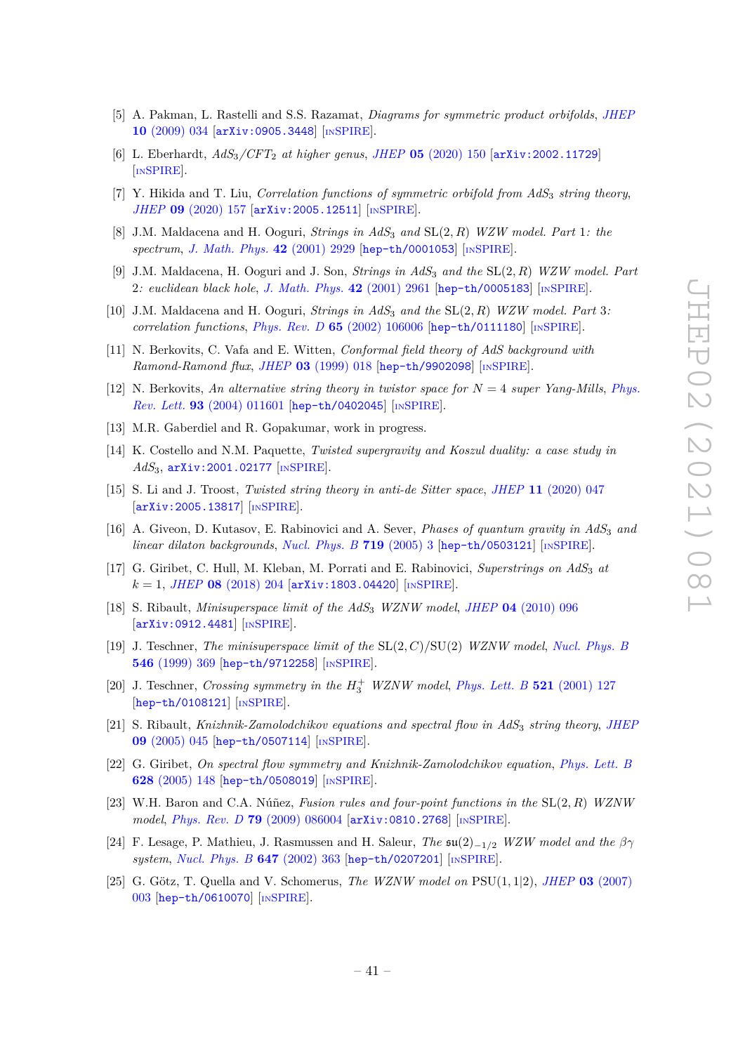- <span id="page-43-0"></span>[5] A. Pakman, L. Rastelli and S.S. Razamat, *Diagrams for symmetric product orbifolds*, *[JHEP](https://doi.org/10.1088/1126-6708/2009/10/034)* **10** [\(2009\) 034](https://doi.org/10.1088/1126-6708/2009/10/034) [[arXiv:0905.3448](https://arxiv.org/abs/0905.3448)] [IN[SPIRE](https://inspirehep.net/search?p=find+EPRINT%2BarXiv%3A0905.3448)].
- <span id="page-43-1"></span>[6] L. Eberhardt, *AdS*3*/CFT*<sup>2</sup> *at higher genus*, *JHEP* **05** [\(2020\) 150](https://doi.org/10.1007/JHEP05(2020)150) [[arXiv:2002.11729](https://arxiv.org/abs/2002.11729)] [IN[SPIRE](https://inspirehep.net/search?p=find+EPRINT%2BarXiv%3A2002.11729)].
- <span id="page-43-11"></span>[7] Y. Hikida and T. Liu, *Correlation functions of symmetric orbifold from AdS*<sup>3</sup> *string theory*, *JHEP* **09** [\(2020\) 157](https://doi.org/10.1007/JHEP09(2020)157) [[arXiv:2005.12511](https://arxiv.org/abs/2005.12511)] [IN[SPIRE](https://inspirehep.net/search?p=find+EPRINT%2BarXiv%3A2005.12511)].
- <span id="page-43-2"></span>[8] J.M. Maldacena and H. Ooguri, *Strings in AdS*<sup>3</sup> *and* SL(2*, R*) *WZW model. Part* 1*: the spectrum*, *[J. Math. Phys.](https://doi.org/10.1063/1.1377273)* **42** (2001) 2929 [[hep-th/0001053](https://arxiv.org/abs/hep-th/0001053)] [IN[SPIRE](https://inspirehep.net/search?p=find+EPRINT%2Bhep-th%2F0001053)].
- [9] J.M. Maldacena, H. Ooguri and J. Son, *Strings in AdS*<sup>3</sup> *and the* SL(2*, R*) *WZW model. Part* 2*: euclidean black hole*, *[J. Math. Phys.](https://doi.org/10.1063/1.1377039)* **42** (2001) 2961 [[hep-th/0005183](https://arxiv.org/abs/hep-th/0005183)] [IN[SPIRE](https://inspirehep.net/search?p=find+EPRINT%2Bhep-th%2F0005183)].
- <span id="page-43-3"></span>[10] J.M. Maldacena and H. Ooguri, *Strings in AdS*<sup>3</sup> *and the* SL(2*, R*) *WZW model. Part* 3*: correlation functions*, *Phys. Rev. D* **65** [\(2002\) 106006](https://doi.org/10.1103/PhysRevD.65.106006) [[hep-th/0111180](https://arxiv.org/abs/hep-th/0111180)] [IN[SPIRE](https://inspirehep.net/search?p=find+EPRINT%2Bhep-th%2F0111180)].
- <span id="page-43-4"></span>[11] N. Berkovits, C. Vafa and E. Witten, *Conformal field theory of AdS background with Ramond-Ramond flux*, *JHEP* **03** [\(1999\) 018](https://doi.org/10.1088/1126-6708/1999/03/018) [[hep-th/9902098](https://arxiv.org/abs/hep-th/9902098)] [IN[SPIRE](https://inspirehep.net/search?p=find+EPRINT%2Bhep-th%2F9902098)].
- <span id="page-43-5"></span>[12] N. Berkovits, *An alternative string theory in twistor space for N* = 4 *super Yang-Mills*, *[Phys.](https://doi.org/10.1103/PhysRevLett.93.011601) Rev. Lett.* **93** [\(2004\) 011601](https://doi.org/10.1103/PhysRevLett.93.011601) [[hep-th/0402045](https://arxiv.org/abs/hep-th/0402045)] [IN[SPIRE](https://inspirehep.net/search?p=find+EPRINT%2Bhep-th%2F0402045)].
- <span id="page-43-6"></span>[13] M.R. Gaberdiel and R. Gopakumar, work in progress.
- <span id="page-43-7"></span>[14] K. Costello and N.M. Paquette, *Twisted supergravity and Koszul duality: a case study in AdS*3, [arXiv:2001.02177](https://arxiv.org/abs/2001.02177) [IN[SPIRE](https://inspirehep.net/search?p=find+EPRINT%2BarXiv%3A2001.02177)].
- <span id="page-43-8"></span>[15] S. Li and J. Troost, *Twisted string theory in anti-de Sitter space*, *JHEP* **11** [\(2020\) 047](https://doi.org/10.1007/JHEP11(2020)047) [[arXiv:2005.13817](https://arxiv.org/abs/2005.13817)] [IN[SPIRE](https://inspirehep.net/search?p=find+EPRINT%2BarXiv%3A2005.13817)].
- <span id="page-43-9"></span>[16] A. Giveon, D. Kutasov, E. Rabinovici and A. Sever, *Phases of quantum gravity in AdS*<sup>3</sup> *and linear dilaton backgrounds*, *[Nucl. Phys. B](https://doi.org/10.1016/j.nuclphysb.2005.04.015)* **719** (2005) 3 [[hep-th/0503121](https://arxiv.org/abs/hep-th/0503121)] [IN[SPIRE](https://inspirehep.net/search?p=find+EPRINT%2Bhep-th%2F0503121)].
- <span id="page-43-10"></span>[17] G. Giribet, C. Hull, M. Kleban, M. Porrati and E. Rabinovici, *Superstrings on AdS*<sup>3</sup> *at*  $k = 1$ , *JHEP* **08** [\(2018\) 204](https://doi.org/10.1007/JHEP08(2018)204) [[arXiv:1803.04420](https://arxiv.org/abs/1803.04420)] [IN[SPIRE](https://inspirehep.net/search?p=find+EPRINT%2BarXiv%3A1803.04420)].
- <span id="page-43-13"></span>[18] S. Ribault, *Minisuperspace limit of the AdS*<sup>3</sup> *WZNW model*, *JHEP* **04** [\(2010\) 096](https://doi.org/10.1007/JHEP04(2010)096) [[arXiv:0912.4481](https://arxiv.org/abs/0912.4481)] [IN[SPIRE](https://inspirehep.net/search?p=find+EPRINT%2BarXiv%3A0912.4481)].
- <span id="page-43-14"></span>[19] J. Teschner, *The minisuperspace limit of the* SL(2*, C*)*/*SU(2) *WZNW model*, *[Nucl. Phys. B](https://doi.org/10.1016/S0550-3213(99)00071-1)* **546** [\(1999\) 369](https://doi.org/10.1016/S0550-3213(99)00071-1) [[hep-th/9712258](https://arxiv.org/abs/hep-th/9712258)] [IN[SPIRE](https://inspirehep.net/search?p=find+EPRINT%2Bhep-th%2F9712258)].
- <span id="page-43-15"></span>[20] J. Teschner, *Crossing symmetry in the*  $H_3^+$  *WZNW model*, *Phys. Lett. B* **521** (2001) 127 [[hep-th/0108121](https://arxiv.org/abs/hep-th/0108121)] [IN[SPIRE](https://inspirehep.net/search?p=find+EPRINT%2Bhep-th%2F0108121)].
- <span id="page-43-16"></span>[21] S. Ribault, *Knizhnik-Zamolodchikov equations and spectral flow in AdS*<sup>3</sup> *string theory*, *[JHEP](https://doi.org/10.1088/1126-6708/2005/09/045)* **09** [\(2005\) 045](https://doi.org/10.1088/1126-6708/2005/09/045) [[hep-th/0507114](https://arxiv.org/abs/hep-th/0507114)] [IN[SPIRE](https://inspirehep.net/search?p=find+EPRINT%2Bhep-th%2F0507114)].
- [22] G. Giribet, *On spectral flow symmetry and Knizhnik-Zamolodchikov equation*, *[Phys. Lett. B](https://doi.org/10.1016/j.physletb.2005.09.031)* **628** [\(2005\) 148](https://doi.org/10.1016/j.physletb.2005.09.031) [[hep-th/0508019](https://arxiv.org/abs/hep-th/0508019)] [IN[SPIRE](https://inspirehep.net/search?p=find+EPRINT%2Bhep-th%2F0508019)].
- <span id="page-43-17"></span>[23] W.H. Baron and C.A. Núñez, *Fusion rules and four-point functions in the* SL(2*, R*) *WZNW model*, *Phys. Rev. D* **79** [\(2009\) 086004](https://doi.org/10.1103/PhysRevD.79.086004) [[arXiv:0810.2768](https://arxiv.org/abs/0810.2768)] [IN[SPIRE](https://inspirehep.net/search?p=find+EPRINT%2BarXiv%3A0810.2768)].
- <span id="page-43-12"></span>[24] F. Lesage, P. Mathieu, J. Rasmussen and H. Saleur, *The*  $\mathfrak{su}(2)_{-1/2}$  *WZW model and the*  $\beta\gamma$ *system*, *[Nucl. Phys. B](https://doi.org/10.1016/S0550-3213(02)00905-7)* **647** (2002) 363 [[hep-th/0207201](https://arxiv.org/abs/hep-th/0207201)] [IN[SPIRE](https://inspirehep.net/search?p=find+EPRINT%2Bhep-th%2F0207201)].
- [25] G. Götz, T. Quella and V. Schomerus, *The WZNW model on* PSU(1*,* 1|2), *JHEP* **03** [\(2007\)](https://doi.org/10.1088/1126-6708/2007/03/003) [003](https://doi.org/10.1088/1126-6708/2007/03/003) [[hep-th/0610070](https://arxiv.org/abs/hep-th/0610070)] [IN[SPIRE](https://inspirehep.net/search?p=find+EPRINT%2Bhep-th%2F0610070)].